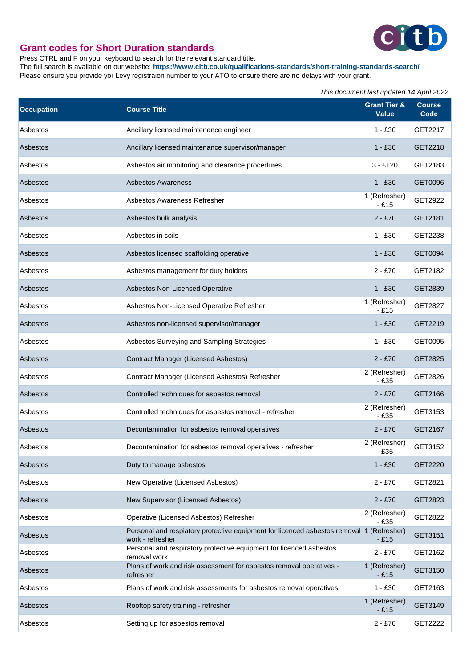

## **Grant codes for Short Duration standards**

Press CTRL and F on your keyboard to search for the relevant standard title.

The full search is available on our website: **https://www.citb.co.uk/qualifications-standards/short-training-standards-search/** Please ensure you provide yor Levy registraion number to your ATO to ensure there are no delays with your grant.

|                   |                                                                                                              | This document last updated 14 April 2022 |                       |
|-------------------|--------------------------------------------------------------------------------------------------------------|------------------------------------------|-----------------------|
| <b>Occupation</b> | <b>Course Title</b>                                                                                          | <b>Grant Tier &amp;</b><br><b>Value</b>  | <b>Course</b><br>Code |
| Asbestos          | Ancillary licensed maintenance engineer                                                                      | $1 - £30$                                | GET2217               |
| Asbestos          | Ancillary licensed maintenance supervisor/manager                                                            | $1 - £30$                                | GET2218               |
| Asbestos          | Asbestos air monitoring and clearance procedures                                                             | $3 - £120$                               | GET2183               |
| Asbestos          | <b>Asbestos Awareness</b>                                                                                    | $1 - £30$                                | GET0096               |
| Asbestos          | Asbestos Awareness Refresher                                                                                 | 1 (Refresher)<br>- £15                   | GET2922               |
| Asbestos          | Asbestos bulk analysis                                                                                       | $2 - £70$                                | GET2181               |
| Asbestos          | Asbestos in soils                                                                                            | $1 - £30$                                | GET2238               |
| Asbestos          | Asbestos licensed scaffolding operative                                                                      | $1 - £30$                                | GET0094               |
| Asbestos          | Asbestos management for duty holders                                                                         | $2 - £70$                                | GET2182               |
| Asbestos          | Asbestos Non-Licensed Operative                                                                              | $1 - £30$                                | GET2839               |
| Asbestos          | Asbestos Non-Licensed Operative Refresher                                                                    | 1 (Refresher)<br>- £15                   | GET2827               |
| Asbestos          | Asbestos non-licensed supervisor/manager                                                                     | $1 - £30$                                | GET2219               |
| Asbestos          | Asbestos Surveying and Sampling Strategies                                                                   | $1 - £30$                                | GET0095               |
| Asbestos          | Contract Manager (Licensed Asbestos)                                                                         | $2 - £70$                                | GET2825               |
| Asbestos          | Contract Manager (Licensed Asbestos) Refresher                                                               | 2 (Refresher)<br>$-£35$                  | GET2826               |
| Asbestos          | Controlled techniques for asbestos removal                                                                   | $2 - £70$                                | GET2166               |
| Asbestos          | Controlled techniques for asbestos removal - refresher                                                       | 2 (Refresher)<br>$-£35$                  | GET3153               |
| Asbestos          | Decontamination for asbestos removal operatives                                                              | $2 - £70$                                | GET2167               |
| Asbestos          | Decontamination for asbestos removal operatives - refresher                                                  | 2 (Refresher)<br>$-£35$                  | GET3152               |
| Asbestos          | Duty to manage asbestos                                                                                      | $1 - £30$                                | GET2220               |
| Asbestos          | New Operative (Licensed Asbestos)                                                                            | $2 - £70$                                | GET2821               |
| Asbestos          | New Supervisor (Licensed Asbestos)                                                                           | $2 - £70$                                | GET2823               |
| Asbestos          | Operative (Licensed Asbestos) Refresher                                                                      | 2 (Refresher)<br>$-£35$                  | GET2822               |
| Asbestos          | Personal and respiatory protective equipment for licenced asbestos removal 1 (Refresher)<br>work - refresher | $-E15$                                   | GET3151               |
| Asbestos          | Personal and respiratory protective equipment for licenced asbestos<br>removal work                          | $2 - £70$                                | GET2162               |
| Asbestos          | Plans of work and risk assessment for asbestos removal operatives -<br>refresher                             | 1 (Refresher)<br>$-E15$                  | GET3150               |
| Asbestos          | Plans of work and risk assessments for asbestos removal operatives                                           | $1 - £30$                                | GET2163               |
| Asbestos          | Rooftop safety training - refresher                                                                          | 1 (Refresher)<br>$-E15$                  | GET3149               |
| Asbestos          | Setting up for asbestos removal                                                                              | $2 - £70$                                | GET2222               |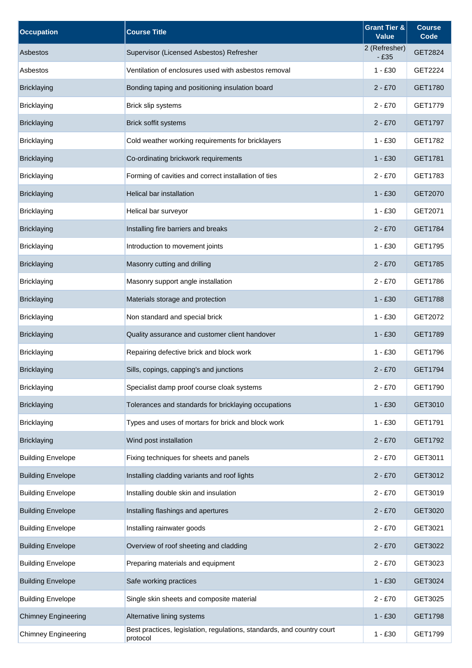| <b>Occupation</b>          | <b>Course Title</b>                                                                | <b>Grant Tier &amp;</b><br><b>Value</b> | <b>Course</b><br>Code |
|----------------------------|------------------------------------------------------------------------------------|-----------------------------------------|-----------------------|
| Asbestos                   | Supervisor (Licensed Asbestos) Refresher                                           | 2 (Refresher)<br>$-£35$                 | GET2824               |
| Asbestos                   | Ventilation of enclosures used with asbestos removal                               | $1 - £30$                               | GET2224               |
| <b>Bricklaying</b>         | Bonding taping and positioning insulation board                                    | $2 - £70$                               | GET1780               |
| <b>Bricklaying</b>         | Brick slip systems                                                                 | $2 - £70$                               | GET1779               |
| <b>Bricklaying</b>         | Brick soffit systems                                                               | $2 - £70$                               | GET1797               |
| <b>Bricklaying</b>         | Cold weather working requirements for bricklayers                                  | $1 - £30$                               | GET1782               |
| <b>Bricklaying</b>         | Co-ordinating brickwork requirements                                               | $1 - £30$                               | GET1781               |
| <b>Bricklaying</b>         | Forming of cavities and correct installation of ties                               | $2 - £70$                               | GET1783               |
| <b>Bricklaying</b>         | Helical bar installation                                                           | $1 - £30$                               | GET2070               |
| <b>Bricklaying</b>         | Helical bar surveyor                                                               | $1 - £30$                               | GET2071               |
| <b>Bricklaying</b>         | Installing fire barriers and breaks                                                | $2 - £70$                               | GET1784               |
| <b>Bricklaying</b>         | Introduction to movement joints                                                    | $1 - £30$                               | GET1795               |
| <b>Bricklaying</b>         | Masonry cutting and drilling                                                       | $2 - £70$                               | GET1785               |
| <b>Bricklaying</b>         | Masonry support angle installation                                                 | $2 - £70$                               | GET1786               |
| <b>Bricklaying</b>         | Materials storage and protection                                                   | $1 - £30$                               | GET1788               |
| <b>Bricklaying</b>         | Non standard and special brick                                                     | $1 - £30$                               | GET2072               |
| <b>Bricklaying</b>         | Quality assurance and customer client handover                                     | $1 - £30$                               | GET1789               |
| <b>Bricklaying</b>         | Repairing defective brick and block work                                           | $1 - £30$                               | GET1796               |
| <b>Bricklaying</b>         | Sills, copings, capping's and junctions                                            | 2 - £70                                 | GET1794               |
| <b>Bricklaying</b>         | Specialist damp proof course cloak systems                                         | $2 - £70$                               | GET1790               |
| <b>Bricklaying</b>         | Tolerances and standards for bricklaying occupations                               | $1 - £30$                               | GET3010               |
| <b>Bricklaying</b>         | Types and uses of mortars for brick and block work                                 | $1 - £30$                               | GET1791               |
| <b>Bricklaying</b>         | Wind post installation                                                             | $2 - £70$                               | GET1792               |
| <b>Building Envelope</b>   | Fixing techniques for sheets and panels                                            | $2 - £70$                               | GET3011               |
| <b>Building Envelope</b>   | Installing cladding variants and roof lights                                       | $2 - £70$                               | GET3012               |
| <b>Building Envelope</b>   | Installing double skin and insulation                                              | $2 - £70$                               | GET3019               |
| <b>Building Envelope</b>   | Installing flashings and apertures                                                 | $2 - £70$                               | GET3020               |
| <b>Building Envelope</b>   | Installing rainwater goods                                                         | $2 - £70$                               | GET3021               |
| <b>Building Envelope</b>   | Overview of roof sheeting and cladding                                             | $2 - £70$                               | GET3022               |
| <b>Building Envelope</b>   | Preparing materials and equipment                                                  | $2 - £70$                               | GET3023               |
| <b>Building Envelope</b>   | Safe working practices                                                             | $1 - £30$                               | GET3024               |
| <b>Building Envelope</b>   | Single skin sheets and composite material                                          | $2 - £70$                               | GET3025               |
| <b>Chimney Engineering</b> | Alternative lining systems                                                         | $1 - £30$                               | GET1798               |
| <b>Chimney Engineering</b> | Best practices, legislation, regulations, standards, and country court<br>protocol | $1 - £30$                               | GET1799               |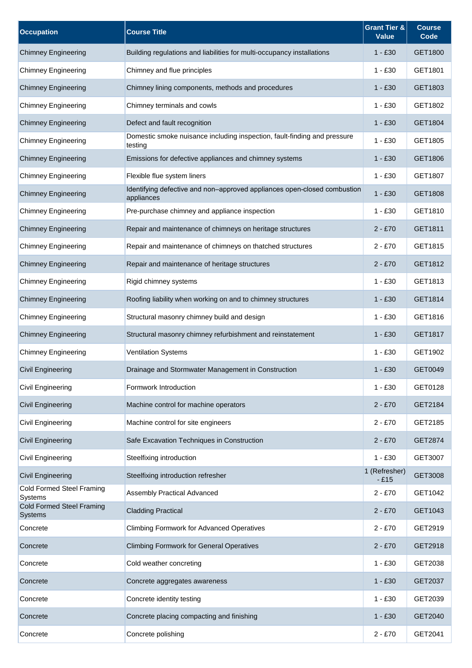| <b>Occupation</b>                                  | <b>Course Title</b>                                                                    | <b>Grant Tier &amp;</b><br><b>Value</b> | <b>Course</b><br>Code |
|----------------------------------------------------|----------------------------------------------------------------------------------------|-----------------------------------------|-----------------------|
| <b>Chimney Engineering</b>                         | Building regulations and liabilities for multi-occupancy installations                 | $1 - £30$                               | GET1800               |
| <b>Chimney Engineering</b>                         | Chimney and flue principles                                                            | $1 - £30$                               | GET1801               |
| <b>Chimney Engineering</b>                         | Chimney lining components, methods and procedures                                      | $1 - £30$                               | GET1803               |
| <b>Chimney Engineering</b>                         | Chimney terminals and cowls                                                            | $1 - £30$                               | GET1802               |
| <b>Chimney Engineering</b>                         | Defect and fault recognition                                                           | $1 - £30$                               | GET1804               |
| <b>Chimney Engineering</b>                         | Domestic smoke nuisance including inspection, fault-finding and pressure<br>testing    | $1 - £30$                               | GET1805               |
| <b>Chimney Engineering</b>                         | Emissions for defective appliances and chimney systems                                 | $1 - £30$                               | GET1806               |
| <b>Chimney Engineering</b>                         | Flexible flue system liners                                                            | $1 - £30$                               | GET1807               |
| <b>Chimney Engineering</b>                         | Identifying defective and non-approved appliances open-closed combustion<br>appliances | $1 - £30$                               | GET1808               |
| <b>Chimney Engineering</b>                         | Pre-purchase chimney and appliance inspection                                          | $1 - £30$                               | GET1810               |
| <b>Chimney Engineering</b>                         | Repair and maintenance of chimneys on heritage structures                              | $2 - £70$                               | GET1811               |
| <b>Chimney Engineering</b>                         | Repair and maintenance of chimneys on thatched structures                              | $2 - £70$                               | GET1815               |
| <b>Chimney Engineering</b>                         | Repair and maintenance of heritage structures                                          | $2 - £70$                               | GET1812               |
| <b>Chimney Engineering</b>                         | Rigid chimney systems                                                                  | $1 - £30$                               | GET1813               |
| <b>Chimney Engineering</b>                         | Roofing liability when working on and to chimney structures                            | $1 - £30$                               | GET1814               |
| <b>Chimney Engineering</b>                         | Structural masonry chimney build and design                                            | $1 - £30$                               | GET1816               |
| <b>Chimney Engineering</b>                         | Structural masonry chimney refurbishment and reinstatement                             | $1 - £30$                               | GET1817               |
| <b>Chimney Engineering</b>                         | <b>Ventilation Systems</b>                                                             | $1 - £30$                               | GET1902               |
| <b>Civil Engineering</b>                           | Drainage and Stormwater Management in Construction                                     | $1 - £30$                               | GET0049               |
| <b>Civil Engineering</b>                           | Formwork Introduction                                                                  | $1 - £30$                               | GET0128               |
| <b>Civil Engineering</b>                           | Machine control for machine operators                                                  | $2 - £70$                               | GET2184               |
| <b>Civil Engineering</b>                           | Machine control for site engineers                                                     | $2 - £70$                               | GET2185               |
| <b>Civil Engineering</b>                           | Safe Excavation Techniques in Construction                                             | $2 - £70$                               | GET2874               |
| Civil Engineering                                  | Steelfixing introduction                                                               | $1 - £30$                               | GET3007               |
| <b>Civil Engineering</b>                           | Steelfixing introduction refresher                                                     | 1 (Refresher)<br>$-£15$                 | GET3008               |
| <b>Cold Formed Steel Framing</b><br>Systems        | <b>Assembly Practical Advanced</b>                                                     | $2 - £70$                               | GET1042               |
| <b>Cold Formed Steel Framing</b><br><b>Systems</b> | <b>Cladding Practical</b>                                                              | $2 - £70$                               | GET1043               |
| Concrete                                           | <b>Climbing Formwork for Advanced Operatives</b>                                       | $2 - £70$                               | GET2919               |
| Concrete                                           | <b>Climbing Formwork for General Operatives</b>                                        | $2 - £70$                               | GET2918               |
| Concrete                                           | Cold weather concreting                                                                | $1 - £30$                               | GET2038               |
| Concrete                                           | Concrete aggregates awareness                                                          | $1 - £30$                               | GET2037               |
| Concrete                                           | Concrete identity testing                                                              | $1 - £30$                               | GET2039               |
| Concrete                                           | Concrete placing compacting and finishing                                              | 1 - £30                                 | GET2040               |
| Concrete                                           | Concrete polishing                                                                     | $2 - £70$                               | GET2041               |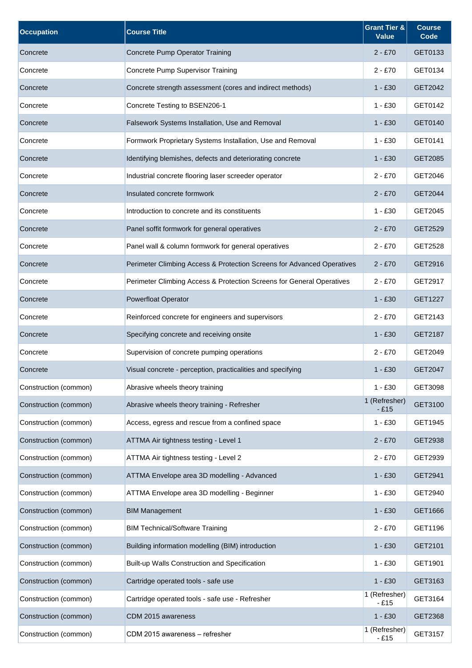| <b>Occupation</b>     | <b>Course Title</b>                                                    | <b>Grant Tier &amp;</b><br><b>Value</b> | <b>Course</b><br>Code |
|-----------------------|------------------------------------------------------------------------|-----------------------------------------|-----------------------|
| Concrete              | Concrete Pump Operator Training                                        | $2 - £70$                               | GET0133               |
| Concrete              | <b>Concrete Pump Supervisor Training</b>                               | $2 - £70$                               | GET0134               |
| Concrete              | Concrete strength assessment (cores and indirect methods)              | $1 - £30$                               | GET2042               |
| Concrete              | Concrete Testing to BSEN206-1                                          | $1 - £30$                               | GET0142               |
| Concrete              | Falsework Systems Installation, Use and Removal                        | $1 - £30$                               | GET0140               |
| Concrete              | Formwork Proprietary Systems Installation, Use and Removal             | $1 - £30$                               | GET0141               |
| Concrete              | Identifying blemishes, defects and deteriorating concrete              | $1 - £30$                               | GET2085               |
| Concrete              | Industrial concrete flooring laser screeder operator                   | $2 - £70$                               | GET2046               |
| Concrete              | Insulated concrete formwork                                            | $2 - £70$                               | GET2044               |
| Concrete              | Introduction to concrete and its constituents                          | $1 - £30$                               | GET2045               |
| Concrete              | Panel soffit formwork for general operatives                           | $2 - £70$                               | GET2529               |
| Concrete              | Panel wall & column formwork for general operatives                    | $2 - £70$                               | GET2528               |
| Concrete              | Perimeter Climbing Access & Protection Screens for Advanced Operatives | $2 - £70$                               | GET2916               |
| Concrete              | Perimeter Climbing Access & Protection Screens for General Operatives  | $2 - £70$                               | GET2917               |
| Concrete              | <b>Powerfloat Operator</b>                                             | $1 - £30$                               | GET1227               |
| Concrete              | Reinforced concrete for engineers and supervisors                      | $2 - £70$                               | GET2143               |
| Concrete              | Specifying concrete and receiving onsite                               | $1 - £30$                               | GET2187               |
| Concrete              | Supervision of concrete pumping operations                             | $2 - £70$                               | GET2049               |
| Concrete              | Visual concrete - perception, practicalities and specifying            | $1 - £30$                               | GET2047               |
| Construction (common) | Abrasive wheels theory training                                        | $1 - £30$                               | GET3098               |
| Construction (common) | Abrasive wheels theory training - Refresher                            | 1 (Refresher)<br>$-E15$                 | GET3100               |
| Construction (common) | Access, egress and rescue from a confined space                        | $1 - £30$                               | GET1945               |
| Construction (common) | ATTMA Air tightness testing - Level 1                                  | $2 - £70$                               | GET2938               |
| Construction (common) | ATTMA Air tightness testing - Level 2                                  | $2 - £70$                               | GET2939               |
| Construction (common) | ATTMA Envelope area 3D modelling - Advanced                            | $1 - £30$                               | GET2941               |
| Construction (common) | ATTMA Envelope area 3D modelling - Beginner                            | $1 - £30$                               | GET2940               |
| Construction (common) | <b>BIM Management</b>                                                  | $1 - £30$                               | GET1666               |
| Construction (common) | <b>BIM Technical/Software Training</b>                                 | $2 - £70$                               | GET1196               |
| Construction (common) | Building information modelling (BIM) introduction                      | $1 - £30$                               | GET2101               |
| Construction (common) | Built-up Walls Construction and Specification                          | $1 - £30$                               | GET1901               |
| Construction (common) | Cartridge operated tools - safe use                                    | $1 - £30$                               | GET3163               |
| Construction (common) | Cartridge operated tools - safe use - Refresher                        | 1 (Refresher)<br>$-£15$                 | GET3164               |
| Construction (common) | CDM 2015 awareness                                                     | $1 - £30$                               | GET2368               |
| Construction (common) | CDM 2015 awareness - refresher                                         | 1 (Refresher)<br>$-£15$                 | GET3157               |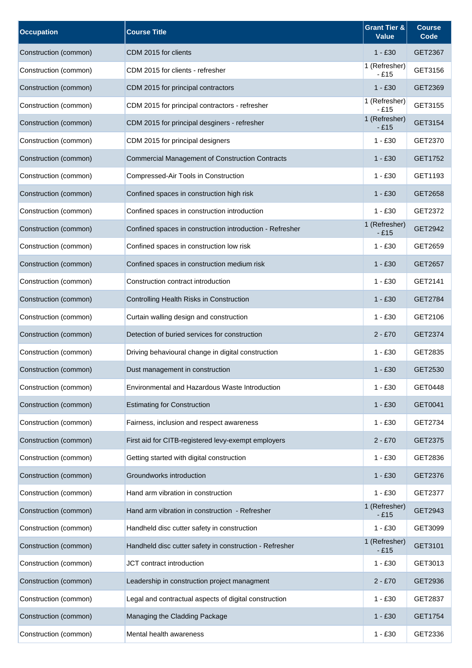| <b>Occupation</b>     | <b>Course Title</b>                                      | <b>Grant Tier &amp;</b><br><b>Value</b> | <b>Course</b><br>Code |
|-----------------------|----------------------------------------------------------|-----------------------------------------|-----------------------|
| Construction (common) | CDM 2015 for clients                                     | $1 - £30$                               | GET2367               |
| Construction (common) | CDM 2015 for clients - refresher                         | 1 (Refresher)<br>$-£15$                 | GET3156               |
| Construction (common) | CDM 2015 for principal contractors                       | $1 - £30$                               | GET2369               |
| Construction (common) | CDM 2015 for principal contractors - refresher           | 1 (Refresher)<br>$-£15$                 | GET3155               |
| Construction (common) | CDM 2015 for principal desginers - refresher             | 1 (Refresher)<br>$-E15$                 | GET3154               |
| Construction (common) | CDM 2015 for principal designers                         | $1 - £30$                               | GET2370               |
| Construction (common) | <b>Commercial Management of Construction Contracts</b>   | $1 - £30$                               | GET1752               |
| Construction (common) | Compressed-Air Tools in Construction                     | $1 - £30$                               | GET1193               |
| Construction (common) | Confined spaces in construction high risk                | $1 - £30$                               | GET2658               |
| Construction (common) | Confined spaces in construction introduction             | $1 - £30$                               | GET2372               |
| Construction (common) | Confined spaces in construction introduction - Refresher | 1 (Refresher)<br>$-£15$                 | GET2942               |
| Construction (common) | Confined spaces in construction low risk                 | $1 - £30$                               | GET2659               |
| Construction (common) | Confined spaces in construction medium risk              | $1 - £30$                               | GET2657               |
| Construction (common) | Construction contract introduction                       | $1 - £30$                               | GET2141               |
| Construction (common) | Controlling Health Risks in Construction                 | $1 - £30$                               | GET2784               |
| Construction (common) | Curtain walling design and construction                  | $1 - £30$                               | GET2106               |
| Construction (common) | Detection of buried services for construction            | $2 - £70$                               | GET2374               |
| Construction (common) | Driving behavioural change in digital construction       | $1 - £30$                               | GET2835               |
| Construction (common) | Dust management in construction                          | $1 - £30$                               | GET2530               |
| Construction (common) | Environmental and Hazardous Waste Introduction           | $1 - £30$                               | GET0448               |
| Construction (common) | <b>Estimating for Construction</b>                       | $1 - £30$                               | GET0041               |
| Construction (common) | Fairness, inclusion and respect awareness                | $1 - £30$                               | GET2734               |
| Construction (common) | First aid for CITB-registered levy-exempt employers      | $2 - £70$                               | GET2375               |
| Construction (common) | Getting started with digital construction                | $1 - £30$                               | GET2836               |
| Construction (common) | Groundworks introduction                                 | $1 - £30$                               | GET2376               |
| Construction (common) | Hand arm vibration in construction                       | $1 - £30$                               | GET2377               |
| Construction (common) | Hand arm vibration in construction - Refresher           | 1 (Refresher)<br>$-£15$                 | GET2943               |
| Construction (common) | Handheld disc cutter safety in construction              | $1 - £30$                               | GET3099               |
| Construction (common) | Handheld disc cutter safety in construction - Refresher  | 1 (Refresher)<br>$-£15$                 | GET3101               |
| Construction (common) | JCT contract introduction                                | $1 - £30$                               | GET3013               |
| Construction (common) | Leadership in construction project managment             | $2 - £70$                               | GET2936               |
| Construction (common) | Legal and contractual aspects of digital construction    | $1 - £30$                               | GET2837               |
| Construction (common) | Managing the Cladding Package                            | $1 - £30$                               | GET1754               |
| Construction (common) | Mental health awareness                                  | $1 - £30$                               | GET2336               |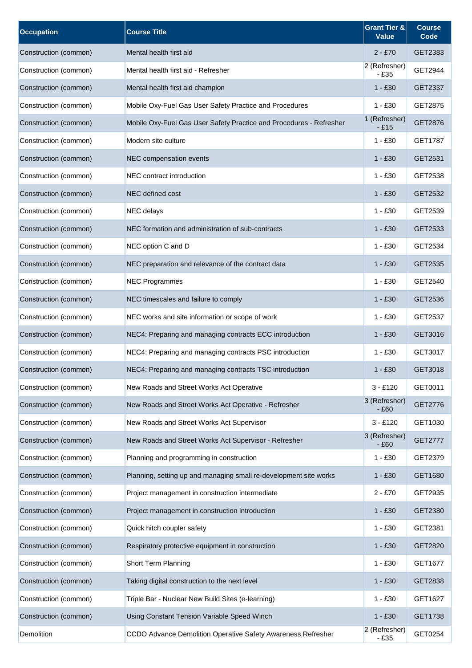| <b>Occupation</b>     | <b>Course Title</b>                                                 | <b>Grant Tier &amp;</b><br><b>Value</b> | <b>Course</b><br>Code |
|-----------------------|---------------------------------------------------------------------|-----------------------------------------|-----------------------|
| Construction (common) | Mental health first aid                                             | $2 - £70$                               | GET2383               |
| Construction (common) | Mental health first aid - Refresher                                 | 2 (Refresher)<br>$-£35$                 | GET2944               |
| Construction (common) | Mental health first aid champion                                    | $1 - £30$                               | GET2337               |
| Construction (common) | Mobile Oxy-Fuel Gas User Safety Practice and Procedures             | $1 - £30$                               | GET2875               |
| Construction (common) | Mobile Oxy-Fuel Gas User Safety Practice and Procedures - Refresher | 1 (Refresher)<br>$-£15$                 | GET2876               |
| Construction (common) | Modern site culture                                                 | $1 - £30$                               | GET1787               |
| Construction (common) | NEC compensation events                                             | $1 - £30$                               | GET2531               |
| Construction (common) | NEC contract introduction                                           | $1 - £30$                               | GET2538               |
| Construction (common) | NEC defined cost                                                    | $1 - £30$                               | GET2532               |
| Construction (common) | <b>NEC</b> delays                                                   | $1 - £30$                               | GET2539               |
| Construction (common) | NEC formation and administration of sub-contracts                   | $1 - £30$                               | GET2533               |
| Construction (common) | NEC option C and D                                                  | $1 - £30$                               | GET2534               |
| Construction (common) | NEC preparation and relevance of the contract data                  | $1 - £30$                               | GET2535               |
| Construction (common) | <b>NEC Programmes</b>                                               | $1 - £30$                               | GET2540               |
| Construction (common) | NEC timescales and failure to comply                                | $1 - £30$                               | GET2536               |
| Construction (common) | NEC works and site information or scope of work                     | $1 - £30$                               | GET2537               |
| Construction (common) | NEC4: Preparing and managing contracts ECC introduction             | $1 - £30$                               | GET3016               |
| Construction (common) | NEC4: Preparing and managing contracts PSC introduction             | $1 - £30$                               | GET3017               |
| Construction (common) | NEC4: Preparing and managing contracts TSC introduction             | $1 - £30$                               | GET3018               |
| Construction (common) | New Roads and Street Works Act Operative                            | $3 - £120$                              | GET0011               |
| Construction (common) | New Roads and Street Works Act Operative - Refresher                | 3 (Refresher)<br>$-£60$                 | GET2776               |
| Construction (common) | New Roads and Street Works Act Supervisor                           | $3 - £120$                              | GET1030               |
| Construction (common) | New Roads and Street Works Act Supervisor - Refresher               | 3 (Refresher)<br>$-£60$                 | <b>GET2777</b>        |
| Construction (common) | Planning and programming in construction                            | $1 - £30$                               | GET2379               |
| Construction (common) | Planning, setting up and managing small re-development site works   | $1 - £30$                               | GET1680               |
| Construction (common) | Project management in construction intermediate                     | $2 - £70$                               | GET2935               |
| Construction (common) | Project management in construction introduction                     | $1 - £30$                               | GET2380               |
| Construction (common) | Quick hitch coupler safety                                          | $1 - £30$                               | GET2381               |
| Construction (common) | Respiratory protective equipment in construction                    | $1 - £30$                               | GET2820               |
| Construction (common) | Short Term Planning                                                 | $1 - £30$                               | GET1677               |
| Construction (common) | Taking digital construction to the next level                       | $1 - £30$                               | GET2838               |
| Construction (common) | Triple Bar - Nuclear New Build Sites (e-learning)                   | $1 - £30$                               | GET1627               |
| Construction (common) | Using Constant Tension Variable Speed Winch                         | $1 - £30$                               | GET1738               |
| Demolition            | CCDO Advance Demolition Operative Safety Awareness Refresher        | 2 (Refresher)<br>$-£35$                 | GET0254               |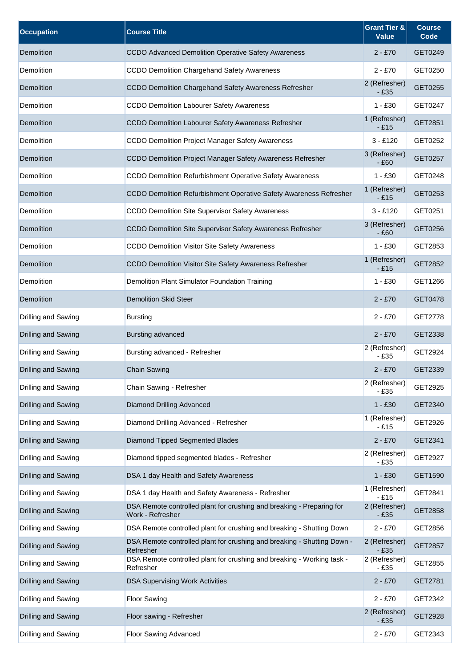| <b>Occupation</b>   | <b>Course Title</b>                                                                       | <b>Grant Tier &amp;</b><br><b>Value</b> | <b>Course</b><br>Code |
|---------------------|-------------------------------------------------------------------------------------------|-----------------------------------------|-----------------------|
| Demolition          | CCDO Advanced Demolition Operative Safety Awareness                                       | $2 - £70$                               | GET0249               |
| Demolition          | <b>CCDO Demolition Chargehand Safety Awareness</b>                                        | $2 - £70$                               | GET0250               |
| Demolition          | CCDO Demolition Chargehand Safety Awareness Refresher                                     | 2 (Refresher)<br>- £35                  | GET0255               |
| Demolition          | <b>CCDO Demolition Labourer Safety Awareness</b>                                          | $1 - £30$                               | GET0247               |
| Demolition          | CCDO Demolition Labourer Safety Awareness Refresher                                       | 1 (Refresher)<br>$-£15$                 | GET2851               |
| Demolition          | <b>CCDO Demolition Project Manager Safety Awareness</b>                                   | $3 - £120$                              | GET0252               |
| Demolition          | CCDO Demolition Project Manager Safety Awareness Refresher                                | 3 (Refresher)<br>$-£60$                 | GET0257               |
| Demolition          | CCDO Demolition Refurbishment Operative Safety Awareness                                  | $1 - £30$                               | GET0248               |
| <b>Demolition</b>   | CCDO Demolition Refurbishment Operative Safety Awareness Refresher                        | 1 (Refresher)<br>- £15                  | GET0253               |
| Demolition          | CCDO Demolition Site Supervisor Safety Awareness                                          | $3 - £120$                              | GET0251               |
| Demolition          | CCDO Demolition Site Supervisor Safety Awareness Refresher                                | 3 (Refresher)<br>$-£60$                 | GET0256               |
| Demolition          | <b>CCDO Demolition Visitor Site Safety Awareness</b>                                      | $1 - £30$                               | GET2853               |
| Demolition          | CCDO Demolition Visitor Site Safety Awareness Refresher                                   | 1 (Refresher)<br>$-£15$                 | GET2852               |
| Demolition          | Demolition Plant Simulator Foundation Training                                            | $1 - £30$                               | GET1266               |
| Demolition          | <b>Demolition Skid Steer</b>                                                              | $2 - £70$                               | GET0478               |
| Drilling and Sawing | <b>Bursting</b>                                                                           | $2 - £70$                               | GET2778               |
| Drilling and Sawing | Bursting advanced                                                                         | $2 - £70$                               | GET2338               |
| Drilling and Sawing | Bursting advanced - Refresher                                                             | 2 (Refresher)<br>- £35                  | GET2924               |
| Drilling and Sawing | <b>Chain Sawing</b>                                                                       | $2 - £70$                               | GET2339               |
| Drilling and Sawing | Chain Sawing - Refresher                                                                  | 2 (Refresher)<br>$-£35$                 | GET2925               |
| Drilling and Sawing | Diamond Drilling Advanced                                                                 | $1 - £30$                               | GET2340               |
| Drilling and Sawing | Diamond Drilling Advanced - Refresher                                                     | 1 (Refresher)<br>$-£15$                 | GET2926               |
| Drilling and Sawing | Diamond Tipped Segmented Blades                                                           | $2 - £70$                               | GET2341               |
| Drilling and Sawing | Diamond tipped segmented blades - Refresher                                               | 2 (Refresher)<br>$-£35$                 | GET2927               |
| Drilling and Sawing | DSA 1 day Health and Safety Awareness                                                     | $1 - £30$                               | GET1590               |
| Drilling and Sawing | DSA 1 day Health and Safety Awareness - Refresher                                         | 1 (Refresher)<br>- £15                  | GET2841               |
| Drilling and Sawing | DSA Remote controlled plant for crushing and breaking - Preparing for<br>Work - Refresher | 2 (Refresher)<br>$-£35$                 | GET2858               |
| Drilling and Sawing | DSA Remote controlled plant for crushing and breaking - Shutting Down                     | $2 - £70$                               | GET2856               |
| Drilling and Sawing | DSA Remote controlled plant for crushing and breaking - Shutting Down -<br>Refresher      | 2 (Refresher)<br>$-£35$                 | GET2857               |
| Drilling and Sawing | DSA Remote controlled plant for crushing and breaking - Working task -<br>Refresher       | 2 (Refresher)<br>- £35                  | GET2855               |
| Drilling and Sawing | <b>DSA Supervising Work Activities</b>                                                    | $2 - £70$                               | GET2781               |
| Drilling and Sawing | <b>Floor Sawing</b>                                                                       | $2 - £70$                               | GET2342               |
| Drilling and Sawing | Floor sawing - Refresher                                                                  | 2 (Refresher)<br>$-£35$                 | GET2928               |
| Drilling and Sawing | Floor Sawing Advanced                                                                     | $2 - £70$                               | GET2343               |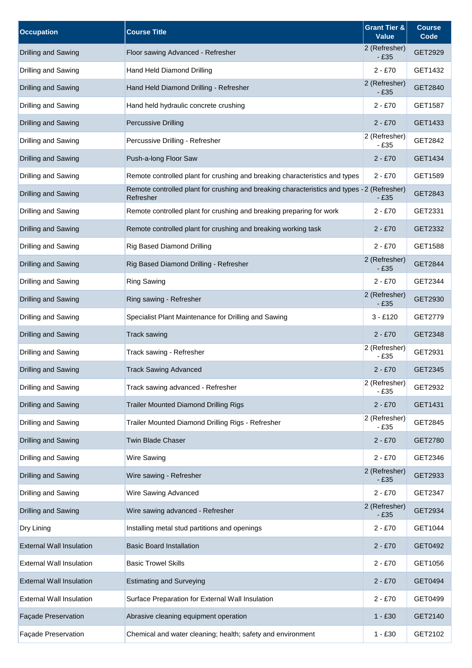| <b>Occupation</b>               | <b>Course Title</b>                                                                                      | <b>Grant Tier &amp;</b><br><b>Value</b> | <b>Course</b><br>Code |
|---------------------------------|----------------------------------------------------------------------------------------------------------|-----------------------------------------|-----------------------|
| Drilling and Sawing             | Floor sawing Advanced - Refresher                                                                        | 2 (Refresher)<br>$-£35$                 | GET2929               |
| Drilling and Sawing             | Hand Held Diamond Drilling                                                                               | $2 - £70$                               | GET1432               |
| Drilling and Sawing             | Hand Held Diamond Drilling - Refresher                                                                   | 2 (Refresher)<br>- £35                  | GET2840               |
| Drilling and Sawing             | Hand held hydraulic concrete crushing                                                                    | $2 - £70$                               | GET1587               |
| Drilling and Sawing             | <b>Percussive Drilling</b>                                                                               | $2 - £70$                               | GET1433               |
| Drilling and Sawing             | Percussive Drilling - Refresher                                                                          | 2 (Refresher)<br>$-£35$                 | GET2842               |
| Drilling and Sawing             | Push-a-long Floor Saw                                                                                    | $2 - £70$                               | GET1434               |
| Drilling and Sawing             | Remote controlled plant for crushing and breaking characteristics and types                              | $2 - £70$                               | GET1589               |
| Drilling and Sawing             | Remote controlled plant for crushing and breaking characteristics and types - 2 (Refresher)<br>Refresher | $-£35$                                  | GET2843               |
| Drilling and Sawing             | Remote controlled plant for crushing and breaking preparing for work                                     | $2 - £70$                               | GET2331               |
| Drilling and Sawing             | Remote controlled plant for crushing and breaking working task                                           | $2 - £70$                               | GET2332               |
| Drilling and Sawing             | <b>Rig Based Diamond Drilling</b>                                                                        | $2 - £70$                               | GET1588               |
| Drilling and Sawing             | Rig Based Diamond Drilling - Refresher                                                                   | 2 (Refresher)<br>$-E35$                 | GET2844               |
| Drilling and Sawing             | <b>Ring Sawing</b>                                                                                       | $2 - £70$                               | GET2344               |
| Drilling and Sawing             | Ring sawing - Refresher                                                                                  | 2 (Refresher)<br>$-£35$                 | GET2930               |
| Drilling and Sawing             | Specialist Plant Maintenance for Drilling and Sawing                                                     | $3 - £120$                              | GET2779               |
| Drilling and Sawing             | <b>Track sawing</b>                                                                                      | $2 - £70$                               | GET2348               |
| Drilling and Sawing             | Track sawing - Refresher                                                                                 | 2 (Refresher)<br>$-£35$                 | GET2931               |
| Drilling and Sawing             | <b>Track Sawing Advanced</b>                                                                             | $2 - £70$                               | GET2345               |
| Drilling and Sawing             | Track sawing advanced - Refresher                                                                        | 2 (Refresher)<br>$-£35$                 | GET2932               |
| Drilling and Sawing             | <b>Trailer Mounted Diamond Drilling Rigs</b>                                                             | $2 - £70$                               | GET1431               |
| Drilling and Sawing             | Trailer Mounted Diamond Drilling Rigs - Refresher                                                        | 2 (Refresher)<br>$-£35$                 | GET2845               |
| Drilling and Sawing             | Twin Blade Chaser                                                                                        | $2 - £70$                               | GET2780               |
| Drilling and Sawing             | Wire Sawing                                                                                              | $2 - £70$                               | GET2346               |
| Drilling and Sawing             | Wire sawing - Refresher                                                                                  | 2 (Refresher)<br>$-£35$                 | GET2933               |
| Drilling and Sawing             | Wire Sawing Advanced                                                                                     | $2 - £70$                               | GET2347               |
| Drilling and Sawing             | Wire sawing advanced - Refresher                                                                         | 2 (Refresher)<br>$-£35$                 | GET2934               |
| Dry Lining                      | Installing metal stud partitions and openings                                                            | $2 - £70$                               | GET1044               |
| <b>External Wall Insulation</b> | <b>Basic Board Installation</b>                                                                          | $2 - £70$                               | GET0492               |
| <b>External Wall Insulation</b> | <b>Basic Trowel Skills</b>                                                                               | $2 - £70$                               | GET1056               |
| <b>External Wall Insulation</b> | <b>Estimating and Surveying</b>                                                                          | $2 - £70$                               | GET0494               |
| <b>External Wall Insulation</b> | Surface Preparation for External Wall Insulation                                                         | $2 - £70$                               | GET0499               |
| Façade Preservation             | Abrasive cleaning equipment operation                                                                    | 1 - £30                                 | GET2140               |
| Façade Preservation             | Chemical and water cleaning; health; safety and environment                                              | $1 - £30$                               | GET2102               |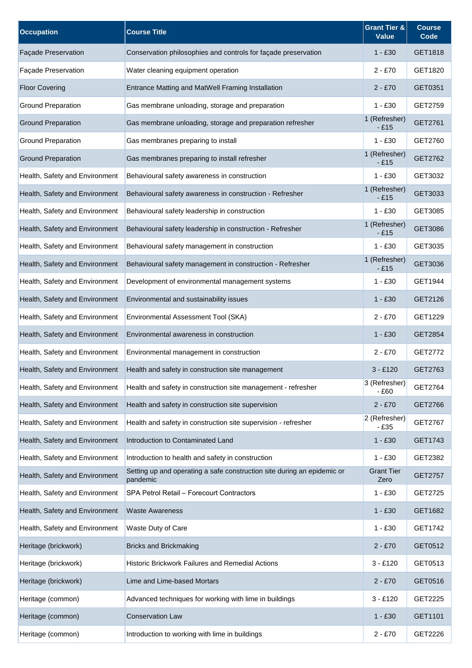| <b>Occupation</b>              | <b>Course Title</b>                                                                 | <b>Grant Tier &amp;</b><br><b>Value</b> | <b>Course</b><br>Code |
|--------------------------------|-------------------------------------------------------------------------------------|-----------------------------------------|-----------------------|
| <b>Façade Preservation</b>     | Conservation philosophies and controls for façade preservation                      | $1 - £30$                               | GET1818               |
| Façade Preservation            | Water cleaning equipment operation                                                  | $2 - £70$                               | GET1820               |
| <b>Floor Covering</b>          | Entrance Matting and MatWell Framing Installation                                   | $2 - £70$                               | GET0351               |
| <b>Ground Preparation</b>      | Gas membrane unloading, storage and preparation                                     | $1 - £30$                               | GET2759               |
| <b>Ground Preparation</b>      | Gas membrane unloading, storage and preparation refresher                           | 1 (Refresher)<br>$-E15$                 | GET2761               |
| <b>Ground Preparation</b>      | Gas membranes preparing to install                                                  | $1 - £30$                               | GET2760               |
| <b>Ground Preparation</b>      | Gas membranes preparing to install refresher                                        | 1 (Refresher)<br>$-E15$                 | GET2762               |
| Health, Safety and Environment | Behavioural safety awareness in construction                                        | $1 - £30$                               | GET3032               |
| Health, Safety and Environment | Behavioural safety awareness in construction - Refresher                            | 1 (Refresher)<br>$-£15$                 | GET3033               |
| Health, Safety and Environment | Behavioural safety leadership in construction                                       | $1 - £30$                               | GET3085               |
| Health, Safety and Environment | Behavioural safety leadership in construction - Refresher                           | 1 (Refresher)<br>$-£15$                 | GET3086               |
| Health, Safety and Environment | Behavioural safety management in construction                                       | $1 - £30$                               | GET3035               |
| Health, Safety and Environment | Behavioural safety management in construction - Refresher                           | 1 (Refresher)<br>$-£15$                 | GET3036               |
| Health, Safety and Environment | Development of environmental management systems                                     | $1 - £30$                               | GET1944               |
| Health, Safety and Environment | Environmental and sustainability issues                                             | $1 - £30$                               | GET2126               |
| Health, Safety and Environment | Environmental Assessment Tool (SKA)                                                 | $2 - £70$                               | GET1229               |
| Health, Safety and Environment | Environmental awareness in construction                                             | $1 - £30$                               | GET2854               |
| Health, Safety and Environment | Environmental management in construction                                            | $2 - £70$                               | GET2772               |
| Health, Safety and Environment | Health and safety in construction site management                                   | $3 - £120$                              | GET2763               |
| Health, Safety and Environment | Health and safety in construction site management - refresher                       | 3 (Refresher)<br>$-£60$                 | GET2764               |
| Health, Safety and Environment | Health and safety in construction site supervision                                  | $2 - £70$                               | GET2766               |
| Health, Safety and Environment | Health and safety in construction site supervision - refresher                      | 2 (Refresher)<br>$-£35$                 | GET2767               |
| Health, Safety and Environment | Introduction to Contaminated Land                                                   | $1 - £30$                               | GET1743               |
| Health, Safety and Environment | Introduction to health and safety in construction                                   | $1 - £30$                               | GET2382               |
| Health, Safety and Environment | Setting up and operating a safe construction site during an epidemic or<br>pandemic | <b>Grant Tier</b><br>Zero               | <b>GET2757</b>        |
| Health, Safety and Environment | SPA Petrol Retail - Forecourt Contractors                                           | $1 - £30$                               | GET2725               |
| Health, Safety and Environment | <b>Waste Awareness</b>                                                              | $1 - £30$                               | GET1682               |
| Health, Safety and Environment | Waste Duty of Care                                                                  | $1 - £30$                               | GET1742               |
| Heritage (brickwork)           | <b>Bricks and Brickmaking</b>                                                       | $2 - £70$                               | GET0512               |
| Heritage (brickwork)           | Historic Brickwork Failures and Remedial Actions                                    | $3 - £120$                              | GET0513               |
| Heritage (brickwork)           | Lime and Lime-based Mortars                                                         | $2 - £70$                               | GET0516               |
| Heritage (common)              | Advanced techniques for working with lime in buildings                              | $3 - £120$                              | GET2225               |
| Heritage (common)              | <b>Conservation Law</b>                                                             | $1 - £30$                               | GET1101               |
| Heritage (common)              | Introduction to working with lime in buildings                                      | $2 - £70$                               | GET2226               |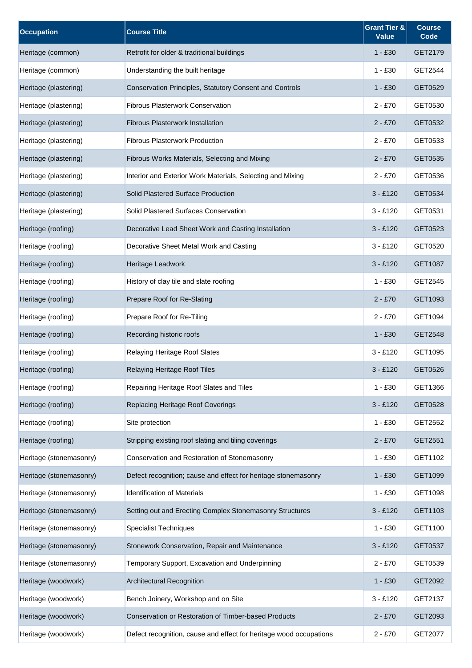| <b>Occupation</b>       | <b>Course Title</b>                                                | <b>Grant Tier &amp;</b><br><b>Value</b> | <b>Course</b><br>Code |
|-------------------------|--------------------------------------------------------------------|-----------------------------------------|-----------------------|
| Heritage (common)       | Retrofit for older & traditional buildings                         | $1 - £30$                               | GET2179               |
| Heritage (common)       | Understanding the built heritage                                   | $1 - £30$                               | GET2544               |
| Heritage (plastering)   | Conservation Principles, Statutory Consent and Controls            | $1 - £30$                               | GET0529               |
| Heritage (plastering)   | <b>Fibrous Plasterwork Conservation</b>                            | $2 - £70$                               | GET0530               |
| Heritage (plastering)   | <b>Fibrous Plasterwork Installation</b>                            | $2 - £70$                               | GET0532               |
| Heritage (plastering)   | <b>Fibrous Plasterwork Production</b>                              | $2 - £70$                               | GET0533               |
| Heritage (plastering)   | Fibrous Works Materials, Selecting and Mixing                      | $2 - £70$                               | GET0535               |
| Heritage (plastering)   | Interior and Exterior Work Materials, Selecting and Mixing         | $2 - £70$                               | GET0536               |
| Heritage (plastering)   | Solid Plastered Surface Production                                 | $3 - £120$                              | GET0534               |
| Heritage (plastering)   | Solid Plastered Surfaces Conservation                              | $3 - £120$                              | GET0531               |
| Heritage (roofing)      | Decorative Lead Sheet Work and Casting Installation                | $3 - £120$                              | GET0523               |
| Heritage (roofing)      | Decorative Sheet Metal Work and Casting                            | $3 - £120$                              | GET0520               |
| Heritage (roofing)      | Heritage Leadwork                                                  | $3 - £120$                              | GET1087               |
| Heritage (roofing)      | History of clay tile and slate roofing                             | $1 - £30$                               | GET2545               |
| Heritage (roofing)      | Prepare Roof for Re-Slating                                        | $2 - £70$                               | GET1093               |
| Heritage (roofing)      | Prepare Roof for Re-Tiling                                         | $2 - £70$                               | GET1094               |
| Heritage (roofing)      | Recording historic roofs                                           | $1 - £30$                               | GET2548               |
| Heritage (roofing)      | Relaying Heritage Roof Slates                                      | $3 - £120$                              | GET1095               |
| Heritage (roofing)      | Relaying Heritage Roof Tiles                                       | $3 - £120$                              | GET0526               |
| Heritage (roofing)      | Repairing Heritage Roof Slates and Tiles                           | $1 - £30$                               | GET1366               |
| Heritage (roofing)      | Replacing Heritage Roof Coverings                                  | $3 - £120$                              | GET0528               |
| Heritage (roofing)      | Site protection                                                    | $1 - £30$                               | GET2552               |
| Heritage (roofing)      | Stripping existing roof slating and tiling coverings               | $2 - £70$                               | GET2551               |
| Heritage (stonemasonry) | Conservation and Restoration of Stonemasonry                       | $1 - £30$                               | GET1102               |
| Heritage (stonemasonry) | Defect recognition; cause and effect for heritage stonemasonry     | $1 - £30$                               | GET1099               |
| Heritage (stonemasonry) | <b>Identification of Materials</b>                                 | $1 - £30$                               | GET1098               |
| Heritage (stonemasonry) | Setting out and Erecting Complex Stonemasonry Structures           | $3 - £120$                              | GET1103               |
| Heritage (stonemasonry) | Specialist Techniques                                              | $1 - £30$                               | GET1100               |
| Heritage (stonemasonry) | Stonework Conservation, Repair and Maintenance                     | $3 - £120$                              | GET0537               |
| Heritage (stonemasonry) | Temporary Support, Excavation and Underpinning                     | $2 - £70$                               | GET0539               |
| Heritage (woodwork)     | Architectural Recognition                                          | $1 - £30$                               | GET2092               |
| Heritage (woodwork)     | Bench Joinery, Workshop and on Site                                | $3 - £120$                              | GET2137               |
| Heritage (woodwork)     | <b>Conservation or Restoration of Timber-based Products</b>        | $2 - £70$                               | GET2093               |
| Heritage (woodwork)     | Defect recognition, cause and effect for heritage wood occupations | $2 - £70$                               | GET2077               |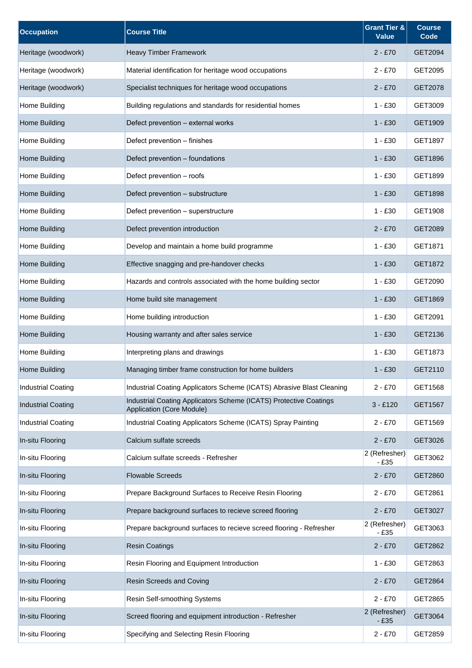| <b>Occupation</b>         | <b>Course Title</b>                                                                            | <b>Grant Tier &amp;</b><br><b>Value</b> | <b>Course</b><br>Code |
|---------------------------|------------------------------------------------------------------------------------------------|-----------------------------------------|-----------------------|
| Heritage (woodwork)       | Heavy Timber Framework                                                                         | $2 - £70$                               | GET2094               |
| Heritage (woodwork)       | Material identification for heritage wood occupations                                          | $2 - £70$                               | GET2095               |
| Heritage (woodwork)       | Specialist techniques for heritage wood occupations                                            | 2 - £70                                 | GET2078               |
| Home Building             | Building regulations and standards for residential homes                                       | $1 - £30$                               | GET3009               |
| Home Building             | Defect prevention - external works                                                             | $1 - £30$                               | GET1909               |
| Home Building             | Defect prevention - finishes                                                                   | $1 - £30$                               | GET1897               |
| Home Building             | Defect prevention - foundations                                                                | $1 - £30$                               | GET1896               |
| Home Building             | Defect prevention - roofs                                                                      | $1 - £30$                               | GET1899               |
| Home Building             | Defect prevention - substructure                                                               | $1 - £30$                               | GET1898               |
| Home Building             | Defect prevention - superstructure                                                             | $1 - £30$                               | GET1908               |
| Home Building             | Defect prevention introduction                                                                 | $2 - £70$                               | GET2089               |
| Home Building             | Develop and maintain a home build programme                                                    | $1 - £30$                               | GET1871               |
| Home Building             | Effective snagging and pre-handover checks                                                     | 1 - £30                                 | GET1872               |
| Home Building             | Hazards and controls associated with the home building sector                                  | $1 - £30$                               | GET2090               |
| Home Building             | Home build site management                                                                     | $1 - £30$                               | GET1869               |
| Home Building             | Home building introduction                                                                     | $1 - £30$                               | GET2091               |
| Home Building             | Housing warranty and after sales service                                                       | $1 - £30$                               | GET2136               |
| Home Building             | Interpreting plans and drawings                                                                | $1 - £30$                               | GET1873               |
| Home Building             | Managing timber frame construction for home builders                                           | 1 - £30                                 | GET2110               |
| <b>Industrial Coating</b> | Industrial Coating Applicators Scheme (ICATS) Abrasive Blast Cleaning                          | $2 - £70$                               | GET1568               |
| <b>Industrial Coating</b> | Industrial Coating Applicators Scheme (ICATS) Protective Coatings<br>Application (Core Module) | $3 - £120$                              | GET1567               |
| <b>Industrial Coating</b> | Industrial Coating Applicators Scheme (ICATS) Spray Painting                                   | $2 - £70$                               | GET1569               |
| In-situ Flooring          | Calcium sulfate screeds                                                                        | $2 - £70$                               | GET3026               |
| In-situ Flooring          | Calcium sulfate screeds - Refresher                                                            | 2 (Refresher)<br>$-£35$                 | GET3062               |
| In-situ Flooring          | <b>Flowable Screeds</b>                                                                        | $2 - £70$                               | GET2860               |
| In-situ Flooring          | Prepare Background Surfaces to Receive Resin Flooring                                          | $2 - £70$                               | GET2861               |
| In-situ Flooring          | Prepare background surfaces to recieve screed flooring                                         | $2 - £70$                               | GET3027               |
| In-situ Flooring          | Prepare background surfaces to recieve screed flooring - Refresher                             | 2 (Refresher)<br>$-£35$                 | GET3063               |
| In-situ Flooring          | <b>Resin Coatings</b>                                                                          | $2 - £70$                               | GET2862               |
| In-situ Flooring          | Resin Flooring and Equipment Introduction                                                      | $1 - £30$                               | GET2863               |
| In-situ Flooring          | Resin Screeds and Coving                                                                       | $2 - £70$                               | GET2864               |
| In-situ Flooring          | Resin Self-smoothing Systems                                                                   | $2 - £70$                               | GET2865               |
| In-situ Flooring          | Screed flooring and equipment introduction - Refresher                                         | 2 (Refresher)<br>$-£35$                 | GET3064               |
| In-situ Flooring          | Specifying and Selecting Resin Flooring                                                        | $2 - £70$                               | GET2859               |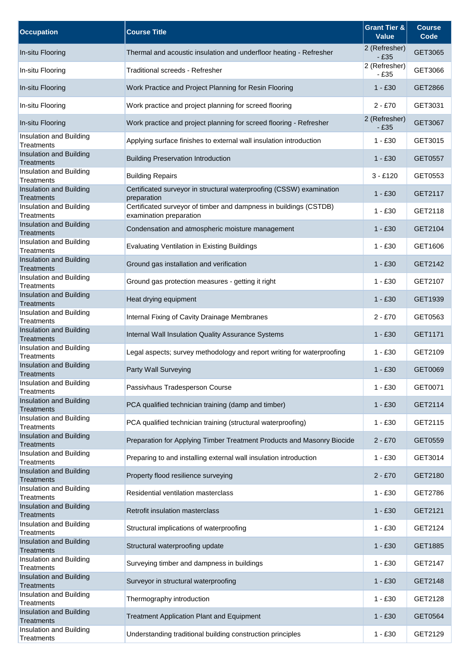| <b>Occupation</b>                            | <b>Course Title</b>                                                                          | <b>Grant Tier &amp;</b><br><b>Value</b> | <b>Course</b><br>Code |
|----------------------------------------------|----------------------------------------------------------------------------------------------|-----------------------------------------|-----------------------|
| In-situ Flooring                             | Thermal and acoustic insulation and underfloor heating - Refresher                           | 2 (Refresher)<br>$-E35$                 | GET3065               |
| In-situ Flooring                             | Traditional screeds - Refresher                                                              | 2 (Refresher)<br>$-£35$                 | GET3066               |
| In-situ Flooring                             | Work Practice and Project Planning for Resin Flooring                                        | $1 - £30$                               | GET2866               |
| In-situ Flooring                             | Work practice and project planning for screed flooring                                       | $2 - £70$                               | GET3031               |
| In-situ Flooring                             | Work practice and project planning for screed flooring - Refresher                           | 2 (Refresher)<br>$-£35$                 | GET3067               |
| Insulation and Building<br>Treatments        | Applying surface finishes to external wall insulation introduction                           | $1 - £30$                               | GET3015               |
| Insulation and Building<br>Treatments        | <b>Building Preservation Introduction</b>                                                    | $1 - £30$                               | GET0557               |
| Insulation and Building<br>Treatments        | <b>Building Repairs</b>                                                                      | $3 - £120$                              | GET0553               |
| Insulation and Building<br><b>Treatments</b> | Certificated surveyor in structural waterproofing (CSSW) examination<br>preparation          | $1 - £30$                               | GET2117               |
| Insulation and Building<br>Treatments        | Certificated surveyor of timber and dampness in buildings (CSTDB)<br>examination preparation | $1 - £30$                               | GET2118               |
| Insulation and Building<br>Treatments        | Condensation and atmospheric moisture management                                             | $1 - £30$                               | GET2104               |
| Insulation and Building<br><b>Treatments</b> | <b>Evaluating Ventilation in Existing Buildings</b>                                          | $1 - £30$                               | GET1606               |
| Insulation and Building<br>Treatments        | Ground gas installation and verification                                                     | $1 - £30$                               | GET2142               |
| Insulation and Building<br>Treatments        | Ground gas protection measures - getting it right                                            | $1 - £30$                               | GET2107               |
| Insulation and Building<br>Treatments        | Heat drying equipment                                                                        | $1 - £30$                               | GET1939               |
| Insulation and Building<br><b>Treatments</b> | Internal Fixing of Cavity Drainage Membranes                                                 | $2 - £70$                               | GET0563               |
| Insulation and Building<br>Treatments        | Internal Wall Insulation Quality Assurance Systems                                           | $1 - £30$                               | GET1171               |
| Insulation and Building<br><b>Treatments</b> | Legal aspects; survey methodology and report writing for waterproofing                       | $1 - £30$                               | GET2109               |
| Insulation and Building<br>Treatments        | Party Wall Surveying                                                                         | $1 - £30$                               | GET0069               |
| Insulation and Building<br>Treatments        | Passivhaus Tradesperson Course                                                               | $1 - £30$                               | GET0071               |
| Insulation and Building<br>Treatments        | PCA qualified technician training (damp and timber)                                          | $1 - £30$                               | GET2114               |
| Insulation and Building<br><b>Treatments</b> | PCA qualified technician training (structural waterproofing)                                 | $1 - £30$                               | GET2115               |
| Insulation and Building<br><b>Treatments</b> | Preparation for Applying Timber Treatment Products and Masonry Biocide                       | $2 - £70$                               | GET0559               |
| Insulation and Building<br>Treatments        | Preparing to and installing external wall insulation introduction                            | $1 - £30$                               | GET3014               |
| Insulation and Building<br><b>Treatments</b> | Property flood resilience surveying                                                          | $2 - £70$                               | GET2180               |
| Insulation and Building<br><b>Treatments</b> | Residential ventilation masterclass                                                          | $1 - £30$                               | GET2786               |
| Insulation and Building<br>Treatments        | Retrofit insulation masterclass                                                              | $1 - £30$                               | GET2121               |
| Insulation and Building<br>Treatments        | Structural implications of waterproofing                                                     | $1 - £30$                               | GET2124               |
| Insulation and Building<br><b>Treatments</b> | Structural waterproofing update                                                              | $1 - £30$                               | GET1885               |
| Insulation and Building<br>Treatments        | Surveying timber and dampness in buildings                                                   | $1 - £30$                               | GET2147               |
| Insulation and Building<br>Treatments        | Surveyor in structural waterproofing                                                         | $1 - £30$                               | GET2148               |
| Insulation and Building<br><b>Treatments</b> | Thermography introduction                                                                    | $1 - £30$                               | GET2128               |
| Insulation and Building<br><b>Treatments</b> | <b>Treatment Application Plant and Equipment</b>                                             | $1 - £30$                               | GET0564               |
| Insulation and Building<br>Treatments        | Understanding traditional building construction principles                                   | $1 - £30$                               | GET2129               |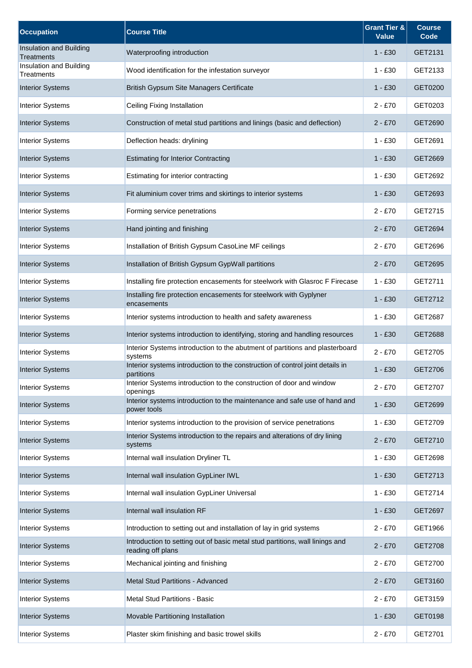| <b>Occupation</b>                     | <b>Course Title</b>                                                                               | <b>Grant Tier &amp;</b><br><b>Value</b> | <b>Course</b><br>Code |
|---------------------------------------|---------------------------------------------------------------------------------------------------|-----------------------------------------|-----------------------|
| Insulation and Building<br>Treatments | Waterproofing introduction                                                                        | $1 - £30$                               | GET2131               |
| Insulation and Building<br>Treatments | Wood identification for the infestation surveyor                                                  | $1 - £30$                               | GET2133               |
| <b>Interior Systems</b>               | British Gypsum Site Managers Certificate                                                          | 1 - £30                                 | GET0200               |
| <b>Interior Systems</b>               | Ceiling Fixing Installation                                                                       | $2 - £70$                               | GET0203               |
| <b>Interior Systems</b>               | Construction of metal stud partitions and linings (basic and deflection)                          | 2 - £70                                 | GET2690               |
| <b>Interior Systems</b>               | Deflection heads: drylining                                                                       | $1 - £30$                               | GET2691               |
| <b>Interior Systems</b>               | <b>Estimating for Interior Contracting</b>                                                        | 1 - £30                                 | GET2669               |
| <b>Interior Systems</b>               | Estimating for interior contracting                                                               | $1 - £30$                               | GET2692               |
| <b>Interior Systems</b>               | Fit aluminium cover trims and skirtings to interior systems                                       | 1 - £30                                 | GET2693               |
| <b>Interior Systems</b>               | Forming service penetrations                                                                      | $2 - £70$                               | GET2715               |
| <b>Interior Systems</b>               | Hand jointing and finishing                                                                       | $2 - £70$                               | GET2694               |
| <b>Interior Systems</b>               | Installation of British Gypsum CasoLine MF ceilings                                               | $2 - £70$                               | GET2696               |
| <b>Interior Systems</b>               | Installation of British Gypsum GypWall partitions                                                 | $2 - £70$                               | GET2695               |
| <b>Interior Systems</b>               | Installing fire protection encasements for steelwork with Glasroc F Firecase                      | $1 - £30$                               | GET2711               |
| <b>Interior Systems</b>               | Installing fire protection encasements for steelwork with Gyplyner<br>encasements                 | $1 - £30$                               | GET2712               |
| <b>Interior Systems</b>               | Interior systems introduction to health and safety awareness                                      | $1 - £30$                               | GET2687               |
| <b>Interior Systems</b>               | Interior systems introduction to identifying, storing and handling resources                      | $1 - £30$                               | GET2688               |
| <b>Interior Systems</b>               | Interior Systems introduction to the abutment of partitions and plasterboard<br>systems           | $2 - £70$                               | GET2705               |
| <b>Interior Systems</b>               | Interior systems introduction to the construction of control joint details in<br>partitions       | $1 - £30$                               | GET2706               |
| <b>Interior Systems</b>               | Interior Systems introduction to the construction of door and window<br>openings                  | $2 - £70$                               | GET2707               |
| <b>Interior Systems</b>               | Interior systems introduction to the maintenance and safe use of hand and<br>power tools          | $1 - £30$                               | GET2699               |
| <b>Interior Systems</b>               | Interior systems introduction to the provision of service penetrations                            | $1 - £30$                               | GET2709               |
| <b>Interior Systems</b>               | Interior Systems introduction to the repairs and alterations of dry lining<br>systems             | $2 - £70$                               | GET2710               |
| <b>Interior Systems</b>               | Internal wall insulation Dryliner TL                                                              | $1 - £30$                               | GET2698               |
| <b>Interior Systems</b>               | Internal wall insulation GypLiner IWL                                                             | $1 - £30$                               | GET2713               |
| <b>Interior Systems</b>               | Internal wall insulation GypLiner Universal                                                       | $1 - £30$                               | GET2714               |
| <b>Interior Systems</b>               | Internal wall insulation RF                                                                       | $1 - £30$                               | GET2697               |
| <b>Interior Systems</b>               | Introduction to setting out and installation of lay in grid systems                               | $2 - £70$                               | GET1966               |
| <b>Interior Systems</b>               | Introduction to setting out of basic metal stud partitions, wall linings and<br>reading off plans | $2 - £70$                               | GET2708               |
| <b>Interior Systems</b>               | Mechanical jointing and finishing                                                                 | $2 - £70$                               | GET2700               |
| <b>Interior Systems</b>               | Metal Stud Partitions - Advanced                                                                  | $2 - £70$                               | GET3160               |
| <b>Interior Systems</b>               | Metal Stud Partitions - Basic                                                                     | $2 - £70$                               | GET3159               |
| <b>Interior Systems</b>               | Movable Partitioning Installation                                                                 | 1 - £30                                 | GET0198               |
| <b>Interior Systems</b>               | Plaster skim finishing and basic trowel skills                                                    | $2 - £70$                               | GET2701               |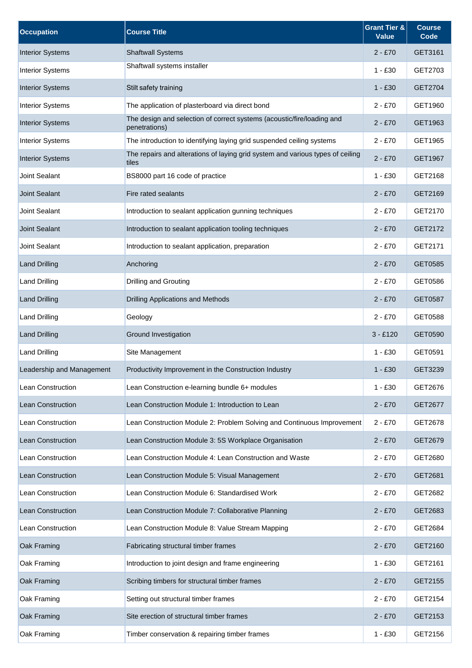| <b>Occupation</b>         | <b>Course Title</b>                                                                     | <b>Grant Tier &amp;</b><br><b>Value</b> | <b>Course</b><br>Code |
|---------------------------|-----------------------------------------------------------------------------------------|-----------------------------------------|-----------------------|
| <b>Interior Systems</b>   | <b>Shaftwall Systems</b>                                                                | $2 - £70$                               | GET3161               |
| <b>Interior Systems</b>   | Shaftwall systems installer                                                             | $1 - £30$                               | GET2703               |
| <b>Interior Systems</b>   | Stilt safety training                                                                   | $1 - £30$                               | GET2704               |
| <b>Interior Systems</b>   | The application of plasterboard via direct bond                                         | $2 - £70$                               | GET1960               |
| <b>Interior Systems</b>   | The design and selection of correct systems (acoustic/fire/loading and<br>penetrations) | $2 - £70$                               | GET1963               |
| <b>Interior Systems</b>   | The introduction to identifying laying grid suspended ceiling systems                   | $2 - £70$                               | GET1965               |
| <b>Interior Systems</b>   | The repairs and alterations of laying grid system and various types of ceiling<br>tiles | $2 - £70$                               | GET1967               |
| <b>Joint Sealant</b>      | BS8000 part 16 code of practice                                                         | $1 - £30$                               | GET2168               |
| <b>Joint Sealant</b>      | Fire rated sealants                                                                     | $2 - £70$                               | GET2169               |
| Joint Sealant             | Introduction to sealant application gunning techniques                                  | $2 - £70$                               | GET2170               |
| <b>Joint Sealant</b>      | Introduction to sealant application tooling techniques                                  | $2 - £70$                               | GET2172               |
| Joint Sealant             | Introduction to sealant application, preparation                                        | $2 - £70$                               | GET2171               |
| <b>Land Drilling</b>      | Anchoring                                                                               | $2 - £70$                               | GET0585               |
| <b>Land Drilling</b>      | Drilling and Grouting                                                                   | $2 - £70$                               | GET0586               |
| <b>Land Drilling</b>      | Drilling Applications and Methods                                                       | $2 - £70$                               | GET0587               |
| Land Drilling             | Geology                                                                                 | $2 - £70$                               | GET0588               |
| <b>Land Drilling</b>      | Ground Investigation                                                                    | $3 - £120$                              | GET0590               |
| <b>Land Drilling</b>      | Site Management                                                                         | $1 - £30$                               | GET0591               |
| Leadership and Management | Productivity Improvement in the Construction Industry                                   | 1 - £30                                 | GET3239               |
| Lean Construction         | Lean Construction e-learning bundle 6+ modules                                          | $1 - £30$                               | GET2676               |
| Lean Construction         | Lean Construction Module 1: Introduction to Lean                                        | $2 - £70$                               | GET2677               |
| Lean Construction         | Lean Construction Module 2: Problem Solving and Continuous Improvement                  | $2 - £70$                               | GET2678               |
| Lean Construction         | Lean Construction Module 3: 5S Workplace Organisation                                   | $2 - £70$                               | GET2679               |
| Lean Construction         | Lean Construction Module 4: Lean Construction and Waste                                 | $2 - £70$                               | GET2680               |
| Lean Construction         | Lean Construction Module 5: Visual Management                                           | $2 - £70$                               | GET2681               |
| Lean Construction         | Lean Construction Module 6: Standardised Work                                           | $2 - £70$                               | GET2682               |
| Lean Construction         | Lean Construction Module 7: Collaborative Planning                                      | $2 - £70$                               | GET2683               |
| Lean Construction         | Lean Construction Module 8: Value Stream Mapping                                        | $2 - £70$                               | GET2684               |
| Oak Framing               | Fabricating structural timber frames                                                    | $2 - £70$                               | GET2160               |
| Oak Framing               | Introduction to joint design and frame engineering                                      | $1 - £30$                               | GET2161               |
| Oak Framing               | Scribing timbers for structural timber frames                                           | $2 - £70$                               | GET2155               |
| Oak Framing               | Setting out structural timber frames                                                    | $2 - £70$                               | GET2154               |
| Oak Framing               | Site erection of structural timber frames                                               | $2 - £70$                               | GET2153               |
| Oak Framing               | Timber conservation & repairing timber frames                                           | $1 - £30$                               | GET2156               |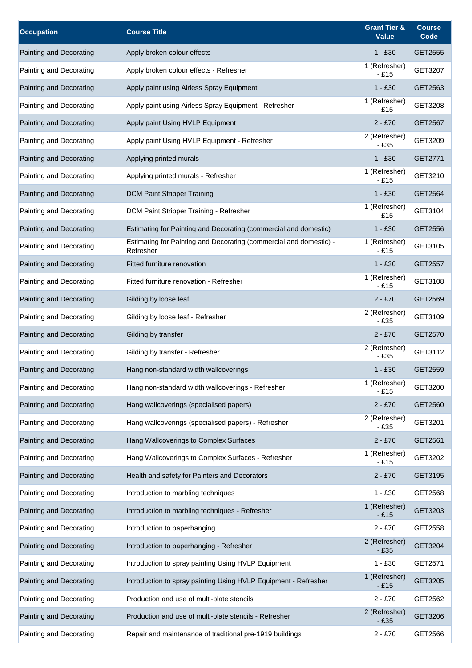| <b>Occupation</b>       | <b>Course Title</b>                                                             | <b>Grant Tier &amp;</b><br><b>Value</b> | <b>Course</b><br>Code |
|-------------------------|---------------------------------------------------------------------------------|-----------------------------------------|-----------------------|
| Painting and Decorating | Apply broken colour effects                                                     | $1 - £30$                               | GET2555               |
| Painting and Decorating | Apply broken colour effects - Refresher                                         | 1 (Refresher)<br>$-£15$                 | GET3207               |
| Painting and Decorating | Apply paint using Airless Spray Equipment                                       | $1 - £30$                               | GET2563               |
| Painting and Decorating | Apply paint using Airless Spray Equipment - Refresher                           | 1 (Refresher)<br>$-£15$                 | GET3208               |
| Painting and Decorating | Apply paint Using HVLP Equipment                                                | $2 - £70$                               | GET2567               |
| Painting and Decorating | Apply paint Using HVLP Equipment - Refresher                                    | 2 (Refresher)<br>- £35                  | GET3209               |
| Painting and Decorating | Applying printed murals                                                         | $1 - £30$                               | GET2771               |
| Painting and Decorating | Applying printed murals - Refresher                                             | 1 (Refresher)<br>$-£15$                 | GET3210               |
| Painting and Decorating | <b>DCM Paint Stripper Training</b>                                              | $1 - £30$                               | GET2564               |
| Painting and Decorating | DCM Paint Stripper Training - Refresher                                         | 1 (Refresher)<br>- £15                  | GET3104               |
| Painting and Decorating | Estimating for Painting and Decorating (commercial and domestic)                | $1 - £30$                               | GET2556               |
| Painting and Decorating | Estimating for Painting and Decorating (commercial and domestic) -<br>Refresher | 1 (Refresher)<br>$-£15$                 | GET3105               |
| Painting and Decorating | Fitted furniture renovation                                                     | $1 - £30$                               | GET2557               |
| Painting and Decorating | Fitted furniture renovation - Refresher                                         | 1 (Refresher)<br>$-£15$                 | GET3108               |
| Painting and Decorating | Gilding by loose leaf                                                           | $2 - £70$                               | GET2569               |
| Painting and Decorating | Gilding by loose leaf - Refresher                                               | 2 (Refresher)<br>$-£35$                 | GET3109               |
| Painting and Decorating | Gilding by transfer                                                             | $2 - £70$                               | GET2570               |
| Painting and Decorating | Gilding by transfer - Refresher                                                 | 2 (Refresher)<br>$-£35$                 | GET3112               |
| Painting and Decorating | Hang non-standard width wallcoverings                                           | $1 - £30$                               | GET2559               |
| Painting and Decorating | Hang non-standard width wallcoverings - Refresher                               | 1 (Refresher)<br>$-£15$                 | GET3200               |
| Painting and Decorating | Hang wallcoverings (specialised papers)                                         | $2 - £70$                               | GET2560               |
| Painting and Decorating | Hang wallcoverings (specialised papers) - Refresher                             | 2 (Refresher)<br>$-£35$                 | GET3201               |
| Painting and Decorating | Hang Wallcoverings to Complex Surfaces                                          | $2 - £70$                               | GET2561               |
| Painting and Decorating | Hang Wallcoverings to Complex Surfaces - Refresher                              | 1 (Refresher)<br>$-£15$                 | GET3202               |
| Painting and Decorating | Health and safety for Painters and Decorators                                   | $2 - £70$                               | GET3195               |
| Painting and Decorating | Introduction to marbling techniques                                             | $1 - £30$                               | GET2568               |
| Painting and Decorating | Introduction to marbling techniques - Refresher                                 | 1 (Refresher)<br>$-E15$                 | GET3203               |
| Painting and Decorating | Introduction to paperhanging                                                    | $2 - £70$                               | GET2558               |
| Painting and Decorating | Introduction to paperhanging - Refresher                                        | 2 (Refresher)<br>$-E35$                 | GET3204               |
| Painting and Decorating | Introduction to spray painting Using HVLP Equipment                             | $1 - £30$                               | GET2571               |
| Painting and Decorating | Introduction to spray painting Using HVLP Equipment - Refresher                 | 1 (Refresher)<br>$-E15$                 | GET3205               |
| Painting and Decorating | Production and use of multi-plate stencils                                      | $2 - £70$                               | GET2562               |
| Painting and Decorating | Production and use of multi-plate stencils - Refresher                          | 2 (Refresher)<br>$-E35$                 | GET3206               |
| Painting and Decorating | Repair and maintenance of traditional pre-1919 buildings                        | $2 - £70$                               | GET2566               |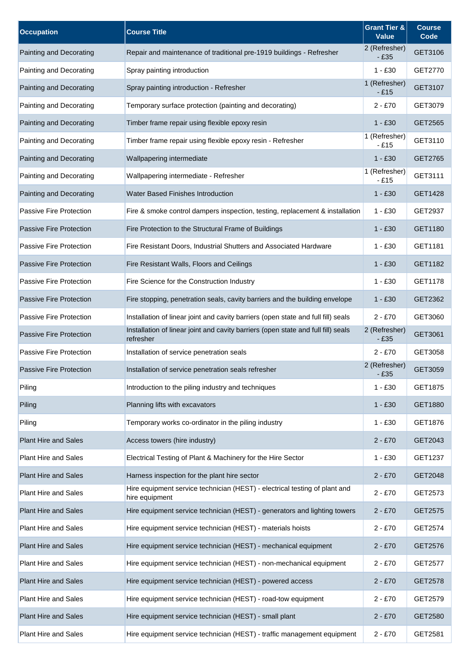| <b>Occupation</b>              | <b>Course Title</b>                                                                            | <b>Grant Tier &amp;</b><br><b>Value</b> | <b>Course</b><br>Code |
|--------------------------------|------------------------------------------------------------------------------------------------|-----------------------------------------|-----------------------|
| Painting and Decorating        | Repair and maintenance of traditional pre-1919 buildings - Refresher                           | 2 (Refresher)<br>$-£35$                 | GET3106               |
| Painting and Decorating        | Spray painting introduction                                                                    | 1 - £30                                 | GET2770               |
| Painting and Decorating        | Spray painting introduction - Refresher                                                        | 1 (Refresher)<br>- £15                  | GET3107               |
| Painting and Decorating        | Temporary surface protection (painting and decorating)                                         | $2 - £70$                               | GET3079               |
| Painting and Decorating        | Timber frame repair using flexible epoxy resin                                                 | $1 - £30$                               | GET2565               |
| Painting and Decorating        | Timber frame repair using flexible epoxy resin - Refresher                                     | 1 (Refresher)<br>$-£15$                 | GET3110               |
| Painting and Decorating        | Wallpapering intermediate                                                                      | $1 - £30$                               | GET2765               |
| Painting and Decorating        | Wallpapering intermediate - Refresher                                                          | 1 (Refresher)<br>$-£15$                 | GET3111               |
| Painting and Decorating        | <b>Water Based Finishes Introduction</b>                                                       | $1 - £30$                               | GET1428               |
| Passive Fire Protection        | Fire & smoke control dampers inspection, testing, replacement & installation                   | $1 - £30$                               | GET2937               |
| <b>Passive Fire Protection</b> | Fire Protection to the Structural Frame of Buildings                                           | $1 - £30$                               | GET1180               |
| Passive Fire Protection        | Fire Resistant Doors, Industrial Shutters and Associated Hardware                              | $1 - £30$                               | GET1181               |
| <b>Passive Fire Protection</b> | Fire Resistant Walls, Floors and Ceilings                                                      | 1 - £30                                 | GET1182               |
| Passive Fire Protection        | Fire Science for the Construction Industry                                                     | $1 - £30$                               | GET1178               |
| Passive Fire Protection        | Fire stopping, penetration seals, cavity barriers and the building envelope                    | $1 - £30$                               | GET2362               |
| Passive Fire Protection        | Installation of linear joint and cavity barriers (open state and full fill) seals              | $2 - £70$                               | GET3060               |
| Passive Fire Protection        | Installation of linear joint and cavity barriers (open state and full fill) seals<br>refresher | 2 (Refresher)<br>$-£35$                 | GET3061               |
| Passive Fire Protection        | Installation of service penetration seals                                                      | $2 - £70$                               | GET3058               |
| <b>Passive Fire Protection</b> | Installation of service penetration seals refresher                                            | 2 (Refresher)<br>$-£35$                 | GET3059               |
| Piling                         | Introduction to the piling industry and techniques                                             | $1 - £30$                               | GET1875               |
| Piling                         | Planning lifts with excavators                                                                 | $1 - £30$                               | GET1880               |
| Piling                         | Temporary works co-ordinator in the piling industry                                            | $1 - £30$                               | GET1876               |
| <b>Plant Hire and Sales</b>    | Access towers (hire industry)                                                                  | $2 - £70$                               | GET2043               |
| <b>Plant Hire and Sales</b>    | Electrical Testing of Plant & Machinery for the Hire Sector                                    | $1 - £30$                               | GET1237               |
| <b>Plant Hire and Sales</b>    | Harness inspection for the plant hire sector                                                   | $2 - £70$                               | GET2048               |
| Plant Hire and Sales           | Hire equipment service technician (HEST) - electrical testing of plant and<br>hire equipment   | $2 - £70$                               | GET2573               |
| <b>Plant Hire and Sales</b>    | Hire equipment service technician (HEST) - generators and lighting towers                      | $2 - £70$                               | GET2575               |
| <b>Plant Hire and Sales</b>    | Hire equipment service technician (HEST) - materials hoists                                    | $2 - £70$                               | GET2574               |
| <b>Plant Hire and Sales</b>    | Hire equipment service technician (HEST) - mechanical equipment                                | $2 - £70$                               | GET2576               |
| <b>Plant Hire and Sales</b>    | Hire equipment service technician (HEST) - non-mechanical equipment                            | $2 - £70$                               | GET2577               |
| <b>Plant Hire and Sales</b>    | Hire equipment service technician (HEST) - powered access                                      | $2 - £70$                               | GET2578               |
| <b>Plant Hire and Sales</b>    | Hire equipment service technician (HEST) - road-tow equipment                                  | $2 - £70$                               | GET2579               |
| <b>Plant Hire and Sales</b>    | Hire equipment service technician (HEST) - small plant                                         | 2 - £70                                 | GET2580               |
| <b>Plant Hire and Sales</b>    | Hire equipment service technician (HEST) - traffic management equipment                        | $2 - £70$                               | GET2581               |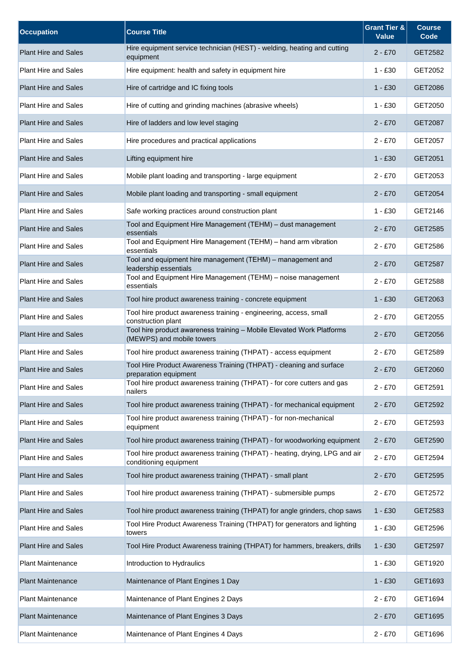| <b>Occupation</b>           | <b>Course Title</b>                                                                                   | <b>Grant Tier &amp;</b><br><b>Value</b> | <b>Course</b><br>Code |
|-----------------------------|-------------------------------------------------------------------------------------------------------|-----------------------------------------|-----------------------|
| <b>Plant Hire and Sales</b> | Hire equipment service technician (HEST) - welding, heating and cutting<br>equipment                  | $2 - £70$                               | GET2582               |
| <b>Plant Hire and Sales</b> | Hire equipment: health and safety in equipment hire                                                   | $1 - £30$                               | GET2052               |
| <b>Plant Hire and Sales</b> | Hire of cartridge and IC fixing tools                                                                 | $1 - £30$                               | GET2086               |
| <b>Plant Hire and Sales</b> | Hire of cutting and grinding machines (abrasive wheels)                                               | $1 - £30$                               | GET2050               |
| <b>Plant Hire and Sales</b> | Hire of ladders and low level staging                                                                 | $2 - £70$                               | <b>GET2087</b>        |
| <b>Plant Hire and Sales</b> | Hire procedures and practical applications                                                            | $2 - £70$                               | GET2057               |
| <b>Plant Hire and Sales</b> | Lifting equipment hire                                                                                | $1 - £30$                               | GET2051               |
| <b>Plant Hire and Sales</b> | Mobile plant loading and transporting - large equipment                                               | $2 - £70$                               | GET2053               |
| <b>Plant Hire and Sales</b> | Mobile plant loading and transporting - small equipment                                               | $2 - £70$                               | GET2054               |
| <b>Plant Hire and Sales</b> | Safe working practices around construction plant                                                      | $1 - £30$                               | GET2146               |
| <b>Plant Hire and Sales</b> | Tool and Equipment Hire Management (TEHM) - dust management<br>essentials                             | $2 - £70$                               | GET2585               |
| <b>Plant Hire and Sales</b> | Tool and Equipment Hire Management (TEHM) - hand arm vibration<br>essentials                          | $2 - £70$                               | GET2586               |
| <b>Plant Hire and Sales</b> | Tool and equipment hire management (TEHM) - management and<br>leadership essentials                   | $2 - £70$                               | GET2587               |
| <b>Plant Hire and Sales</b> | Tool and Equipment Hire Management (TEHM) - noise management<br>essentials                            | $2 - £70$                               | GET2588               |
| <b>Plant Hire and Sales</b> | Tool hire product awareness training - concrete equipment                                             | $1 - £30$                               | GET2063               |
| <b>Plant Hire and Sales</b> | Tool hire product awareness training - engineering, access, small<br>construction plant               | $2 - £70$                               | GET2055               |
| <b>Plant Hire and Sales</b> | Tool hire product awareness training - Mobile Elevated Work Platforms<br>(MEWPS) and mobile towers    | $2 - £70$                               | GET2056               |
| Plant Hire and Sales        | Tool hire product awareness training (THPAT) - access equipment                                       | $2 - £70$                               | GET2589               |
| <b>Plant Hire and Sales</b> | Tool Hire Product Awareness Training (THPAT) - cleaning and surface<br>preparation equipment          | $2 - £70$                               | GET2060               |
| <b>Plant Hire and Sales</b> | Tool hire product awareness training (THPAT) - for core cutters and gas<br>nailers                    | $2 - £70$                               | GET2591               |
| <b>Plant Hire and Sales</b> | Tool hire product awareness training (THPAT) - for mechanical equipment                               | $2 - £70$                               | GET2592               |
| <b>Plant Hire and Sales</b> | Tool hire product awareness training (THPAT) - for non-mechanical<br>equipment                        | $2 - £70$                               | GET2593               |
| <b>Plant Hire and Sales</b> | Tool hire product awareness training (THPAT) - for woodworking equipment                              | $2 - £70$                               | GET2590               |
| Plant Hire and Sales        | Tool hire product awareness training (THPAT) - heating, drying, LPG and air<br>conditioning equipment | $2 - £70$                               | GET2594               |
| <b>Plant Hire and Sales</b> | Tool hire product awareness training (THPAT) - small plant                                            | $2 - £70$                               | GET2595               |
| <b>Plant Hire and Sales</b> | Tool hire product awareness training (THPAT) - submersible pumps                                      | $2 - £70$                               | GET2572               |
| <b>Plant Hire and Sales</b> | Tool hire product awareness training (THPAT) for angle grinders, chop saws                            | $1 - £30$                               | GET2583               |
| <b>Plant Hire and Sales</b> | Tool Hire Product Awareness Training (THPAT) for generators and lighting<br>towers                    | $1 - £30$                               | GET2596               |
| <b>Plant Hire and Sales</b> | Tool Hire Product Awareness training (THPAT) for hammers, breakers, drills                            | $1 - £30$                               | GET2597               |
| <b>Plant Maintenance</b>    | Introduction to Hydraulics                                                                            | $1 - £30$                               | GET1920               |
| <b>Plant Maintenance</b>    | Maintenance of Plant Engines 1 Day                                                                    | $1 - £30$                               | GET1693               |
| <b>Plant Maintenance</b>    | Maintenance of Plant Engines 2 Days                                                                   | $2 - £70$                               | GET1694               |
| <b>Plant Maintenance</b>    | Maintenance of Plant Engines 3 Days                                                                   | $2 - £70$                               | GET1695               |
| <b>Plant Maintenance</b>    | Maintenance of Plant Engines 4 Days                                                                   | $2 - £70$                               | GET1696               |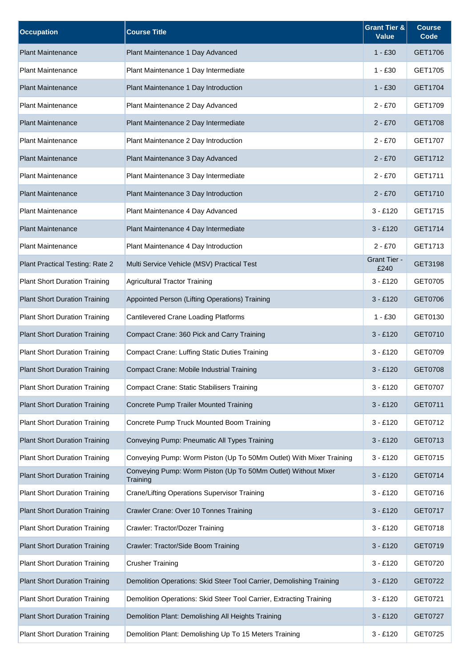| <b>Occupation</b>                    | <b>Course Title</b>                                                       | <b>Grant Tier &amp;</b><br><b>Value</b> | <b>Course</b><br>Code |
|--------------------------------------|---------------------------------------------------------------------------|-----------------------------------------|-----------------------|
| <b>Plant Maintenance</b>             | Plant Maintenance 1 Day Advanced                                          | $1 - £30$                               | GET1706               |
| <b>Plant Maintenance</b>             | Plant Maintenance 1 Day Intermediate                                      | $1 - £30$                               | GET1705               |
| <b>Plant Maintenance</b>             | Plant Maintenance 1 Day Introduction                                      | $1 - £30$                               | GET1704               |
| <b>Plant Maintenance</b>             | Plant Maintenance 2 Day Advanced                                          | $2 - £70$                               | GET1709               |
| <b>Plant Maintenance</b>             | Plant Maintenance 2 Day Intermediate                                      | $2 - £70$                               | GET1708               |
| <b>Plant Maintenance</b>             | Plant Maintenance 2 Day Introduction                                      | $2 - £70$                               | GET1707               |
| <b>Plant Maintenance</b>             | Plant Maintenance 3 Day Advanced                                          | $2 - £70$                               | GET1712               |
| <b>Plant Maintenance</b>             | Plant Maintenance 3 Day Intermediate                                      | $2 - £70$                               | GET1711               |
| <b>Plant Maintenance</b>             | Plant Maintenance 3 Day Introduction                                      | $2 - £70$                               | GET1710               |
| <b>Plant Maintenance</b>             | Plant Maintenance 4 Day Advanced                                          | $3 - £120$                              | GET1715               |
| <b>Plant Maintenance</b>             | Plant Maintenance 4 Day Intermediate                                      | $3 - £120$                              | GET1714               |
| <b>Plant Maintenance</b>             | Plant Maintenance 4 Day Introduction                                      | $2 - £70$                               | GET1713               |
| Plant Practical Testing: Rate 2      | Multi Service Vehicle (MSV) Practical Test                                | Grant Tier -<br>£240                    | GET3198               |
| <b>Plant Short Duration Training</b> | <b>Agricultural Tractor Training</b>                                      | $3 - £120$                              | GET0705               |
| <b>Plant Short Duration Training</b> | Appointed Person (Lifting Operations) Training                            | $3 - £120$                              | GET0706               |
| <b>Plant Short Duration Training</b> | <b>Cantilevered Crane Loading Platforms</b>                               | $1 - £30$                               | GET0130               |
| <b>Plant Short Duration Training</b> | Compact Crane: 360 Pick and Carry Training                                | $3 - £120$                              | GET0710               |
| <b>Plant Short Duration Training</b> | <b>Compact Crane: Luffing Static Duties Training</b>                      | $3 - £120$                              | GET0709               |
| <b>Plant Short Duration Training</b> | Compact Crane: Mobile Industrial Training                                 | $3 - £120$                              | <b>GET0708</b>        |
| <b>Plant Short Duration Training</b> | <b>Compact Crane: Static Stabilisers Training</b>                         | $3 - £120$                              | GET0707               |
| <b>Plant Short Duration Training</b> | Concrete Pump Trailer Mounted Training                                    | $3 - £120$                              | GET0711               |
| <b>Plant Short Duration Training</b> | Concrete Pump Truck Mounted Boom Training                                 | $3 - £120$                              | GET0712               |
| <b>Plant Short Duration Training</b> | Conveying Pump: Pneumatic All Types Training                              | $3 - £120$                              | GET0713               |
| <b>Plant Short Duration Training</b> | Conveying Pump: Worm Piston (Up To 50Mm Outlet) With Mixer Training       | $3 - £120$                              | GET0715               |
| <b>Plant Short Duration Training</b> | Conveying Pump: Worm Piston (Up To 50Mm Outlet) Without Mixer<br>Training | $3 - £120$                              | GET0714               |
| <b>Plant Short Duration Training</b> | Crane/Lifting Operations Supervisor Training                              | $3 - £120$                              | GET0716               |
| <b>Plant Short Duration Training</b> | Crawler Crane: Over 10 Tonnes Training                                    | $3 - £120$                              | GET0717               |
| <b>Plant Short Duration Training</b> | Crawler: Tractor/Dozer Training                                           | $3 - £120$                              | GET0718               |
| <b>Plant Short Duration Training</b> | Crawler: Tractor/Side Boom Training                                       | $3 - £120$                              | GET0719               |
| <b>Plant Short Duration Training</b> | <b>Crusher Training</b>                                                   | $3 - £120$                              | GET0720               |
| <b>Plant Short Duration Training</b> | Demolition Operations: Skid Steer Tool Carrier, Demolishing Training      | $3 - £120$                              | GET0722               |
| <b>Plant Short Duration Training</b> | Demolition Operations: Skid Steer Tool Carrier, Extracting Training       | $3 - £120$                              | GET0721               |
| <b>Plant Short Duration Training</b> | Demolition Plant: Demolishing All Heights Training                        | $3 - £120$                              | GET0727               |
| <b>Plant Short Duration Training</b> | Demolition Plant: Demolishing Up To 15 Meters Training                    | $3 - £120$                              | GET0725               |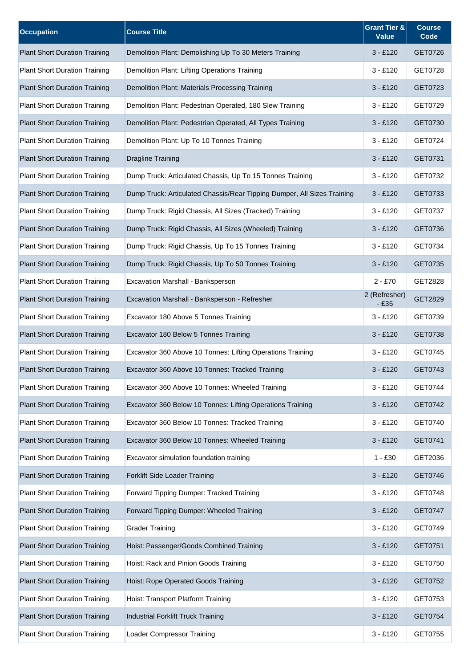| <b>Occupation</b>                    | <b>Course Title</b>                                                     | <b>Grant Tier &amp;</b><br><b>Value</b> | <b>Course</b><br>Code |
|--------------------------------------|-------------------------------------------------------------------------|-----------------------------------------|-----------------------|
| <b>Plant Short Duration Training</b> | Demolition Plant: Demolishing Up To 30 Meters Training                  | $3 - £120$                              | GET0726               |
| <b>Plant Short Duration Training</b> | Demolition Plant: Lifting Operations Training                           | $3 - £120$                              | GET0728               |
| <b>Plant Short Duration Training</b> | Demolition Plant: Materials Processing Training                         | $3 - £120$                              | GET0723               |
| <b>Plant Short Duration Training</b> | Demolition Plant: Pedestrian Operated, 180 Slew Training                | $3 - £120$                              | GET0729               |
| <b>Plant Short Duration Training</b> | Demolition Plant: Pedestrian Operated, All Types Training               | $3 - £120$                              | GET0730               |
| <b>Plant Short Duration Training</b> | Demolition Plant: Up To 10 Tonnes Training                              | $3 - £120$                              | GET0724               |
| <b>Plant Short Duration Training</b> | <b>Dragline Training</b>                                                | $3 - £120$                              | GET0731               |
| <b>Plant Short Duration Training</b> | Dump Truck: Articulated Chassis, Up To 15 Tonnes Training               | $3 - £120$                              | GET0732               |
| <b>Plant Short Duration Training</b> | Dump Truck: Articulated Chassis/Rear Tipping Dumper, All Sizes Training | $3 - £120$                              | GET0733               |
| <b>Plant Short Duration Training</b> | Dump Truck: Rigid Chassis, All Sizes (Tracked) Training                 | $3 - £120$                              | GET0737               |
| <b>Plant Short Duration Training</b> | Dump Truck: Rigid Chassis, All Sizes (Wheeled) Training                 | $3 - £120$                              | GET0736               |
| <b>Plant Short Duration Training</b> | Dump Truck: Rigid Chassis, Up To 15 Tonnes Training                     | $3 - £120$                              | GET0734               |
| <b>Plant Short Duration Training</b> | Dump Truck: Rigid Chassis, Up To 50 Tonnes Training                     | $3 - £120$                              | GET0735               |
| <b>Plant Short Duration Training</b> | Excavation Marshall - Banksperson                                       | $2 - £70$                               | GET2828               |
| <b>Plant Short Duration Training</b> | Excavation Marshall - Banksperson - Refresher                           | 2 (Refresher)<br>$-£35$                 | GET2829               |
| <b>Plant Short Duration Training</b> | Excavator 180 Above 5 Tonnes Training                                   | $3 - £120$                              | GET0739               |
| <b>Plant Short Duration Training</b> | Excavator 180 Below 5 Tonnes Training                                   | $3 - £120$                              | GET0738               |
| <b>Plant Short Duration Training</b> | Excavator 360 Above 10 Tonnes: Lifting Operations Training              | $3 - £120$                              | GET0745               |
| <b>Plant Short Duration Training</b> | Excavator 360 Above 10 Tonnes: Tracked Training                         | $3 - £120$                              | GET0743               |
| <b>Plant Short Duration Training</b> | Excavator 360 Above 10 Tonnes: Wheeled Training                         | $3 - £120$                              | GET0744               |
| <b>Plant Short Duration Training</b> | Excavator 360 Below 10 Tonnes: Lifting Operations Training              | $3 - £120$                              | GET0742               |
| <b>Plant Short Duration Training</b> | Excavator 360 Below 10 Tonnes: Tracked Training                         | $3 - £120$                              | GET0740               |
| <b>Plant Short Duration Training</b> | Excavator 360 Below 10 Tonnes: Wheeled Training                         | $3 - £120$                              | GET0741               |
| <b>Plant Short Duration Training</b> | Excavator simulation foundation training                                | $1 - £30$                               | GET2036               |
| <b>Plant Short Duration Training</b> | Forklift Side Loader Training                                           | $3 - £120$                              | GET0746               |
| <b>Plant Short Duration Training</b> | Forward Tipping Dumper: Tracked Training                                | $3 - £120$                              | GET0748               |
| <b>Plant Short Duration Training</b> | Forward Tipping Dumper: Wheeled Training                                | $3 - £120$                              | GET0747               |
| <b>Plant Short Duration Training</b> | <b>Grader Training</b>                                                  | $3 - £120$                              | GET0749               |
| <b>Plant Short Duration Training</b> | Hoist: Passenger/Goods Combined Training                                | $3 - £120$                              | GET0751               |
| <b>Plant Short Duration Training</b> | Hoist: Rack and Pinion Goods Training                                   | $3 - £120$                              | GET0750               |
| <b>Plant Short Duration Training</b> | Hoist: Rope Operated Goods Training                                     | $3 - £120$                              | GET0752               |
| <b>Plant Short Duration Training</b> | Hoist: Transport Platform Training                                      | $3 - £120$                              | GET0753               |
| <b>Plant Short Duration Training</b> | <b>Industrial Forklift Truck Training</b>                               | $3 - £120$                              | GET0754               |
| <b>Plant Short Duration Training</b> | <b>Loader Compressor Training</b>                                       | $3 - £120$                              | GET0755               |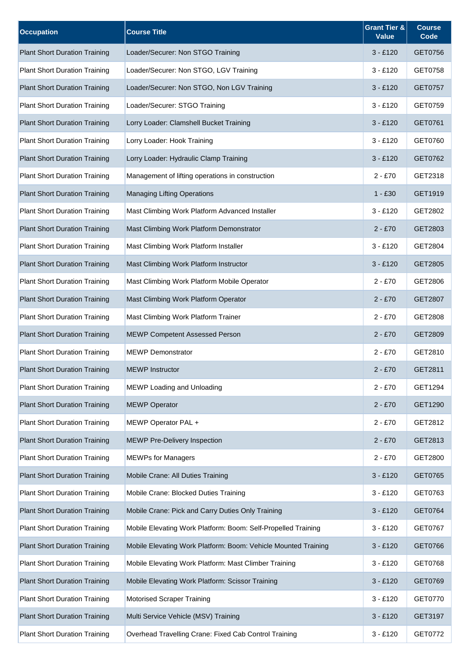| <b>Occupation</b>                    | <b>Course Title</b>                                            | <b>Grant Tier &amp;</b><br><b>Value</b> | <b>Course</b><br>Code |
|--------------------------------------|----------------------------------------------------------------|-----------------------------------------|-----------------------|
| <b>Plant Short Duration Training</b> | Loader/Securer: Non STGO Training                              | $3 - £120$                              | GET0756               |
| <b>Plant Short Duration Training</b> | Loader/Securer: Non STGO, LGV Training                         | $3 - £120$                              | GET0758               |
| <b>Plant Short Duration Training</b> | Loader/Securer: Non STGO, Non LGV Training                     | $3 - £120$                              | GET0757               |
| <b>Plant Short Duration Training</b> | Loader/Securer: STGO Training                                  | $3 - £120$                              | GET0759               |
| <b>Plant Short Duration Training</b> | Lorry Loader: Clamshell Bucket Training                        | $3 - £120$                              | GET0761               |
| <b>Plant Short Duration Training</b> | Lorry Loader: Hook Training                                    | $3 - £120$                              | GET0760               |
| <b>Plant Short Duration Training</b> | Lorry Loader: Hydraulic Clamp Training                         | $3 - £120$                              | GET0762               |
| <b>Plant Short Duration Training</b> | Management of lifting operations in construction               | $2 - £70$                               | GET2318               |
| <b>Plant Short Duration Training</b> | <b>Managing Lifting Operations</b>                             | $1 - £30$                               | GET1919               |
| <b>Plant Short Duration Training</b> | Mast Climbing Work Platform Advanced Installer                 | $3 - £120$                              | GET2802               |
| <b>Plant Short Duration Training</b> | Mast Climbing Work Platform Demonstrator                       | $2 - £70$                               | GET2803               |
| <b>Plant Short Duration Training</b> | Mast Climbing Work Platform Installer                          | $3 - £120$                              | GET2804               |
| <b>Plant Short Duration Training</b> | Mast Climbing Work Platform Instructor                         | $3 - £120$                              | GET2805               |
| <b>Plant Short Duration Training</b> | Mast Climbing Work Platform Mobile Operator                    | $2 - £70$                               | GET2806               |
| <b>Plant Short Duration Training</b> | Mast Climbing Work Platform Operator                           | $2 - £70$                               | GET2807               |
| <b>Plant Short Duration Training</b> | Mast Climbing Work Platform Trainer                            | $2 - £70$                               | GET2808               |
| <b>Plant Short Duration Training</b> | <b>MEWP Competent Assessed Person</b>                          | $2 - £70$                               | GET2809               |
| <b>Plant Short Duration Training</b> | <b>MEWP Demonstrator</b>                                       | $2 - £70$                               | GET2810               |
| <b>Plant Short Duration Training</b> | <b>MEWP Instructor</b>                                         | $2 - £70$                               | GET2811               |
| <b>Plant Short Duration Training</b> | MEWP Loading and Unloading                                     | $2 - £70$                               | GET1294               |
| <b>Plant Short Duration Training</b> | <b>MEWP Operator</b>                                           | $2 - £70$                               | GET1290               |
| <b>Plant Short Duration Training</b> | MEWP Operator PAL +                                            | $2 - £70$                               | GET2812               |
| <b>Plant Short Duration Training</b> | <b>MEWP Pre-Delivery Inspection</b>                            | $2 - £70$                               | GET2813               |
| <b>Plant Short Duration Training</b> | <b>MEWPs for Managers</b>                                      | $2 - £70$                               | GET2800               |
| <b>Plant Short Duration Training</b> | Mobile Crane: All Duties Training                              | $3 - £120$                              | GET0765               |
| <b>Plant Short Duration Training</b> | Mobile Crane: Blocked Duties Training                          | $3 - £120$                              | GET0763               |
| <b>Plant Short Duration Training</b> | Mobile Crane: Pick and Carry Duties Only Training              | $3 - £120$                              | GET0764               |
| <b>Plant Short Duration Training</b> | Mobile Elevating Work Platform: Boom: Self-Propelled Training  | $3 - £120$                              | GET0767               |
| <b>Plant Short Duration Training</b> | Mobile Elevating Work Platform: Boom: Vehicle Mounted Training | $3 - £120$                              | GET0766               |
| <b>Plant Short Duration Training</b> | Mobile Elevating Work Platform: Mast Climber Training          | $3 - £120$                              | GET0768               |
| <b>Plant Short Duration Training</b> | Mobile Elevating Work Platform: Scissor Training               | $3 - £120$                              | GET0769               |
| <b>Plant Short Duration Training</b> | <b>Motorised Scraper Training</b>                              | $3 - £120$                              | GET0770               |
| <b>Plant Short Duration Training</b> | Multi Service Vehicle (MSV) Training                           | $3 - £120$                              | GET3197               |
| <b>Plant Short Duration Training</b> | Overhead Travelling Crane: Fixed Cab Control Training          | $3 - £120$                              | GET0772               |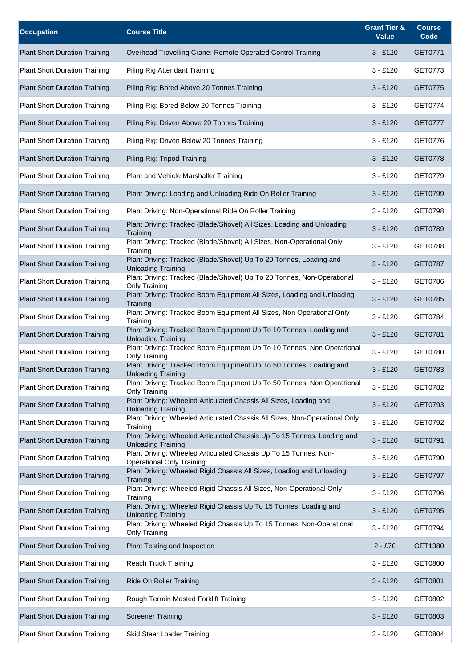| <b>Occupation</b>                    | <b>Course Title</b>                                                                                  | <b>Grant Tier &amp;</b><br><b>Value</b> | <b>Course</b><br>Code |
|--------------------------------------|------------------------------------------------------------------------------------------------------|-----------------------------------------|-----------------------|
| <b>Plant Short Duration Training</b> | Overhead Travelling Crane: Remote Operated Control Training                                          | $3 - £120$                              | GET0771               |
| <b>Plant Short Duration Training</b> | Piling Rig Attendant Training                                                                        | $3 - £120$                              | GET0773               |
| <b>Plant Short Duration Training</b> | Piling Rig: Bored Above 20 Tonnes Training                                                           | $3 - £120$                              | GET0775               |
| <b>Plant Short Duration Training</b> | Piling Rig: Bored Below 20 Tonnes Training                                                           | $3 - £120$                              | GET0774               |
| <b>Plant Short Duration Training</b> | Piling Rig: Driven Above 20 Tonnes Training                                                          | $3 - £120$                              | <b>GET0777</b>        |
| <b>Plant Short Duration Training</b> | Piling Rig: Driven Below 20 Tonnes Training                                                          | $3 - £120$                              | GET0776               |
| <b>Plant Short Duration Training</b> | Piling Rig: Tripod Training                                                                          | $3 - £120$                              | GET0778               |
| <b>Plant Short Duration Training</b> | <b>Plant and Vehicle Marshaller Training</b>                                                         | $3 - £120$                              | GET0779               |
| <b>Plant Short Duration Training</b> | Plant Driving: Loading and Unloading Ride On Roller Training                                         | $3 - £120$                              | GET0799               |
| <b>Plant Short Duration Training</b> | Plant Driving: Non-Operational Ride On Roller Training                                               | $3 - £120$                              | GET0798               |
| <b>Plant Short Duration Training</b> | Plant Driving: Tracked (Blade/Shovel) All Sizes, Loading and Unloading<br>Training                   | $3 - £120$                              | GET0789               |
| <b>Plant Short Duration Training</b> | Plant Driving: Tracked (Blade/Shovel) All Sizes, Non-Operational Only<br>Training                    | $3 - £120$                              | GET0788               |
| <b>Plant Short Duration Training</b> | Plant Driving: Tracked (Blade/Shovel) Up To 20 Tonnes, Loading and<br><b>Unloading Training</b>      | $3 - £120$                              | <b>GET0787</b>        |
| <b>Plant Short Duration Training</b> | Plant Driving: Tracked (Blade/Shovel) Up To 20 Tonnes, Non-Operational<br>Only Training              | $3 - £120$                              | GET0786               |
| <b>Plant Short Duration Training</b> | Plant Driving: Tracked Boom Equipment All Sizes, Loading and Unloading<br>Training                   | $3 - £120$                              | GET0785               |
| <b>Plant Short Duration Training</b> | Plant Driving: Tracked Boom Equipment All Sizes, Non Operational Only<br>Training                    | $3 - £120$                              | GET0784               |
| <b>Plant Short Duration Training</b> | Plant Driving: Tracked Boom Equipment Up To 10 Tonnes, Loading and<br><b>Unloading Training</b>      | $3 - £120$                              | GET0781               |
| <b>Plant Short Duration Training</b> | Plant Driving: Tracked Boom Equipment Up To 10 Tonnes, Non Operational<br>Only Training              | $3 - £120$                              | GET0780               |
| <b>Plant Short Duration Training</b> | Plant Driving: Tracked Boom Equipment Up To 50 Tonnes, Loading and<br><b>Unloading Training</b>      | $3 - £120$                              | GET0783               |
| <b>Plant Short Duration Training</b> | Plant Driving: Tracked Boom Equipment Up To 50 Tonnes, Non Operational<br>Only Training              | $3 - £120$                              | GET0782               |
| <b>Plant Short Duration Training</b> | Plant Driving: Wheeled Articulated Chassis All Sizes, Loading and<br><b>Unloading Training</b>       | $3 - £120$                              | GET0793               |
| <b>Plant Short Duration Training</b> | Plant Driving: Wheeled Articulated Chassis All Sizes, Non-Operational Only<br>Training               | $3 - £120$                              | GET0792               |
| <b>Plant Short Duration Training</b> | Plant Driving: Wheeled Articulated Chassis Up To 15 Tonnes, Loading and<br><b>Unloading Training</b> | $3 - £120$                              | GET0791               |
| <b>Plant Short Duration Training</b> | Plant Driving: Wheeled Articulated Chassis Up To 15 Tonnes, Non-<br><b>Operational Only Training</b> | $3 - £120$                              | GET0790               |
| <b>Plant Short Duration Training</b> | Plant Driving: Wheeled Rigid Chassis All Sizes, Loading and Unloading<br>Training                    | $3 - £120$                              | <b>GET0797</b>        |
| <b>Plant Short Duration Training</b> | Plant Driving: Wheeled Rigid Chassis All Sizes, Non-Operational Only<br>Training                     | $3 - £120$                              | GET0796               |
| <b>Plant Short Duration Training</b> | Plant Driving: Wheeled Rigid Chassis Up To 15 Tonnes, Loading and<br><b>Unloading Training</b>       | $3 - £120$                              | GET0795               |
| <b>Plant Short Duration Training</b> | Plant Driving: Wheeled Rigid Chassis Up To 15 Tonnes, Non-Operational<br>Only Training               | $3 - £120$                              | GET0794               |
| <b>Plant Short Duration Training</b> | Plant Testing and Inspection                                                                         | $2 - £70$                               | GET1380               |
| <b>Plant Short Duration Training</b> | Reach Truck Training                                                                                 | $3 - £120$                              | GET0800               |
| <b>Plant Short Duration Training</b> | Ride On Roller Training                                                                              | $3 - £120$                              | GET0801               |
| <b>Plant Short Duration Training</b> | Rough Terrain Masted Forklift Training                                                               | $3 - £120$                              | GET0802               |
| <b>Plant Short Duration Training</b> | <b>Screener Training</b>                                                                             | $3 - £120$                              | GET0803               |
| <b>Plant Short Duration Training</b> | <b>Skid Steer Loader Training</b>                                                                    | $3 - £120$                              | GET0804               |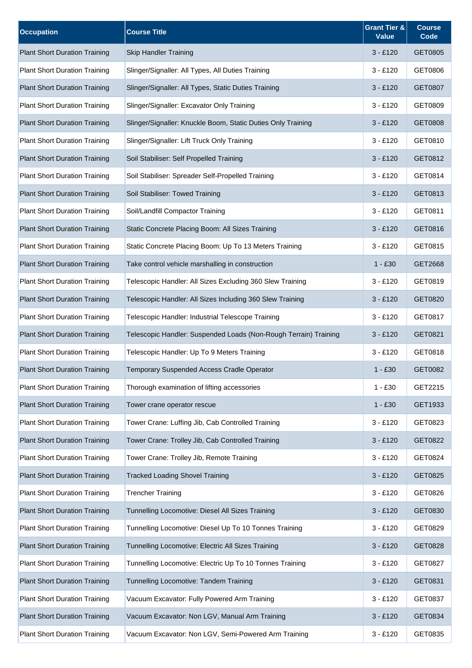| <b>Occupation</b>                    | <b>Course Title</b>                                              | <b>Grant Tier &amp;</b><br><b>Value</b> | <b>Course</b><br>Code |
|--------------------------------------|------------------------------------------------------------------|-----------------------------------------|-----------------------|
| <b>Plant Short Duration Training</b> | <b>Skip Handler Training</b>                                     | $3 - £120$                              | GET0805               |
| <b>Plant Short Duration Training</b> | Slinger/Signaller: All Types, All Duties Training                | $3 - £120$                              | GET0806               |
| <b>Plant Short Duration Training</b> | Slinger/Signaller: All Types, Static Duties Training             | $3 - £120$                              | GET0807               |
| <b>Plant Short Duration Training</b> | Slinger/Signaller: Excavator Only Training                       | $3 - £120$                              | GET0809               |
| <b>Plant Short Duration Training</b> | Slinger/Signaller: Knuckle Boom, Static Duties Only Training     | $3 - £120$                              | GET0808               |
| <b>Plant Short Duration Training</b> | Slinger/Signaller: Lift Truck Only Training                      | $3 - £120$                              | GET0810               |
| <b>Plant Short Duration Training</b> | Soil Stabiliser: Self Propelled Training                         | $3 - £120$                              | GET0812               |
| <b>Plant Short Duration Training</b> | Soil Stabiliser: Spreader Self-Propelled Training                | $3 - £120$                              | GET0814               |
| <b>Plant Short Duration Training</b> | Soil Stabiliser: Towed Training                                  | $3 - £120$                              | GET0813               |
| <b>Plant Short Duration Training</b> | Soil/Landfill Compactor Training                                 | $3 - £120$                              | GET0811               |
| <b>Plant Short Duration Training</b> | Static Concrete Placing Boom: All Sizes Training                 | $3 - £120$                              | GET0816               |
| <b>Plant Short Duration Training</b> | Static Concrete Placing Boom: Up To 13 Meters Training           | $3 - £120$                              | GET0815               |
| <b>Plant Short Duration Training</b> | Take control vehicle marshalling in construction                 | $1 - £30$                               | GET2668               |
| <b>Plant Short Duration Training</b> | Telescopic Handler: All Sizes Excluding 360 Slew Training        | $3 - £120$                              | GET0819               |
| <b>Plant Short Duration Training</b> | Telescopic Handler: All Sizes Including 360 Slew Training        | $3 - £120$                              | GET0820               |
| <b>Plant Short Duration Training</b> | Telescopic Handler: Industrial Telescope Training                | $3 - £120$                              | GET0817               |
| <b>Plant Short Duration Training</b> | Telescopic Handler: Suspended Loads (Non-Rough Terrain) Training | $3 - £120$                              | GET0821               |
| <b>Plant Short Duration Training</b> | Telescopic Handler: Up To 9 Meters Training                      | $3 - £120$                              | GET0818               |
| <b>Plant Short Duration Training</b> | Temporary Suspended Access Cradle Operator                       | $1 - £30$                               | GET0082               |
| <b>Plant Short Duration Training</b> | Thorough examination of lifting accessories                      | $1 - £30$                               | GET2215               |
| <b>Plant Short Duration Training</b> | Tower crane operator rescue                                      | $1 - £30$                               | GET1933               |
| <b>Plant Short Duration Training</b> | Tower Crane: Luffing Jib, Cab Controlled Training                | $3 - £120$                              | GET0823               |
| <b>Plant Short Duration Training</b> | Tower Crane: Trolley Jib, Cab Controlled Training                | $3 - £120$                              | GET0822               |
| <b>Plant Short Duration Training</b> | Tower Crane: Trolley Jib, Remote Training                        | $3 - £120$                              | GET0824               |
| <b>Plant Short Duration Training</b> | <b>Tracked Loading Shovel Training</b>                           | $3 - £120$                              | GET0825               |
| <b>Plant Short Duration Training</b> | <b>Trencher Training</b>                                         | $3 - £120$                              | GET0826               |
| <b>Plant Short Duration Training</b> | Tunnelling Locomotive: Diesel All Sizes Training                 | $3 - £120$                              | GET0830               |
| <b>Plant Short Duration Training</b> | Tunnelling Locomotive: Diesel Up To 10 Tonnes Training           | $3 - £120$                              | GET0829               |
| <b>Plant Short Duration Training</b> | Tunnelling Locomotive: Electric All Sizes Training               | $3 - £120$                              | GET0828               |
| <b>Plant Short Duration Training</b> | Tunnelling Locomotive: Electric Up To 10 Tonnes Training         | $3 - £120$                              | GET0827               |
| <b>Plant Short Duration Training</b> | Tunnelling Locomotive: Tandem Training                           | $3 - £120$                              | GET0831               |
| <b>Plant Short Duration Training</b> | Vacuum Excavator: Fully Powered Arm Training                     | $3 - £120$                              | GET0837               |
| <b>Plant Short Duration Training</b> | Vacuum Excavator: Non LGV, Manual Arm Training                   | $3 - £120$                              | GET0834               |
| <b>Plant Short Duration Training</b> | Vacuum Excavator: Non LGV, Semi-Powered Arm Training             | $3 - £120$                              | GET0835               |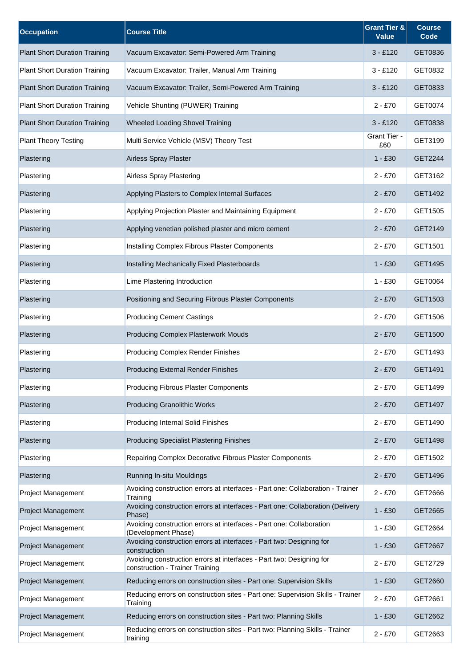| <b>Occupation</b>                    | <b>Course Title</b>                                                                                     | <b>Grant Tier &amp;</b><br><b>Value</b> | <b>Course</b><br>Code |
|--------------------------------------|---------------------------------------------------------------------------------------------------------|-----------------------------------------|-----------------------|
| <b>Plant Short Duration Training</b> | Vacuum Excavator: Semi-Powered Arm Training                                                             | $3 - £120$                              | GET0836               |
| <b>Plant Short Duration Training</b> | Vacuum Excavator: Trailer, Manual Arm Training                                                          | $3 - £120$                              | GET0832               |
| <b>Plant Short Duration Training</b> | Vacuum Excavator: Trailer, Semi-Powered Arm Training                                                    | $3 - £120$                              | GET0833               |
| <b>Plant Short Duration Training</b> | Vehicle Shunting (PUWER) Training                                                                       | $2 - £70$                               | GET0074               |
| <b>Plant Short Duration Training</b> | <b>Wheeled Loading Shovel Training</b>                                                                  | $3 - £120$                              | GET0838               |
| <b>Plant Theory Testing</b>          | Multi Service Vehicle (MSV) Theory Test                                                                 | Grant Tier -<br>£60                     | GET3199               |
| Plastering                           | Airless Spray Plaster                                                                                   | $1 - £30$                               | GET2244               |
| Plastering                           | Airless Spray Plastering                                                                                | $2 - £70$                               | GET3162               |
| Plastering                           | Applying Plasters to Complex Internal Surfaces                                                          | $2 - £70$                               | GET1492               |
| Plastering                           | Applying Projection Plaster and Maintaining Equipment                                                   | $2 - £70$                               | GET1505               |
| Plastering                           | Applying venetian polished plaster and micro cement                                                     | $2 - £70$                               | GET2149               |
| Plastering                           | Installing Complex Fibrous Plaster Components                                                           | $2 - £70$                               | GET1501               |
| Plastering                           | Installing Mechanically Fixed Plasterboards                                                             | $1 - £30$                               | GET1495               |
| Plastering                           | Lime Plastering Introduction                                                                            | $1 - £30$                               | GET0064               |
| Plastering                           | Positioning and Securing Fibrous Plaster Components                                                     | $2 - £70$                               | GET1503               |
| Plastering                           | <b>Producing Cement Castings</b>                                                                        | $2 - £70$                               | GET1506               |
| Plastering                           | <b>Producing Complex Plasterwork Mouds</b>                                                              | $2 - £70$                               | GET1500               |
| Plastering                           | <b>Producing Complex Render Finishes</b>                                                                | $2 - £70$                               | GET1493               |
| Plastering                           | <b>Producing External Render Finishes</b>                                                               | $2 - £70$                               | GET1491               |
| Plastering                           | <b>Producing Fibrous Plaster Components</b>                                                             | $2 - £70$                               | GET1499               |
| Plastering                           | <b>Producing Granolithic Works</b>                                                                      | $2 - £70$                               | GET1497               |
| Plastering                           | <b>Producing Internal Solid Finishes</b>                                                                | $2 - £70$                               | GET1490               |
| Plastering                           | <b>Producing Specialist Plastering Finishes</b>                                                         | $2 - £70$                               | GET1498               |
| Plastering                           | Repairing Complex Decorative Fibrous Plaster Components                                                 | $2 - £70$                               | GET1502               |
| Plastering                           | Running In-situ Mouldings                                                                               | $2 - £70$                               | GET1496               |
| <b>Project Management</b>            | Avoiding construction errors at interfaces - Part one: Collaboration - Trainer<br>Training              | $2 - £70$                               | GET2666               |
| <b>Project Management</b>            | Avoiding construction errors at interfaces - Part one: Collaboration (Delivery<br>Phase)                | $1 - £30$                               | GET2665               |
| Project Management                   | Avoiding construction errors at interfaces - Part one: Collaboration<br>(Development Phase)             | $1 - £30$                               | GET2664               |
| <b>Project Management</b>            | Avoiding construction errors at interfaces - Part two: Designing for<br>construction                    | $1 - £30$                               | GET2667               |
| <b>Project Management</b>            | Avoiding construction errors at interfaces - Part two: Designing for<br>construction - Trainer Training | $2 - £70$                               | GET2729               |
| <b>Project Management</b>            | Reducing errors on construction sites - Part one: Supervision Skills                                    | $1 - £30$                               | GET2660               |
| Project Management                   | Reducing errors on construction sites - Part one: Supervision Skills - Trainer<br>Training              | $2 - £70$                               | GET2661               |
| <b>Project Management</b>            | Reducing errors on construction sites - Part two: Planning Skills                                       | $1 - £30$                               | GET2662               |
| Project Management                   | Reducing errors on construction sites - Part two: Planning Skills - Trainer<br>training                 | $2 - £70$                               | GET2663               |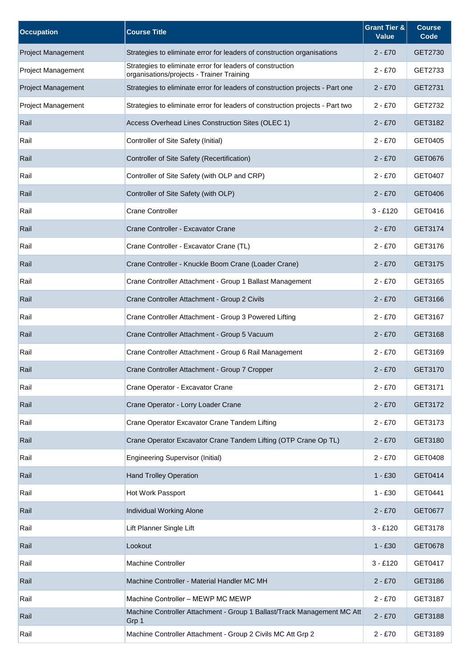| <b>Occupation</b>         | <b>Course Title</b>                                                                                    | <b>Grant Tier &amp;</b><br><b>Value</b> | <b>Course</b><br>Code |
|---------------------------|--------------------------------------------------------------------------------------------------------|-----------------------------------------|-----------------------|
| <b>Project Management</b> | Strategies to eliminate error for leaders of construction organisations                                | $2 - £70$                               | GET2730               |
| <b>Project Management</b> | Strategies to eliminate error for leaders of construction<br>organisations/projects - Trainer Training | $2 - £70$                               | GET2733               |
| <b>Project Management</b> | Strategies to eliminate error for leaders of construction projects - Part one                          | $2 - £70$                               | GET2731               |
| <b>Project Management</b> | Strategies to eliminate error for leaders of construction projects - Part two                          | $2 - £70$                               | GET2732               |
| Rail                      | Access Overhead Lines Construction Sites (OLEC 1)                                                      | $2 - £70$                               | GET3182               |
| Rail                      | Controller of Site Safety (Initial)                                                                    | $2 - £70$                               | GET0405               |
| Rail                      | Controller of Site Safety (Recertification)                                                            | $2 - £70$                               | GET0676               |
| Rail                      | Controller of Site Safety (with OLP and CRP)                                                           | $2 - £70$                               | GET0407               |
| Rail                      | Controller of Site Safety (with OLP)                                                                   | $2 - £70$                               | GET0406               |
| Rail                      | Crane Controller                                                                                       | $3 - £120$                              | GET0416               |
| Rail                      | Crane Controller - Excavator Crane                                                                     | $2 - £70$                               | GET3174               |
| Rail                      | Crane Controller - Excavator Crane (TL)                                                                | $2 - £70$                               | GET3176               |
| Rail                      | Crane Controller - Knuckle Boom Crane (Loader Crane)                                                   | $2 - £70$                               | GET3175               |
| Rail                      | Crane Controller Attachment - Group 1 Ballast Management                                               | $2 - £70$                               | GET3165               |
| Rail                      | Crane Controller Attachment - Group 2 Civils                                                           | $2 - £70$                               | GET3166               |
| Rail                      | Crane Controller Attachment - Group 3 Powered Lifting                                                  | $2 - £70$                               | GET3167               |
| Rail                      | Crane Controller Attachment - Group 5 Vacuum                                                           | $2 - £70$                               | GET3168               |
| Rail                      | Crane Controller Attachment - Group 6 Rail Management                                                  | $2 - £70$                               | GET3169               |
| Rail                      | Crane Controller Attachment - Group 7 Cropper                                                          | $2 - £70$                               | GET3170               |
| Rail                      | Crane Operator - Excavator Crane                                                                       | $2 - £70$                               | GET3171               |
| Rail                      | Crane Operator - Lorry Loader Crane                                                                    | $2 - £70$                               | GET3172               |
| Rail                      | Crane Operator Excavator Crane Tandem Lifting                                                          | $2 - £70$                               | GET3173               |
| Rail                      | Crane Operator Excavator Crane Tandem Lifting (OTP Crane Op TL)                                        | $2 - £70$                               | GET3180               |
| Rail                      | <b>Engineering Supervisor (Initial)</b>                                                                | $2 - £70$                               | GET0408               |
| Rail                      | <b>Hand Trolley Operation</b>                                                                          | $1 - £30$                               | GET0414               |
| Rail                      | Hot Work Passport                                                                                      | $1 - £30$                               | GET0441               |
| Rail                      | Individual Working Alone                                                                               | $2 - £70$                               | GET0677               |
| Rail                      | Lift Planner Single Lift                                                                               | $3 - £120$                              | GET3178               |
| Rail                      | Lookout                                                                                                | $1 - £30$                               | GET0678               |
| Rail                      | Machine Controller                                                                                     | $3 - £120$                              | GET0417               |
| Rail                      | Machine Controller - Material Handler MC MH                                                            | $2 - £70$                               | GET3186               |
| Rail                      | Machine Controller - MEWP MC MEWP                                                                      | $2 - £70$                               | GET3187               |
| Rail                      | Machine Controller Attachment - Group 1 Ballast/Track Management MC Att<br>Grp 1                       | $2 - £70$                               | GET3188               |
| Rail                      | Machine Controller Attachment - Group 2 Civils MC Att Grp 2                                            | $2 - £70$                               | GET3189               |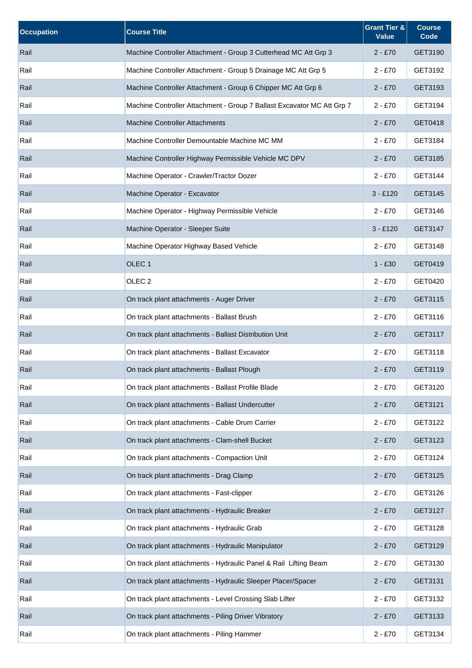| <b>Occupation</b> | <b>Course Title</b>                                                    | <b>Grant Tier &amp;</b><br><b>Value</b> | <b>Course</b><br>Code |
|-------------------|------------------------------------------------------------------------|-----------------------------------------|-----------------------|
| Rail              | Machine Controller Attachment - Group 3 Cutterhead MC Att Grp 3        | $2 - £70$                               | GET3190               |
| Rail              | Machine Controller Attachment - Group 5 Drainage MC Att Grp 5          | $2 - £70$                               | GET3192               |
| Rail              | Machine Controller Attachment - Group 6 Chipper MC Att Grp 6           | $2 - £70$                               | GET3193               |
| Rail              | Machine Controller Attachment - Group 7 Ballast Excavator MC Att Grp 7 | $2 - £70$                               | GET3194               |
| Rail              | <b>Machine Controller Attachments</b>                                  | $2 - £70$                               | GET0418               |
| Rail              | Machine Controller Demountable Machine MC MM                           | $2 - £70$                               | GET3184               |
| Rail              | Machine Controller Highway Permissible Vehicle MC DPV                  | $2 - £70$                               | GET3185               |
| Rail              | Machine Operator - Crawler/Tractor Dozer                               | $2 - £70$                               | GET3144               |
| Rail              | Machine Operator - Excavator                                           | $3 - £120$                              | GET3145               |
| Rail              | Machine Operator - Highway Permissible Vehicle                         | $2 - £70$                               | GET3146               |
| Rail              | Machine Operator - Sleeper Suite                                       | $3 - £120$                              | GET3147               |
| Rail              | Machine Operator Highway Based Vehicle                                 | $2 - £70$                               | GET3148               |
| Rail              | OLEC <sub>1</sub>                                                      | $1 - £30$                               | GET0419               |
| Rail              | OLEC <sub>2</sub>                                                      | $2 - £70$                               | GET0420               |
| Rail              | On track plant attachments - Auger Driver                              | $2 - £70$                               | GET3115               |
| Rail              | On track plant attachments - Ballast Brush                             | $2 - £70$                               | GET3116               |
| Rail              | On track plant attachments - Ballast Distribution Unit                 | $2 - £70$                               | GET3117               |
| Rail              | On track plant attachments - Ballast Excavator                         | $2 - £70$                               | GET3118               |
| Rail              | On track plant attachments - Ballast Plough                            | $2 - £70$                               | GET3119               |
| Rail              | On track plant attachments - Ballast Profile Blade                     | $2 - £70$                               | GET3120               |
| Rail              | On track plant attachments - Ballast Undercutter                       | $2 - £70$                               | GET3121               |
| Rail              | On track plant attachments - Cable Drum Carrier                        | $2 - £70$                               | GET3122               |
| Rail              | On track plant attachments - Clam-shell Bucket                         | $2 - £70$                               | GET3123               |
| Rail              | On track plant attachments - Compaction Unit                           | $2 - £70$                               | GET3124               |
| Rail              | On track plant attachments - Drag Clamp                                | $2 - £70$                               | GET3125               |
| Rail              | On track plant attachments - Fast-clipper                              | $2 - £70$                               | GET3126               |
| Rail              | On track plant attachments - Hydraulic Breaker                         | $2 - £70$                               | GET3127               |
| Rail              | On track plant attachments - Hydraulic Grab                            | $2 - £70$                               | GET3128               |
| Rail              | On track plant attachments - Hydraulic Manipulator                     | $2 - £70$                               | GET3129               |
| Rail              | On track plant attachments - Hydraulic Panel & Rail Lifting Beam       | $2 - £70$                               | GET3130               |
| Rail              | On track plant attachments - Hydraulic Sleeper Placer/Spacer           | $2 - £70$                               | GET3131               |
| Rail              | On track plant attachments - Level Crossing Slab Lifter                | $2 - £70$                               | GET3132               |
| Rail              | On track plant attachments - Piling Driver Vibratory                   | $2 - £70$                               | GET3133               |
| Rail              | On track plant attachments - Piling Hammer                             | $2 - £70$                               | GET3134               |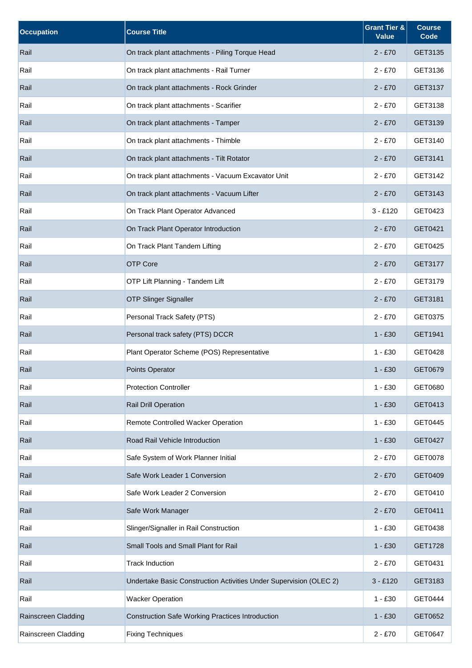| <b>Occupation</b>   | <b>Course Title</b>                                                | <b>Grant Tier &amp;</b><br><b>Value</b> | <b>Course</b><br>Code |
|---------------------|--------------------------------------------------------------------|-----------------------------------------|-----------------------|
| Rail                | On track plant attachments - Piling Torque Head                    | $2 - £70$                               | GET3135               |
| Rail                | On track plant attachments - Rail Turner                           | $2 - £70$                               | GET3136               |
| Rail                | On track plant attachments - Rock Grinder                          | $2 - £70$                               | GET3137               |
| Rail                | On track plant attachments - Scarifier                             | $2 - £70$                               | GET3138               |
| Rail                | On track plant attachments - Tamper                                | $2 - £70$                               | GET3139               |
| Rail                | On track plant attachments - Thimble                               | $2 - £70$                               | GET3140               |
| Rail                | On track plant attachments - Tilt Rotator                          | $2 - £70$                               | GET3141               |
| Rail                | On track plant attachments - Vacuum Excavator Unit                 | $2 - £70$                               | GET3142               |
| Rail                | On track plant attachments - Vacuum Lifter                         | $2 - £70$                               | GET3143               |
| Rail                | On Track Plant Operator Advanced                                   | $3 - £120$                              | GET0423               |
| Rail                | On Track Plant Operator Introduction                               | $2 - £70$                               | GET0421               |
| Rail                | On Track Plant Tandem Lifting                                      | $2 - £70$                               | GET0425               |
| Rail                | <b>OTP Core</b>                                                    | $2 - £70$                               | GET3177               |
| Rail                | OTP Lift Planning - Tandem Lift                                    | $2 - £70$                               | GET3179               |
| Rail                | <b>OTP Slinger Signaller</b>                                       | $2 - £70$                               | GET3181               |
| Rail                | Personal Track Safety (PTS)                                        | $2 - £70$                               | GET0375               |
| Rail                | Personal track safety (PTS) DCCR                                   | $1 - £30$                               | GET1941               |
| Rail                | Plant Operator Scheme (POS) Representative                         | $1 - £30$                               | GET0428               |
| Rail                | Points Operator                                                    | $1 - £30$                               | GET0679               |
| Rail                | <b>Protection Controller</b>                                       | $1 - £30$                               | GET0680               |
| Rail                | <b>Rail Drill Operation</b>                                        | $1 - £30$                               | GET0413               |
| Rail                | Remote Controlled Wacker Operation                                 | $1 - £30$                               | GET0445               |
| Rail                | Road Rail Vehicle Introduction                                     | $1 - £30$                               | GET0427               |
| Rail                | Safe System of Work Planner Initial                                | $2 - £70$                               | GET0078               |
| Rail                | Safe Work Leader 1 Conversion                                      | $2 - £70$                               | GET0409               |
| Rail                | Safe Work Leader 2 Conversion                                      | $2 - £70$                               | GET0410               |
| Rail                | Safe Work Manager                                                  | $2 - £70$                               | GET0411               |
| Rail                | Slinger/Signaller in Rail Construction                             | $1 - £30$                               | GET0438               |
| Rail                | Small Tools and Small Plant for Rail                               | $1 - £30$                               | GET1728               |
| Rail                | <b>Track Induction</b>                                             | $2 - £70$                               | GET0431               |
| Rail                | Undertake Basic Construction Activities Under Supervision (OLEC 2) | $3 - £120$                              | GET3183               |
| Rail                | <b>Wacker Operation</b>                                            | $1 - £30$                               | GET0444               |
| Rainscreen Cladding | <b>Construction Safe Working Practices Introduction</b>            | $1 - £30$                               | GET0652               |
| Rainscreen Cladding | <b>Fixing Techniques</b>                                           | $2 - £70$                               | GET0647               |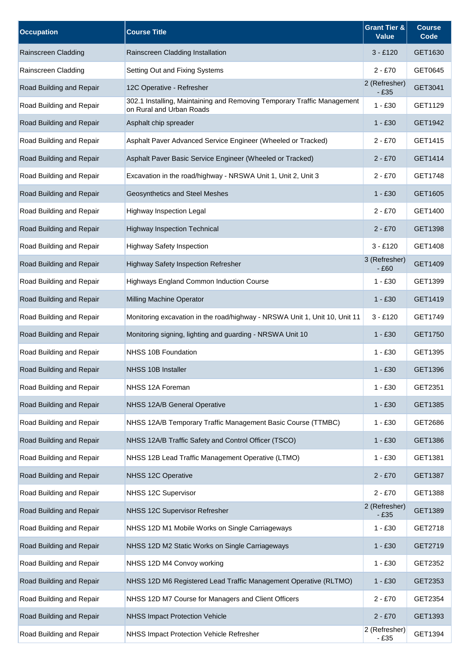| <b>Occupation</b>        | <b>Course Title</b>                                                                                 | <b>Grant Tier &amp;</b><br><b>Value</b> | <b>Course</b><br>Code |
|--------------------------|-----------------------------------------------------------------------------------------------------|-----------------------------------------|-----------------------|
| Rainscreen Cladding      | Rainscreen Cladding Installation                                                                    | $3 - £120$                              | GET1630               |
| Rainscreen Cladding      | Setting Out and Fixing Systems                                                                      | $2 - £70$                               | GET0645               |
| Road Building and Repair | 12C Operative - Refresher                                                                           | 2 (Refresher)<br>$-£35$                 | GET3041               |
| Road Building and Repair | 302.1 Installing, Maintaining and Removing Temporary Traffic Management<br>on Rural and Urban Roads | $1 - £30$                               | GET1129               |
| Road Building and Repair | Asphalt chip spreader                                                                               | $1 - £30$                               | GET1942               |
| Road Building and Repair | Asphalt Paver Advanced Service Engineer (Wheeled or Tracked)                                        | $2 - £70$                               | GET1415               |
| Road Building and Repair | Asphalt Paver Basic Service Engineer (Wheeled or Tracked)                                           | $2 - £70$                               | GET1414               |
| Road Building and Repair | Excavation in the road/highway - NRSWA Unit 1, Unit 2, Unit 3                                       | $2 - £70$                               | GET1748               |
| Road Building and Repair | Geosynthetics and Steel Meshes                                                                      | $1 - £30$                               | GET1605               |
| Road Building and Repair | Highway Inspection Legal                                                                            | $2 - £70$                               | GET1400               |
| Road Building and Repair | <b>Highway Inspection Technical</b>                                                                 | $2 - £70$                               | GET1398               |
| Road Building and Repair | <b>Highway Safety Inspection</b>                                                                    | $3 - £120$                              | GET1408               |
| Road Building and Repair | <b>Highway Safety Inspection Refresher</b>                                                          | 3 (Refresher)<br>$-£60$                 | GET1409               |
| Road Building and Repair | Highways England Common Induction Course                                                            | $1 - £30$                               | GET1399               |
| Road Building and Repair | Milling Machine Operator                                                                            | $1 - £30$                               | GET1419               |
| Road Building and Repair | Monitoring excavation in the road/highway - NRSWA Unit 1, Unit 10, Unit 11                          | $3 - £120$                              | GET1749               |
| Road Building and Repair | Monitoring signing, lighting and guarding - NRSWA Unit 10                                           | $1 - £30$                               | GET1750               |
| Road Building and Repair | NHSS 10B Foundation                                                                                 | $1 - £30$                               | GET1395               |
| Road Building and Repair | NHSS 10B Installer                                                                                  | $1 - £30$                               | GET1396               |
| Road Building and Repair | NHSS 12A Foreman                                                                                    | $1 - £30$                               | GET2351               |
| Road Building and Repair | NHSS 12A/B General Operative                                                                        | $1 - £30$                               | GET1385               |
| Road Building and Repair | NHSS 12A/B Temporary Traffic Management Basic Course (TTMBC)                                        | $1 - £30$                               | GET2686               |
| Road Building and Repair | NHSS 12A/B Traffic Safety and Control Officer (TSCO)                                                | $1 - £30$                               | GET1386               |
| Road Building and Repair | NHSS 12B Lead Traffic Management Operative (LTMO)                                                   | $1 - £30$                               | GET1381               |
| Road Building and Repair | NHSS 12C Operative                                                                                  | $2 - £70$                               | GET1387               |
| Road Building and Repair | NHSS 12C Supervisor                                                                                 | $2 - £70$                               | GET1388               |
| Road Building and Repair | NHSS 12C Supervisor Refresher                                                                       | 2 (Refresher)<br>$-£35$                 | GET1389               |
| Road Building and Repair | NHSS 12D M1 Mobile Works on Single Carriageways                                                     | $1 - £30$                               | GET2718               |
| Road Building and Repair | NHSS 12D M2 Static Works on Single Carriageways                                                     | $1 - £30$                               | GET2719               |
| Road Building and Repair | NHSS 12D M4 Convoy working                                                                          | $1 - £30$                               | GET2352               |
| Road Building and Repair | NHSS 12D M6 Registered Lead Traffic Management Operative (RLTMO)                                    | $1 - £30$                               | GET2353               |
| Road Building and Repair | NHSS 12D M7 Course for Managers and Client Officers                                                 | $2 - £70$                               | GET2354               |
| Road Building and Repair | <b>NHSS Impact Protection Vehicle</b>                                                               | $2 - £70$                               | GET1393               |
| Road Building and Repair | NHSS Impact Protection Vehicle Refresher                                                            | 2 (Refresher)<br>$-£35$                 | GET1394               |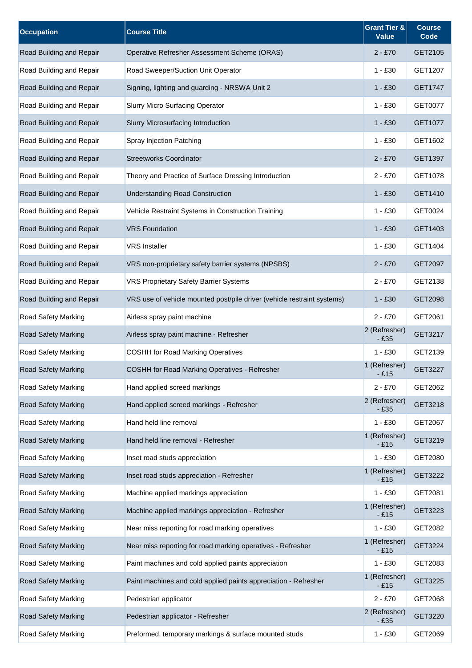| <b>Occupation</b>          | <b>Course Title</b>                                                     | <b>Grant Tier &amp;</b><br><b>Value</b> | <b>Course</b><br>Code |
|----------------------------|-------------------------------------------------------------------------|-----------------------------------------|-----------------------|
| Road Building and Repair   | Operative Refresher Assessment Scheme (ORAS)                            | $2 - £70$                               | GET2105               |
| Road Building and Repair   | Road Sweeper/Suction Unit Operator                                      | 1 - £30                                 | GET1207               |
| Road Building and Repair   | Signing, lighting and guarding - NRSWA Unit 2                           | $1 - £30$                               | GET1747               |
| Road Building and Repair   | <b>Slurry Micro Surfacing Operator</b>                                  | $1 - £30$                               | GET0077               |
| Road Building and Repair   | Slurry Microsurfacing Introduction                                      | $1 - £30$                               | GET1077               |
| Road Building and Repair   | Spray Injection Patching                                                | $1 - £30$                               | GET1602               |
| Road Building and Repair   | <b>Streetworks Coordinator</b>                                          | 2 - £70                                 | GET1397               |
| Road Building and Repair   | Theory and Practice of Surface Dressing Introduction                    | $2 - £70$                               | GET1078               |
| Road Building and Repair   | <b>Understanding Road Construction</b>                                  | $1 - £30$                               | GET1410               |
| Road Building and Repair   | Vehicle Restraint Systems in Construction Training                      | $1 - £30$                               | GET0024               |
| Road Building and Repair   | <b>VRS Foundation</b>                                                   | $1 - £30$                               | GET1403               |
| Road Building and Repair   | <b>VRS</b> Installer                                                    | $1 - £30$                               | GET1404               |
| Road Building and Repair   | VRS non-proprietary safety barrier systems (NPSBS)                      | 2 - £70                                 | GET2097               |
| Road Building and Repair   | <b>VRS Proprietary Safety Barrier Systems</b>                           | $2 - £70$                               | GET2138               |
| Road Building and Repair   | VRS use of vehicle mounted post/pile driver (vehicle restraint systems) | 1 - £30                                 | GET2098               |
| Road Safety Marking        | Airless spray paint machine                                             | $2 - £70$                               | GET2061               |
| <b>Road Safety Marking</b> | Airless spray paint machine - Refresher                                 | 2 (Refresher)<br>- £35                  | GET3217               |
| Road Safety Marking        | <b>COSHH for Road Marking Operatives</b>                                | $1 - £30$                               | GET2139               |
| <b>Road Safety Marking</b> | COSHH for Road Marking Operatives - Refresher                           | 1 (Refresher)<br>- £15                  | GET3227               |
| Road Safety Marking        | Hand applied screed markings                                            | $2 - £70$                               | GET2062               |
| <b>Road Safety Marking</b> | Hand applied screed markings - Refresher                                | 2 (Refresher)<br>$-£35$                 | GET3218               |
| Road Safety Marking        | Hand held line removal                                                  | $1 - £30$                               | GET2067               |
| Road Safety Marking        | Hand held line removal - Refresher                                      | 1 (Refresher)<br>$-£15$                 | GET3219               |
| Road Safety Marking        | Inset road studs appreciation                                           | $1 - £30$                               | GET2080               |
| <b>Road Safety Marking</b> | Inset road studs appreciation - Refresher                               | 1 (Refresher)<br>$-£15$                 | GET3222               |
| Road Safety Marking        | Machine applied markings appreciation                                   | $1 - £30$                               | GET2081               |
| <b>Road Safety Marking</b> | Machine applied markings appreciation - Refresher                       | 1 (Refresher)<br>- £15                  | GET3223               |
| Road Safety Marking        | Near miss reporting for road marking operatives                         | $1 - £30$                               | GET2082               |
| <b>Road Safety Marking</b> | Near miss reporting for road marking operatives - Refresher             | 1 (Refresher)<br>$-E15$                 | GET3224               |
| Road Safety Marking        | Paint machines and cold applied paints appreciation                     | $1 - £30$                               | GET2083               |
| Road Safety Marking        | Paint machines and cold applied paints appreciation - Refresher         | 1 (Refresher)<br>$-£15$                 | GET3225               |
| Road Safety Marking        | Pedestrian applicator                                                   | $2 - £70$                               | GET2068               |
| <b>Road Safety Marking</b> | Pedestrian applicator - Refresher                                       | 2 (Refresher)<br>$-£35$                 | GET3220               |
| Road Safety Marking        | Preformed, temporary markings & surface mounted studs                   | $1 - £30$                               | GET2069               |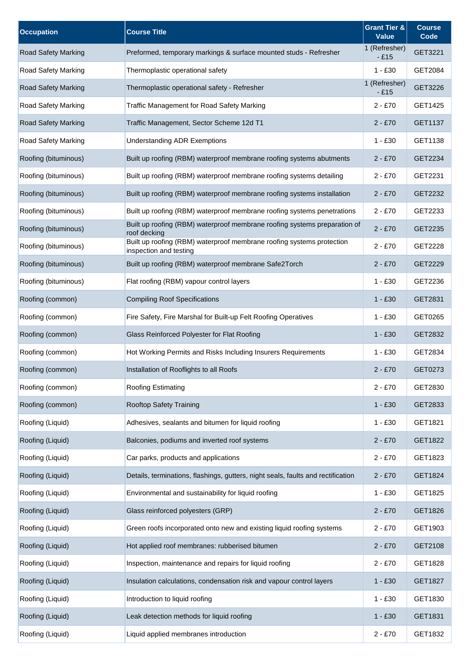| <b>Occupation</b>          | <b>Course Title</b>                                                                             | <b>Grant Tier &amp;</b><br><b>Value</b> | <b>Course</b><br>Code |
|----------------------------|-------------------------------------------------------------------------------------------------|-----------------------------------------|-----------------------|
| <b>Road Safety Marking</b> | Preformed, temporary markings & surface mounted studs - Refresher                               | 1 (Refresher)<br>$-E15$                 | GET3221               |
| <b>Road Safety Marking</b> | Thermoplastic operational safety                                                                | $1 - £30$                               | GET2084               |
| <b>Road Safety Marking</b> | Thermoplastic operational safety - Refresher                                                    | 1 (Refresher)<br>$-£15$                 | GET3226               |
| Road Safety Marking        | <b>Traffic Management for Road Safety Marking</b>                                               | $2 - £70$                               | GET1425               |
| <b>Road Safety Marking</b> | Traffic Management, Sector Scheme 12d T1                                                        | $2 - £70$                               | GET1137               |
| Road Safety Marking        | <b>Understanding ADR Exemptions</b>                                                             | $1 - £30$                               | GET1138               |
| Roofing (bituminous)       | Built up roofing (RBM) waterproof membrane roofing systems abutments                            | 2 - £70                                 | GET2234               |
| Roofing (bituminous)       | Built up roofing (RBM) waterproof membrane roofing systems detailing                            | $2 - £70$                               | GET2231               |
| Roofing (bituminous)       | Built up roofing (RBM) waterproof membrane roofing systems installation                         | $2 - £70$                               | GET2232               |
| Roofing (bituminous)       | Built up roofing (RBM) waterproof membrane roofing systems penetrations                         | $2 - £70$                               | GET2233               |
| Roofing (bituminous)       | Built up roofing (RBM) waterproof membrane roofing systems preparation of<br>roof decking       | $2 - £70$                               | GET2235               |
| Roofing (bituminous)       | Built up roofing (RBM) waterproof membrane roofing systems protection<br>inspection and testing | $2 - £70$                               | GET2228               |
| Roofing (bituminous)       | Built up roofing (RBM) waterproof membrane Safe2Torch                                           | $2 - £70$                               | GET2229               |
| Roofing (bituminous)       | Flat roofing (RBM) vapour control layers                                                        | $1 - £30$                               | GET2236               |
| Roofing (common)           | <b>Compiling Roof Specifications</b>                                                            | $1 - £30$                               | GET2831               |
| Roofing (common)           | Fire Safety, Fire Marshal for Built-up Felt Roofing Operatives                                  | $1 - £30$                               | GET0265               |
| Roofing (common)           | Glass Reinforced Polyester for Flat Roofing                                                     | $1 - £30$                               | GET2832               |
| Roofing (common)           | Hot Working Permits and Risks Including Insurers Requirements                                   | $1 - £30$                               | GET2834               |
| Roofing (common)           | Installation of Rooflights to all Roofs                                                         | $2 - £70$                               | GET0273               |
| Roofing (common)           | <b>Roofing Estimating</b>                                                                       | $2 - £70$                               | GET2830               |
| Roofing (common)           | Rooftop Safety Training                                                                         | $1 - £30$                               | GET2833               |
| Roofing (Liquid)           | Adhesives, sealants and bitumen for liquid roofing                                              | $1 - £30$                               | GET1821               |
| Roofing (Liquid)           | Balconies, podiums and inverted roof systems                                                    | $2 - £70$                               | GET1822               |
| Roofing (Liquid)           | Car parks, products and applications                                                            | $2 - £70$                               | GET1823               |
| Roofing (Liquid)           | Details, terminations, flashings, gutters, night seals, faults and rectification                | $2 - £70$                               | GET1824               |
| Roofing (Liquid)           | Environmental and sustainability for liquid roofing                                             | $1 - £30$                               | GET1825               |
| Roofing (Liquid)           | Glass reinforced polyesters (GRP)                                                               | $2 - £70$                               | GET1826               |
| Roofing (Liquid)           | Green roofs incorporated onto new and existing liquid roofing systems                           | $2 - £70$                               | GET1903               |
| Roofing (Liquid)           | Hot applied roof membranes: rubberised bitumen                                                  | $2 - £70$                               | GET2108               |
| Roofing (Liquid)           | Inspection, maintenance and repairs for liquid roofing                                          | $2 - £70$                               | GET1828               |
| Roofing (Liquid)           | Insulation calculations, condensation risk and vapour control layers                            | $1 - £30$                               | GET1827               |
| Roofing (Liquid)           | Introduction to liquid roofing                                                                  | $1 - £30$                               | GET1830               |
| Roofing (Liquid)           | Leak detection methods for liquid roofing                                                       | $1 - £30$                               | GET1831               |
| Roofing (Liquid)           | Liquid applied membranes introduction                                                           | $2 - £70$                               | GET1832               |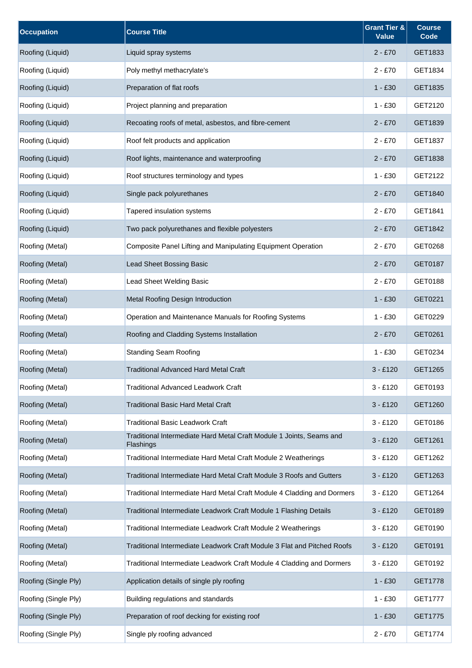| <b>Occupation</b>    | <b>Course Title</b>                                                               | <b>Grant Tier &amp;</b><br><b>Value</b> | <b>Course</b><br>Code |
|----------------------|-----------------------------------------------------------------------------------|-----------------------------------------|-----------------------|
| Roofing (Liquid)     | Liquid spray systems                                                              | $2 - £70$                               | GET1833               |
| Roofing (Liquid)     | Poly methyl methacrylate's                                                        | $2 - £70$                               | GET1834               |
| Roofing (Liquid)     | Preparation of flat roofs                                                         | $1 - £30$                               | GET1835               |
| Roofing (Liquid)     | Project planning and preparation                                                  | $1 - £30$                               | GET2120               |
| Roofing (Liquid)     | Recoating roofs of metal, asbestos, and fibre-cement                              | $2 - £70$                               | GET1839               |
| Roofing (Liquid)     | Roof felt products and application                                                | $2 - £70$                               | GET1837               |
| Roofing (Liquid)     | Roof lights, maintenance and waterproofing                                        | $2 - £70$                               | GET1838               |
| Roofing (Liquid)     | Roof structures terminology and types                                             | $1 - £30$                               | GET2122               |
| Roofing (Liquid)     | Single pack polyurethanes                                                         | $2 - £70$                               | GET1840               |
| Roofing (Liquid)     | Tapered insulation systems                                                        | $2 - £70$                               | GET1841               |
| Roofing (Liquid)     | Two pack polyurethanes and flexible polyesters                                    | $2 - £70$                               | GET1842               |
| Roofing (Metal)      | Composite Panel Lifting and Manipulating Equipment Operation                      | $2 - £70$                               | GET0268               |
| Roofing (Metal)      | Lead Sheet Bossing Basic                                                          | $2 - £70$                               | GET0187               |
| Roofing (Metal)      | Lead Sheet Welding Basic                                                          | $2 - £70$                               | GET0188               |
| Roofing (Metal)      | Metal Roofing Design Introduction                                                 | $1 - £30$                               | GET0221               |
| Roofing (Metal)      | Operation and Maintenance Manuals for Roofing Systems                             | $1 - £30$                               | GET0229               |
| Roofing (Metal)      | Roofing and Cladding Systems Installation                                         | $2 - £70$                               | GET0261               |
| Roofing (Metal)      | <b>Standing Seam Roofing</b>                                                      | $1 - £30$                               | GET0234               |
| Roofing (Metal)      | <b>Traditional Advanced Hard Metal Craft</b>                                      | $3 - £120$                              | GET1265               |
| Roofing (Metal)      | <b>Traditional Advanced Leadwork Craft</b>                                        | $3 - £120$                              | GET0193               |
| Roofing (Metal)      | <b>Traditional Basic Hard Metal Craft</b>                                         | $3 - £120$                              | GET1260               |
| Roofing (Metal)      | <b>Traditional Basic Leadwork Craft</b>                                           | $3 - £120$                              | GET0186               |
| Roofing (Metal)      | Traditional Intermediate Hard Metal Craft Module 1 Joints, Seams and<br>Flashings | $3 - £120$                              | GET1261               |
| Roofing (Metal)      | Traditional Intermediate Hard Metal Craft Module 2 Weatherings                    | $3 - £120$                              | GET1262               |
| Roofing (Metal)      | Traditional Intermediate Hard Metal Craft Module 3 Roofs and Gutters              | $3 - £120$                              | GET1263               |
| Roofing (Metal)      | Traditional Intermediate Hard Metal Craft Module 4 Cladding and Dormers           | $3 - £120$                              | GET1264               |
| Roofing (Metal)      | Traditional Intermediate Leadwork Craft Module 1 Flashing Details                 | $3 - £120$                              | GET0189               |
| Roofing (Metal)      | Traditional Intermediate Leadwork Craft Module 2 Weatherings                      | $3 - £120$                              | GET0190               |
| Roofing (Metal)      | Traditional Intermediate Leadwork Craft Module 3 Flat and Pitched Roofs           | $3 - £120$                              | GET0191               |
| Roofing (Metal)      | Traditional Intermediate Leadwork Craft Module 4 Cladding and Dormers             | $3 - £120$                              | GET0192               |
| Roofing (Single Ply) | Application details of single ply roofing                                         | $1 - £30$                               | GET1778               |
| Roofing (Single Ply) | Building regulations and standards                                                | $1 - £30$                               | <b>GET1777</b>        |
| Roofing (Single Ply) | Preparation of roof decking for existing roof                                     | $1 - £30$                               | GET1775               |
| Roofing (Single Ply) | Single ply roofing advanced                                                       | $2 - £70$                               | GET1774               |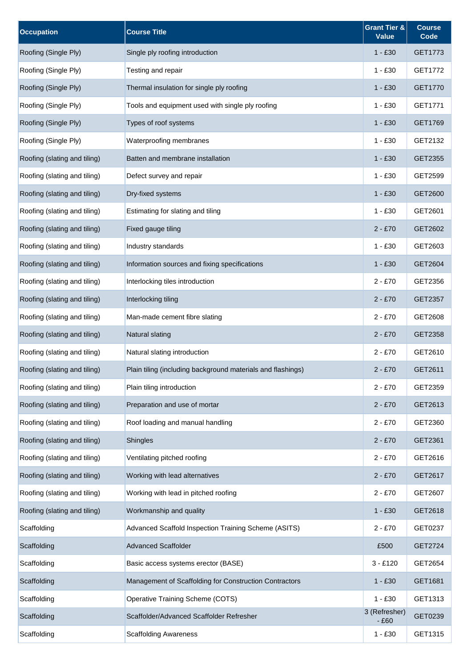| <b>Occupation</b>            | <b>Course Title</b>                                         | Grant Tier &<br><b>Value</b> | <b>Course</b><br>Code |
|------------------------------|-------------------------------------------------------------|------------------------------|-----------------------|
| Roofing (Single Ply)         | Single ply roofing introduction                             | $1 - £30$                    | GET1773               |
| Roofing (Single Ply)         | Testing and repair                                          | $1 - £30$                    | GET1772               |
| Roofing (Single Ply)         | Thermal insulation for single ply roofing                   | $1 - £30$                    | GET1770               |
| Roofing (Single Ply)         | Tools and equipment used with single ply roofing            | $1 - £30$                    | GET1771               |
| Roofing (Single Ply)         | Types of roof systems                                       | $1 - £30$                    | GET1769               |
| Roofing (Single Ply)         | Waterproofing membranes                                     | $1 - £30$                    | GET2132               |
| Roofing (slating and tiling) | Batten and membrane installation                            | $1 - £30$                    | GET2355               |
| Roofing (slating and tiling) | Defect survey and repair                                    | $1 - £30$                    | GET2599               |
| Roofing (slating and tiling) | Dry-fixed systems                                           | $1 - £30$                    | GET2600               |
| Roofing (slating and tiling) | Estimating for slating and tiling                           | $1 - £30$                    | GET2601               |
| Roofing (slating and tiling) | Fixed gauge tiling                                          | $2 - £70$                    | GET2602               |
| Roofing (slating and tiling) | Industry standards                                          | $1 - £30$                    | GET2603               |
| Roofing (slating and tiling) | Information sources and fixing specifications               | $1 - £30$                    | GET2604               |
| Roofing (slating and tiling) | Interlocking tiles introduction                             | $2 - £70$                    | GET2356               |
| Roofing (slating and tiling) | Interlocking tiling                                         | $2 - £70$                    | GET2357               |
| Roofing (slating and tiling) | Man-made cement fibre slating                               | $2 - £70$                    | GET2608               |
| Roofing (slating and tiling) | Natural slating                                             | $2 - £70$                    | GET2358               |
| Roofing (slating and tiling) | Natural slating introduction                                | $2 - £70$                    | GET2610               |
| Roofing (slating and tiling) | Plain tiling (including background materials and flashings) | $2 - £70$                    | GET2611               |
| Roofing (slating and tiling) | Plain tiling introduction                                   | $2 - £70$                    | GET2359               |
| Roofing (slating and tiling) | Preparation and use of mortar                               | $2 - £70$                    | GET2613               |
| Roofing (slating and tiling) | Roof loading and manual handling                            | $2 - £70$                    | GET2360               |
| Roofing (slating and tiling) | Shingles                                                    | $2 - £70$                    | GET2361               |
| Roofing (slating and tiling) | Ventilating pitched roofing                                 | $2 - £70$                    | GET2616               |
| Roofing (slating and tiling) | Working with lead alternatives                              | $2 - £70$                    | GET2617               |
| Roofing (slating and tiling) | Working with lead in pitched roofing                        | $2 - £70$                    | GET2607               |
| Roofing (slating and tiling) | Workmanship and quality                                     | $1 - £30$                    | GET2618               |
| Scaffolding                  | Advanced Scaffold Inspection Training Scheme (ASITS)        | $2 - £70$                    | GET0237               |
| Scaffolding                  | <b>Advanced Scaffolder</b>                                  | £500                         | GET2724               |
| Scaffolding                  | Basic access systems erector (BASE)                         | $3 - £120$                   | GET2654               |
| Scaffolding                  | Management of Scaffolding for Construction Contractors      | $1 - £30$                    | GET1681               |
| Scaffolding                  | Operative Training Scheme (COTS)                            | $1 - £30$                    | GET1313               |
| Scaffolding                  | Scaffolder/Advanced Scaffolder Refresher                    | 3 (Refresher)<br>$-£60$      | GET0239               |
| Scaffolding                  | <b>Scaffolding Awareness</b>                                | $1 - £30$                    | GET1315               |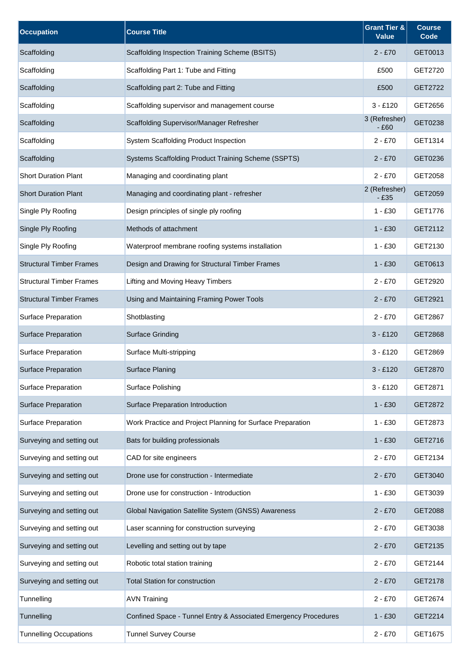| <b>Occupation</b>               | <b>Course Title</b>                                             | <b>Grant Tier &amp;</b><br><b>Value</b> | <b>Course</b><br>Code |
|---------------------------------|-----------------------------------------------------------------|-----------------------------------------|-----------------------|
| Scaffolding                     | Scaffolding Inspection Training Scheme (BSITS)                  | $2 - £70$                               | GET0013               |
| Scaffolding                     | Scaffolding Part 1: Tube and Fitting                            | £500                                    | GET2720               |
| Scaffolding                     | Scaffolding part 2: Tube and Fitting                            | £500                                    | GET2722               |
| Scaffolding                     | Scaffolding supervisor and management course                    | $3 - £120$                              | GET2656               |
| Scaffolding                     | Scaffolding Supervisor/Manager Refresher                        | 3 (Refresher)<br>$-£60$                 | GET0238               |
| Scaffolding                     | <b>System Scaffolding Product Inspection</b>                    | $2 - £70$                               | GET1314               |
| Scaffolding                     | Systems Scaffolding Product Training Scheme (SSPTS)             | $2 - £70$                               | GET0236               |
| <b>Short Duration Plant</b>     | Managing and coordinating plant                                 | $2 - £70$                               | GET2058               |
| <b>Short Duration Plant</b>     | Managing and coordinating plant - refresher                     | 2 (Refresher)<br>- £35                  | GET2059               |
| Single Ply Roofing              | Design principles of single ply roofing                         | $1 - £30$                               | GET1776               |
| Single Ply Roofing              | Methods of attachment                                           | $1 - £30$                               | GET2112               |
| Single Ply Roofing              | Waterproof membrane roofing systems installation                | $1 - £30$                               | GET2130               |
| <b>Structural Timber Frames</b> | Design and Drawing for Structural Timber Frames                 | $1 - £30$                               | GET0613               |
| <b>Structural Timber Frames</b> | Lifting and Moving Heavy Timbers                                | $2 - £70$                               | GET2920               |
| <b>Structural Timber Frames</b> | Using and Maintaining Framing Power Tools                       | $2 - £70$                               | GET2921               |
| Surface Preparation             | Shotblasting                                                    | $2 - £70$                               | GET2867               |
| <b>Surface Preparation</b>      | <b>Surface Grinding</b>                                         | $3 - £120$                              | GET2868               |
| Surface Preparation             | Surface Multi-stripping                                         | $3 - £120$                              | GET2869               |
| Surface Preparation             | <b>Surface Planing</b>                                          | $3 - £120$                              | GET2870               |
| Surface Preparation             | Surface Polishing                                               | $3 - £120$                              | GET2871               |
| Surface Preparation             | Surface Preparation Introduction                                | $1 - £30$                               | GET2872               |
| <b>Surface Preparation</b>      | Work Practice and Project Planning for Surface Preparation      | $1 - £30$                               | GET2873               |
| Surveying and setting out       | Bats for building professionals                                 | $1 - £30$                               | GET2716               |
| Surveying and setting out       | CAD for site engineers                                          | $2 - £70$                               | GET2134               |
| Surveying and setting out       | Drone use for construction - Intermediate                       | $2 - £70$                               | GET3040               |
| Surveying and setting out       | Drone use for construction - Introduction                       | $1 - £30$                               | GET3039               |
| Surveying and setting out       | Global Navigation Satellite System (GNSS) Awareness             | $2 - £70$                               | GET2088               |
| Surveying and setting out       | Laser scanning for construction surveying                       | $2 - £70$                               | GET3038               |
| Surveying and setting out       | Levelling and setting out by tape                               | $2 - £70$                               | GET2135               |
| Surveying and setting out       | Robotic total station training                                  | $2 - £70$                               | GET2144               |
| Surveying and setting out       | <b>Total Station for construction</b>                           | $2 - £70$                               | GET2178               |
| Tunnelling                      | <b>AVN Training</b>                                             | $2 - £70$                               | GET2674               |
| Tunnelling                      | Confined Space - Tunnel Entry & Associated Emergency Procedures | 1 - £30                                 | GET2214               |
| <b>Tunnelling Occupations</b>   | <b>Tunnel Survey Course</b>                                     | $2 - £70$                               | GET1675               |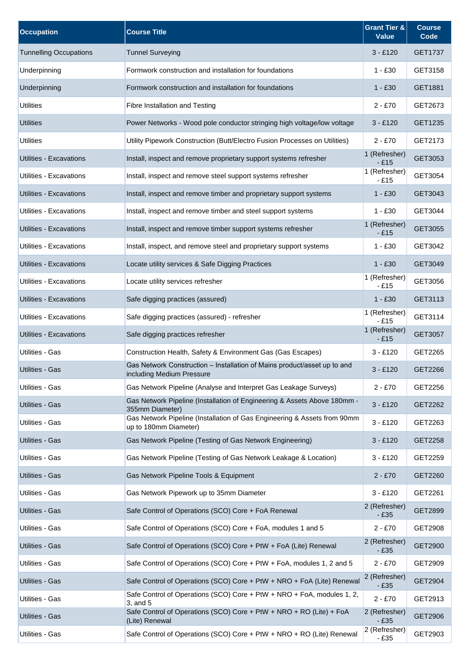| <b>Occupation</b>             | <b>Course Title</b>                                                                                   | <b>Grant Tier &amp;</b><br><b>Value</b> | <b>Course</b><br>Code |
|-------------------------------|-------------------------------------------------------------------------------------------------------|-----------------------------------------|-----------------------|
| <b>Tunnelling Occupations</b> | <b>Tunnel Surveying</b>                                                                               | $3 - £120$                              | GET1737               |
| Underpinning                  | Formwork construction and installation for foundations                                                | $1 - £30$                               | GET3158               |
| Underpinning                  | Formwork construction and installation for foundations                                                | $1 - £30$                               | GET1881               |
| <b>Utilities</b>              | Fibre Installation and Testing                                                                        | $2 - £70$                               | GET2673               |
| <b>Utilities</b>              | Power Networks - Wood pole conductor stringing high voltage/low voltage                               | $3 - £120$                              | GET1235               |
| <b>Utilities</b>              | Utility Pipework Construction (Butt/Electro Fusion Processes on Utilities)                            | $2 - £70$                               | GET2173               |
| Utilities - Excavations       | Install, inspect and remove proprietary support systems refresher                                     | 1 (Refresher)<br>$-£15$                 | GET3053               |
| Utilities - Excavations       | Install, inspect and remove steel support systems refresher                                           | 1 (Refresher)<br>$-£15$                 | GET3054               |
| Utilities - Excavations       | Install, inspect and remove timber and proprietary support systems                                    | $1 - £30$                               | GET3043               |
| Utilities - Excavations       | Install, inspect and remove timber and steel support systems                                          | $1 - £30$                               | GET3044               |
| Utilities - Excavations       | Install, inspect and remove timber support systems refresher                                          | 1 (Refresher)<br>$-£15$                 | GET3055               |
| Utilities - Excavations       | Install, inspect, and remove steel and proprietary support systems                                    | $1 - £30$                               | GET3042               |
| Utilities - Excavations       | Locate utility services & Safe Digging Practices                                                      | $1 - £30$                               | GET3049               |
| Utilities - Excavations       | Locate utility services refresher                                                                     | 1 (Refresher)<br>$-£15$                 | GET3056               |
| Utilities - Excavations       | Safe digging practices (assured)                                                                      | $1 - £30$                               | GET3113               |
| Utilities - Excavations       | Safe digging practices (assured) - refresher                                                          | 1 (Refresher)<br>$-£15$                 | GET3114               |
| Utilities - Excavations       | Safe digging practices refresher                                                                      | 1 (Refresher)<br>$-£15$                 | GET3057               |
| Utilities - Gas               | Construction Health, Safety & Environment Gas (Gas Escapes)                                           | $3 - £120$                              | GET2265               |
| <b>Utilities - Gas</b>        | Gas Network Construction - Installation of Mains product/asset up to and<br>including Medium Pressure | $3 - £120$                              | GET2266               |
| Utilities - Gas               | Gas Network Pipeline (Analyse and Interpret Gas Leakage Surveys)                                      | $2 - £70$                               | GET2256               |
| Utilities - Gas               | Gas Network Pipeline (Installation of Engineering & Assets Above 180mm -<br>355mm Diameter)           | $3 - £120$                              | GET2262               |
| Utilities - Gas               | Gas Network Pipeline (Installation of Gas Engineering & Assets from 90mm<br>up to 180mm Diameter)     | $3 - £120$                              | GET2263               |
| Utilities - Gas               | Gas Network Pipeline (Testing of Gas Network Engineering)                                             | $3 - £120$                              | GET2258               |
| Utilities - Gas               | Gas Network Pipeline (Testing of Gas Network Leakage & Location)                                      | $3 - £120$                              | GET2259               |
| Utilities - Gas               | Gas Network Pipeline Tools & Equipment                                                                | $2 - £70$                               | GET2260               |
| Utilities - Gas               | Gas Network Pipework up to 35mm Diameter                                                              | $3 - £120$                              | GET2261               |
| Utilities - Gas               | Safe Control of Operations (SCO) Core + FoA Renewal                                                   | 2 (Refresher)<br>$-£35$                 | GET2899               |
| Utilities - Gas               | Safe Control of Operations (SCO) Core + FoA, modules 1 and 5                                          | $2 - £70$                               | GET2908               |
| Utilities - Gas               | Safe Control of Operations (SCO) Core + PtW + FoA (Lite) Renewal                                      | 2 (Refresher)<br>$-£35$                 | GET2900               |
| Utilities - Gas               | Safe Control of Operations (SCO) Core + PtW + FoA, modules 1, 2 and 5                                 | $2 - £70$                               | GET2909               |
| Utilities - Gas               | Safe Control of Operations (SCO) Core + PtW + NRO + FoA (Lite) Renewal                                | 2 (Refresher)<br>$-£35$                 | GET2904               |
| Utilities - Gas               | Safe Control of Operations (SCO) Core + PtW + NRO + FoA, modules 1, 2,<br>3, and 5                    | $2 - £70$                               | GET2913               |
| Utilities - Gas               | Safe Control of Operations (SCO) Core + PtW + NRO + RO (Lite) + FoA<br>(Lite) Renewal                 | 2 (Refresher)<br>- £35                  | GET2906               |
| Utilities - Gas               | Safe Control of Operations (SCO) Core + PtW + NRO + RO (Lite) Renewal                                 | 2 (Refresher)<br>$-£35$                 | GET2903               |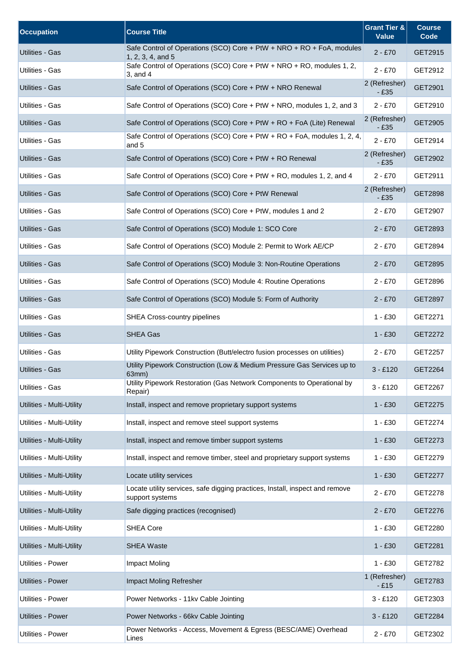| <b>Occupation</b>                | <b>Course Title</b>                                                                             | <b>Grant Tier &amp;</b><br><b>Value</b> | <b>Course</b><br>Code |
|----------------------------------|-------------------------------------------------------------------------------------------------|-----------------------------------------|-----------------------|
| Utilities - Gas                  | Safe Control of Operations (SCO) Core + PtW + NRO + RO + FoA, modules<br>$1, 2, 3, 4,$ and $5$  | $2 - £70$                               | GET2915               |
| Utilities - Gas                  | Safe Control of Operations (SCO) Core + PtW + NRO + RO, modules 1, 2,<br>$3$ , and $4$          | $2 - £70$                               | GET2912               |
| <b>Utilities - Gas</b>           | Safe Control of Operations (SCO) Core + PtW + NRO Renewal                                       | 2 (Refresher)<br>$-£35$                 | GET2901               |
| <b>Utilities - Gas</b>           | Safe Control of Operations (SCO) Core + PtW + NRO, modules 1, 2, and 3                          | $2 - £70$                               | GET2910               |
| Utilities - Gas                  | Safe Control of Operations (SCO) Core + PtW + RO + FoA (Lite) Renewal                           | 2 (Refresher)<br>$-E35$                 | GET2905               |
| Utilities - Gas                  | Safe Control of Operations (SCO) Core + PtW + RO + FoA, modules 1, 2, 4,<br>and 5               | $2 - £70$                               | GET2914               |
| Utilities - Gas                  | Safe Control of Operations (SCO) Core + PtW + RO Renewal                                        | 2 (Refresher)<br>$-£35$                 | GET2902               |
| Utilities - Gas                  | Safe Control of Operations (SCO) Core + PtW + RO, modules 1, 2, and 4                           | $2 - £70$                               | GET2911               |
| Utilities - Gas                  | Safe Control of Operations (SCO) Core + PtW Renewal                                             | 2 (Refresher)<br>$-E35$                 | GET2898               |
| <b>Utilities - Gas</b>           | Safe Control of Operations (SCO) Core + PtW, modules 1 and 2                                    | $2 - £70$                               | GET2907               |
| <b>Utilities - Gas</b>           | Safe Control of Operations (SCO) Module 1: SCO Core                                             | $2 - £70$                               | GET2893               |
| Utilities - Gas                  | Safe Control of Operations (SCO) Module 2: Permit to Work AE/CP                                 | $2 - £70$                               | GET2894               |
| Utilities - Gas                  | Safe Control of Operations (SCO) Module 3: Non-Routine Operations                               | $2 - £70$                               | GET2895               |
| Utilities - Gas                  | Safe Control of Operations (SCO) Module 4: Routine Operations                                   | $2 - £70$                               | GET2896               |
| Utilities - Gas                  | Safe Control of Operations (SCO) Module 5: Form of Authority                                    | $2 - £70$                               | GET2897               |
| Utilities - Gas                  | <b>SHEA Cross-country pipelines</b>                                                             | $1 - £30$                               | GET2271               |
| Utilities - Gas                  | SHEA Gas                                                                                        | $1 - £30$                               | GET2272               |
| Utilities - Gas                  | Utility Pipework Construction (Butt/electro fusion processes on utilities)                      | $2 - £70$                               | GET2257               |
| <b>Utilities - Gas</b>           | Utility Pipework Construction (Low & Medium Pressure Gas Services up to<br>63mm)                | $3 - £120$                              | GET2264               |
| Utilities - Gas                  | Utility Pipework Restoration (Gas Network Components to Operational by<br>Repair)               | $3 - £120$                              | GET2267               |
| Utilities - Multi-Utility        | Install, inspect and remove proprietary support systems                                         | $1 - £30$                               | GET2275               |
| Utilities - Multi-Utility        | Install, inspect and remove steel support systems                                               | $1 - £30$                               | GET2274               |
| Utilities - Multi-Utility        | Install, inspect and remove timber support systems                                              | $1 - £30$                               | GET2273               |
| Utilities - Multi-Utility        | Install, inspect and remove timber, steel and proprietary support systems                       | $1 - £30$                               | GET2279               |
| <b>Utilities - Multi-Utility</b> | Locate utility services                                                                         | $1 - £30$                               | GET2277               |
| Utilities - Multi-Utility        | Locate utility services, safe digging practices, Install, inspect and remove<br>support systems | $2 - £70$                               | GET2278               |
| Utilities - Multi-Utility        | Safe digging practices (recognised)                                                             | $2 - £70$                               | GET2276               |
| Utilities - Multi-Utility        | <b>SHEA Core</b>                                                                                | $1 - £30$                               | GET2280               |
| Utilities - Multi-Utility        | <b>SHEA Waste</b>                                                                               | $1 - £30$                               | GET2281               |
| Utilities - Power                | <b>Impact Moling</b>                                                                            | $1 - £30$                               | GET2782               |
| Utilities - Power                | Impact Moling Refresher                                                                         | 1 (Refresher)<br>$-E15$                 | GET2783               |
| Utilities - Power                | Power Networks - 11kv Cable Jointing                                                            | $3 - £120$                              | GET2303               |
| Utilities - Power                | Power Networks - 66kv Cable Jointing                                                            | $3 - £120$                              | GET2284               |
| Utilities - Power                | Power Networks - Access, Movement & Egress (BESC/AME) Overhead<br>Lines                         | $2 - £70$                               | GET2302               |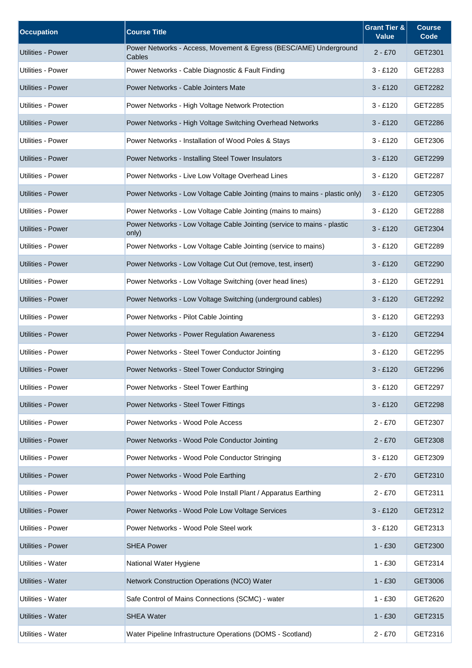| <b>Occupation</b>        | <b>Course Title</b>                                                              | <b>Grant Tier &amp;</b><br><b>Value</b> | <b>Course</b><br>Code |
|--------------------------|----------------------------------------------------------------------------------|-----------------------------------------|-----------------------|
| Utilities - Power        | Power Networks - Access, Movement & Egress (BESC/AME) Underground<br>Cables      | $2 - £70$                               | GET2301               |
| Utilities - Power        | Power Networks - Cable Diagnostic & Fault Finding                                | $3 - £120$                              | GET2283               |
| Utilities - Power        | Power Networks - Cable Jointers Mate                                             | $3 - £120$                              | GET2282               |
| Utilities - Power        | Power Networks - High Voltage Network Protection                                 | $3 - £120$                              | GET2285               |
| Utilities - Power        | Power Networks - High Voltage Switching Overhead Networks                        | $3 - £120$                              | GET2286               |
| Utilities - Power        | Power Networks - Installation of Wood Poles & Stays                              | $3 - £120$                              | GET2306               |
| Utilities - Power        | Power Networks - Installing Steel Tower Insulators                               | $3 - £120$                              | GET2299               |
| Utilities - Power        | Power Networks - Live Low Voltage Overhead Lines                                 | $3 - £120$                              | GET2287               |
| Utilities - Power        | Power Networks - Low Voltage Cable Jointing (mains to mains - plastic only)      | $3 - £120$                              | GET2305               |
| Utilities - Power        | Power Networks - Low Voltage Cable Jointing (mains to mains)                     | $3 - £120$                              | GET2288               |
| Utilities - Power        | Power Networks - Low Voltage Cable Jointing (service to mains - plastic<br>only) | $3 - £120$                              | GET2304               |
| Utilities - Power        | Power Networks - Low Voltage Cable Jointing (service to mains)                   | $3 - £120$                              | GET2289               |
| Utilities - Power        | Power Networks - Low Voltage Cut Out (remove, test, insert)                      | $3 - £120$                              | GET2290               |
| Utilities - Power        | Power Networks - Low Voltage Switching (over head lines)                         | $3 - £120$                              | GET2291               |
| Utilities - Power        | Power Networks - Low Voltage Switching (underground cables)                      | $3 - £120$                              | GET2292               |
| Utilities - Power        | Power Networks - Pilot Cable Jointing                                            | $3 - £120$                              | GET2293               |
| Utilities - Power        | Power Networks - Power Regulation Awareness                                      | $3 - £120$                              | GET2294               |
| Utilities - Power        | Power Networks - Steel Tower Conductor Jointing                                  | $3 - £120$                              | GET2295               |
| Utilities - Power        | Power Networks - Steel Tower Conductor Stringing                                 | $3 - £120$                              | GET2296               |
| Utilities - Power        | Power Networks - Steel Tower Earthing                                            | $3 - £120$                              | GET2297               |
| <b>Utilities - Power</b> | Power Networks - Steel Tower Fittings                                            | $3 - £120$                              | GET2298               |
| Utilities - Power        | Power Networks - Wood Pole Access                                                | $2 - £70$                               | GET2307               |
| Utilities - Power        | Power Networks - Wood Pole Conductor Jointing                                    | $2 - £70$                               | GET2308               |
| Utilities - Power        | Power Networks - Wood Pole Conductor Stringing                                   | $3 - £120$                              | GET2309               |
| Utilities - Power        | Power Networks - Wood Pole Earthing                                              | $2 - £70$                               | GET2310               |
| Utilities - Power        | Power Networks - Wood Pole Install Plant / Apparatus Earthing                    | $2 - £70$                               | GET2311               |
| Utilities - Power        | Power Networks - Wood Pole Low Voltage Services                                  | $3 - £120$                              | GET2312               |
| Utilities - Power        | Power Networks - Wood Pole Steel work                                            | $3 - £120$                              | GET2313               |
| <b>Utilities - Power</b> | <b>SHEA Power</b>                                                                | $1 - £30$                               | GET2300               |
| Utilities - Water        | National Water Hygiene                                                           | $1 - £30$                               | GET2314               |
| Utilities - Water        | Network Construction Operations (NCO) Water                                      | $1 - £30$                               | GET3006               |
| Utilities - Water        | Safe Control of Mains Connections (SCMC) - water                                 | $1 - £30$                               | GET2620               |
| Utilities - Water        | <b>SHEA Water</b>                                                                | $1 - £30$                               | GET2315               |
| Utilities - Water        | Water Pipeline Infrastructure Operations (DOMS - Scotland)                       | $2 - £70$                               | GET2316               |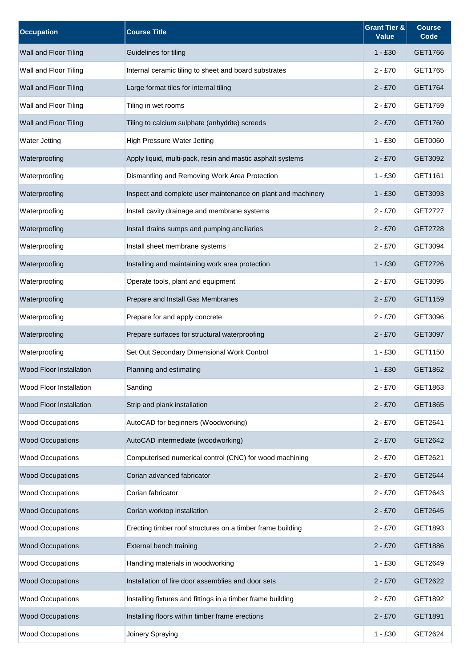| <b>Occupation</b>              | <b>Course Title</b>                                          | <b>Grant Tier &amp;</b><br><b>Value</b> | <b>Course</b><br>Code |
|--------------------------------|--------------------------------------------------------------|-----------------------------------------|-----------------------|
| Wall and Floor Tiling          | Guidelines for tiling                                        | $1 - £30$                               | GET1766               |
| Wall and Floor Tiling          | Internal ceramic tiling to sheet and board substrates        | $2 - £70$                               | GET1765               |
| Wall and Floor Tiling          | Large format tiles for internal tiling                       | $2 - £70$                               | GET1764               |
| Wall and Floor Tiling          | Tiling in wet rooms                                          | $2 - £70$                               | GET1759               |
| Wall and Floor Tiling          | Tiling to calcium sulphate (anhydrite) screeds               | $2 - £70$                               | GET1760               |
| <b>Water Jetting</b>           | High Pressure Water Jetting                                  | $1 - £30$                               | GET0060               |
| Waterproofing                  | Apply liquid, multi-pack, resin and mastic asphalt systems   | $2 - £70$                               | GET3092               |
| Waterproofing                  | Dismantling and Removing Work Area Protection                | $1 - £30$                               | GET1161               |
| Waterproofing                  | Inspect and complete user maintenance on plant and machinery | $1 - £30$                               | GET3093               |
| Waterproofing                  | Install cavity drainage and membrane systems                 | $2 - £70$                               | <b>GET2727</b>        |
| Waterproofing                  | Install drains sumps and pumping ancillaries                 | $2 - £70$                               | GET2728               |
| Waterproofing                  | Install sheet membrane systems                               | $2 - £70$                               | GET3094               |
| Waterproofing                  | Installing and maintaining work area protection              | $1 - £30$                               | GET2726               |
| Waterproofing                  | Operate tools, plant and equipment                           | $2 - £70$                               | GET3095               |
| Waterproofing                  | Prepare and Install Gas Membranes                            | $2 - £70$                               | GET1159               |
| Waterproofing                  | Prepare for and apply concrete                               | $2 - £70$                               | GET3096               |
| Waterproofing                  | Prepare surfaces for structural waterproofing                | $2 - £70$                               | GET3097               |
| Waterproofing                  | Set Out Secondary Dimensional Work Control                   | $1 - £30$                               | GET1150               |
| <b>Wood Floor Installation</b> | Planning and estimating                                      | $1 - £30$                               | GET1862               |
| <b>Wood Floor Installation</b> | Sanding                                                      | $2 - £70$                               | GET1863               |
| Wood Floor Installation        | Strip and plank installation                                 | $2 - £70$                               | GET1865               |
| <b>Wood Occupations</b>        | AutoCAD for beginners (Woodworking)                          | $2 - £70$                               | GET2641               |
| <b>Wood Occupations</b>        | AutoCAD intermediate (woodworking)                           | $2 - £70$                               | GET2642               |
| <b>Wood Occupations</b>        | Computerised numerical control (CNC) for wood machining      | $2 - £70$                               | GET2621               |
| <b>Wood Occupations</b>        | Corian advanced fabricator                                   | $2 - £70$                               | GET2644               |
| <b>Wood Occupations</b>        | Corian fabricator                                            | $2 - £70$                               | GET2643               |
| <b>Wood Occupations</b>        | Corian worktop installation                                  | $2 - £70$                               | GET2645               |
| <b>Wood Occupations</b>        | Erecting timber roof structures on a timber frame building   | $2 - £70$                               | GET1893               |
| <b>Wood Occupations</b>        | External bench training                                      | $2 - £70$                               | GET1886               |
| <b>Wood Occupations</b>        | Handling materials in woodworking                            | $1 - £30$                               | GET2649               |
| <b>Wood Occupations</b>        | Installation of fire door assemblies and door sets           | $2 - £70$                               | GET2622               |
| <b>Wood Occupations</b>        | Installing fixtures and fittings in a timber frame building  | $2 - £70$                               | GET1892               |
| <b>Wood Occupations</b>        | Installing floors within timber frame erections              | $2 - £70$                               | GET1891               |
| <b>Wood Occupations</b>        | Joinery Spraying                                             | $1 - £30$                               | GET2624               |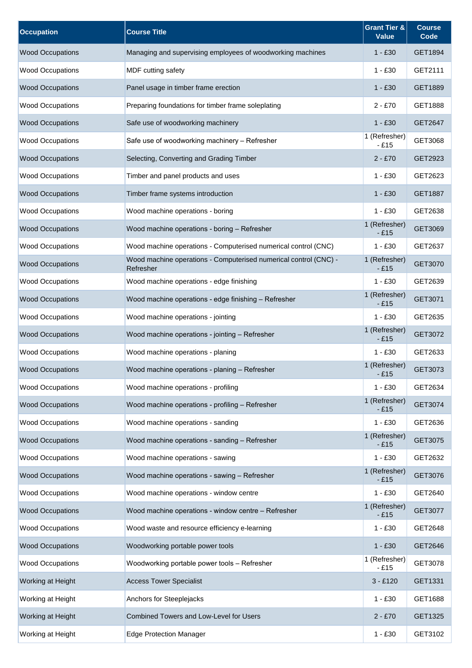| <b>Occupation</b>       | <b>Course Title</b>                                                           | <b>Grant Tier &amp;</b><br><b>Value</b> | <b>Course</b><br>Code |
|-------------------------|-------------------------------------------------------------------------------|-----------------------------------------|-----------------------|
| <b>Wood Occupations</b> | Managing and supervising employees of woodworking machines                    | $1 - £30$                               | GET1894               |
| <b>Wood Occupations</b> | MDF cutting safety                                                            | 1 - £30                                 | GET2111               |
| <b>Wood Occupations</b> | Panel usage in timber frame erection                                          | $1 - £30$                               | GET1889               |
| <b>Wood Occupations</b> | Preparing foundations for timber frame soleplating                            | $2 - £70$                               | GET1888               |
| <b>Wood Occupations</b> | Safe use of woodworking machinery                                             | $1 - £30$                               | GET2647               |
| <b>Wood Occupations</b> | Safe use of woodworking machinery - Refresher                                 | 1 (Refresher)<br>$-£15$                 | GET3068               |
| <b>Wood Occupations</b> | Selecting, Converting and Grading Timber                                      | $2 - £70$                               | GET2923               |
| <b>Wood Occupations</b> | Timber and panel products and uses                                            | $1 - £30$                               | GET2623               |
| <b>Wood Occupations</b> | Timber frame systems introduction                                             | $1 - £30$                               | GET1887               |
| <b>Wood Occupations</b> | Wood machine operations - boring                                              | $1 - £30$                               | GET2638               |
| <b>Wood Occupations</b> | Wood machine operations - boring - Refresher                                  | 1 (Refresher)<br>$-£15$                 | GET3069               |
| <b>Wood Occupations</b> | Wood machine operations - Computerised numerical control (CNC)                | $1 - £30$                               | GET2637               |
| <b>Wood Occupations</b> | Wood machine operations - Computerised numerical control (CNC) -<br>Refresher | 1 (Refresher)<br>$-£15$                 | GET3070               |
| <b>Wood Occupations</b> | Wood machine operations - edge finishing                                      | $1 - £30$                               | GET2639               |
| <b>Wood Occupations</b> | Wood machine operations - edge finishing - Refresher                          | 1 (Refresher)<br>$-£15$                 | GET3071               |
| <b>Wood Occupations</b> | Wood machine operations - jointing                                            | $1 - £30$                               | GET2635               |
| <b>Wood Occupations</b> | Wood machine operations - jointing - Refresher                                | 1 (Refresher)<br>$-£15$                 | GET3072               |
| <b>Wood Occupations</b> | Wood machine operations - planing                                             | $1 - £30$                               | GET2633               |
| <b>Wood Occupations</b> | Wood machine operations - planing - Refresher                                 | 1 (Refresher)<br>$-E15$                 | GET3073               |
| <b>Wood Occupations</b> | Wood machine operations - profiling                                           | $1 - £30$                               | GET2634               |
| <b>Wood Occupations</b> | Wood machine operations - profiling - Refresher                               | 1 (Refresher)<br>$-£15$                 | GET3074               |
| <b>Wood Occupations</b> | Wood machine operations - sanding                                             | $1 - £30$                               | GET2636               |
| <b>Wood Occupations</b> | Wood machine operations - sanding - Refresher                                 | 1 (Refresher)<br>$-£15$                 | GET3075               |
| <b>Wood Occupations</b> | Wood machine operations - sawing                                              | $1 - £30$                               | GET2632               |
| <b>Wood Occupations</b> | Wood machine operations - sawing - Refresher                                  | 1 (Refresher)<br>$-£15$                 | GET3076               |
| <b>Wood Occupations</b> | Wood machine operations - window centre                                       | $1 - £30$                               | GET2640               |
| <b>Wood Occupations</b> | Wood machine operations - window centre - Refresher                           | 1 (Refresher)<br>$-£15$                 | GET3077               |
| <b>Wood Occupations</b> | Wood waste and resource efficiency e-learning                                 | $1 - £30$                               | GET2648               |
| <b>Wood Occupations</b> | Woodworking portable power tools                                              | $1 - £30$                               | GET2646               |
| <b>Wood Occupations</b> | Woodworking portable power tools - Refresher                                  | 1 (Refresher)<br>$-£15$                 | GET3078               |
| Working at Height       | <b>Access Tower Specialist</b>                                                | $3 - £120$                              | GET1331               |
| Working at Height       | Anchors for Steeplejacks                                                      | $1 - £30$                               | GET1688               |
| Working at Height       | <b>Combined Towers and Low-Level for Users</b>                                | 2 - £70                                 | GET1325               |
| Working at Height       | <b>Edge Protection Manager</b>                                                | $1 - £30$                               | GET3102               |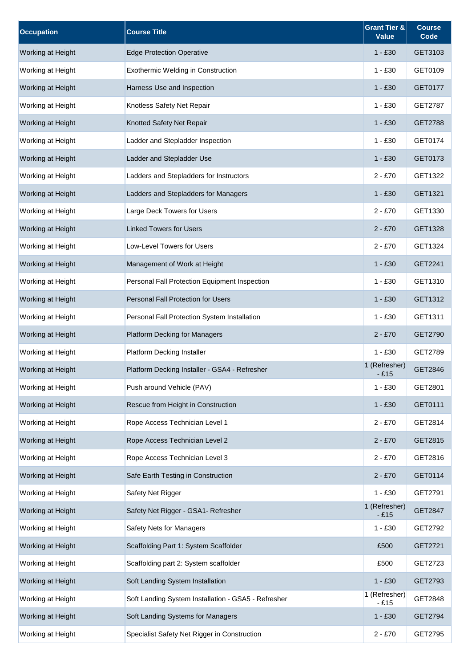| <b>Occupation</b> | <b>Course Title</b>                                 | <b>Grant Tier &amp;</b><br><b>Value</b> | <b>Course</b><br>Code |
|-------------------|-----------------------------------------------------|-----------------------------------------|-----------------------|
| Working at Height | <b>Edge Protection Operative</b>                    | $1 - £30$                               | GET3103               |
| Working at Height | Exothermic Welding in Construction                  | $1 - £30$                               | GET0109               |
| Working at Height | Harness Use and Inspection                          | $1 - £30$                               | GET0177               |
| Working at Height | Knotless Safety Net Repair                          | $1 - £30$                               | GET2787               |
| Working at Height | Knotted Safety Net Repair                           | $1 - £30$                               | <b>GET2788</b>        |
| Working at Height | Ladder and Stepladder Inspection                    | $1 - £30$                               | GET0174               |
| Working at Height | Ladder and Stepladder Use                           | $1 - £30$                               | GET0173               |
| Working at Height | Ladders and Stepladders for Instructors             | $2 - £70$                               | GET1322               |
| Working at Height | Ladders and Stepladders for Managers                | $1 - £30$                               | GET1321               |
| Working at Height | Large Deck Towers for Users                         | $2 - £70$                               | GET1330               |
| Working at Height | <b>Linked Towers for Users</b>                      | $2 - £70$                               | GET1328               |
| Working at Height | Low-Level Towers for Users                          | $2 - £70$                               | GET1324               |
| Working at Height | Management of Work at Height                        | $1 - £30$                               | GET2241               |
| Working at Height | Personal Fall Protection Equipment Inspection       | $1 - £30$                               | GET1310               |
| Working at Height | Personal Fall Protection for Users                  | $1 - £30$                               | GET1312               |
| Working at Height | Personal Fall Protection System Installation        | $1 - £30$                               | GET1311               |
| Working at Height | <b>Platform Decking for Managers</b>                | $2 - £70$                               | GET2790               |
| Working at Height | Platform Decking Installer                          | $1 - £30$                               | GET2789               |
| Working at Height | Platform Decking Installer - GSA4 - Refresher       | 1 (Refresher)<br>$-£15$                 | GET2846               |
| Working at Height | Push around Vehicle (PAV)                           | $1 - £30$                               | GET2801               |
| Working at Height | Rescue from Height in Construction                  | $1 - £30$                               | GET0111               |
| Working at Height | Rope Access Technician Level 1                      | $2 - £70$                               | GET2814               |
| Working at Height | Rope Access Technician Level 2                      | $2 - £70$                               | GET2815               |
| Working at Height | Rope Access Technician Level 3                      | $2 - £70$                               | GET2816               |
| Working at Height | Safe Earth Testing in Construction                  | $2 - £70$                               | GET0114               |
| Working at Height | Safety Net Rigger                                   | $1 - £30$                               | GET2791               |
| Working at Height | Safety Net Rigger - GSA1- Refresher                 | 1 (Refresher)<br>$-£15$                 | GET2847               |
| Working at Height | Safety Nets for Managers                            | $1 - £30$                               | GET2792               |
| Working at Height | Scaffolding Part 1: System Scaffolder               | £500                                    | GET2721               |
| Working at Height | Scaffolding part 2: System scaffolder               | £500                                    | GET2723               |
| Working at Height | Soft Landing System Installation                    | $1 - £30$                               | GET2793               |
| Working at Height | Soft Landing System Installation - GSA5 - Refresher | 1 (Refresher)<br>$-£15$                 | GET2848               |
| Working at Height | Soft Landing Systems for Managers                   | $1 - £30$                               | GET2794               |
| Working at Height | Specialist Safety Net Rigger in Construction        | $2 - £70$                               | GET2795               |